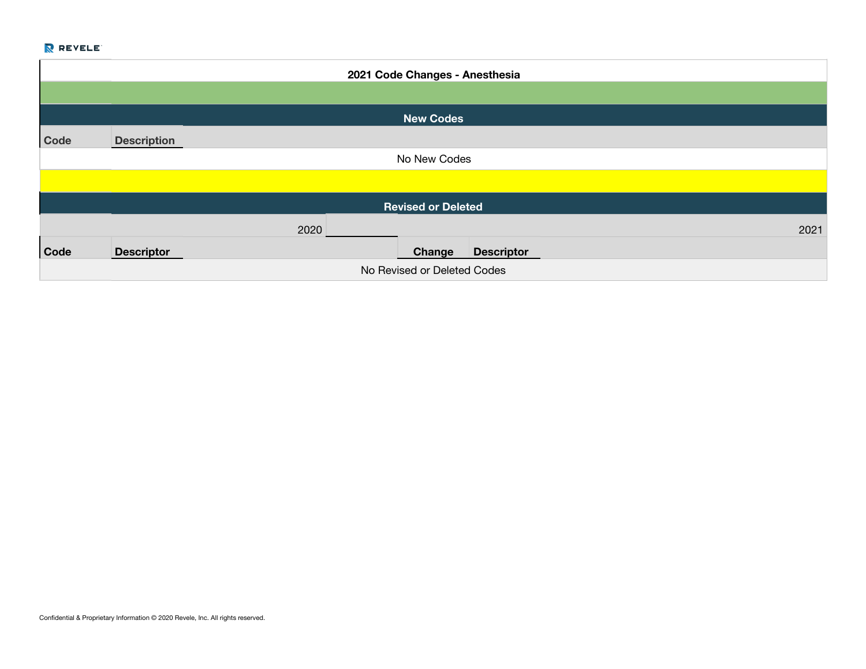|             |                             |      |  | 2021 Code Changes - Anesthesia |                   |      |
|-------------|-----------------------------|------|--|--------------------------------|-------------------|------|
|             |                             |      |  |                                |                   |      |
|             |                             |      |  | <b>New Codes</b>               |                   |      |
| Code        | <b>Description</b>          |      |  |                                |                   |      |
|             |                             |      |  | No New Codes                   |                   |      |
|             |                             |      |  |                                |                   |      |
|             |                             |      |  | <b>Revised or Deleted</b>      |                   |      |
|             |                             | 2020 |  |                                |                   | 2021 |
| <b>Code</b> | <b>Descriptor</b>           |      |  | Change                         | <b>Descriptor</b> |      |
|             | No Revised or Deleted Codes |      |  |                                |                   |      |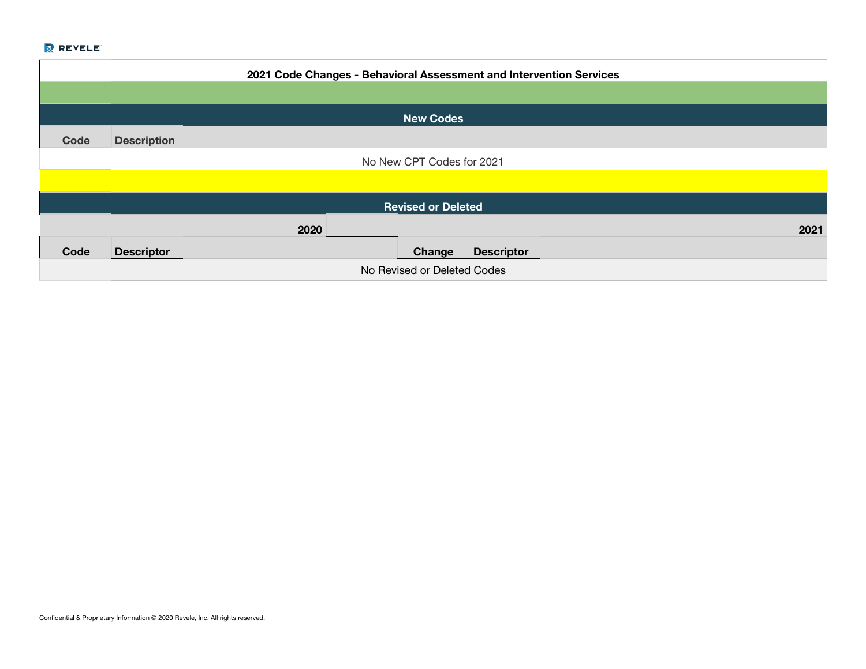|      | 2021 Code Changes - Behavioral Assessment and Intervention Services |      |                             |      |  |
|------|---------------------------------------------------------------------|------|-----------------------------|------|--|
|      |                                                                     |      |                             |      |  |
|      |                                                                     |      | <b>New Codes</b>            |      |  |
| Code | <b>Description</b>                                                  |      |                             |      |  |
|      |                                                                     |      | No New CPT Codes for 2021   |      |  |
|      |                                                                     |      |                             |      |  |
|      |                                                                     |      | <b>Revised or Deleted</b>   |      |  |
|      |                                                                     | 2020 |                             | 2021 |  |
| Code | <b>Descriptor</b>                                                   |      | <b>Descriptor</b><br>Change |      |  |
|      | No Revised or Deleted Codes                                         |      |                             |      |  |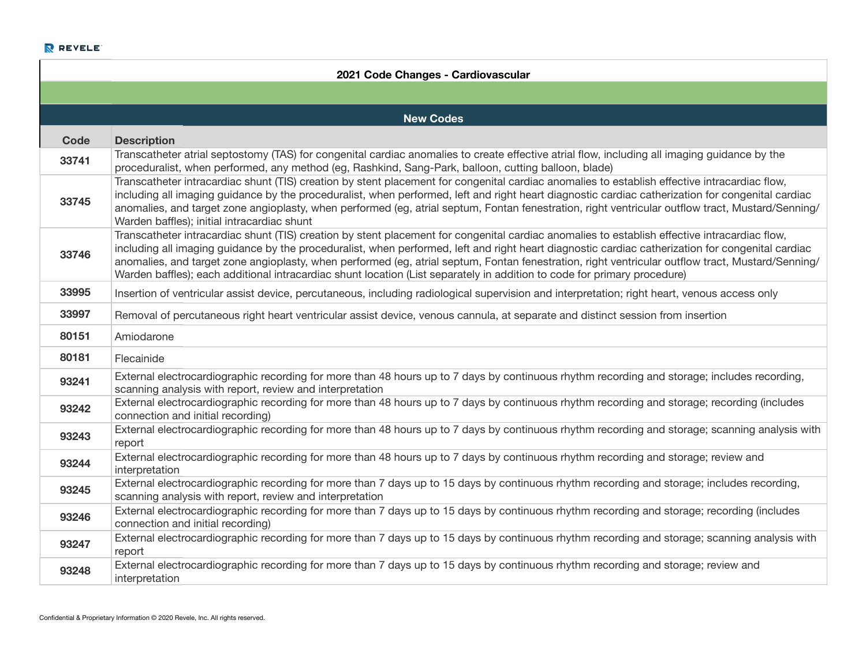|       | 2021 Code Changes - Cardiovascular                                                                                                                                                                                                                                                                                                                                                                                                                                                                                                                                                  |  |  |  |  |
|-------|-------------------------------------------------------------------------------------------------------------------------------------------------------------------------------------------------------------------------------------------------------------------------------------------------------------------------------------------------------------------------------------------------------------------------------------------------------------------------------------------------------------------------------------------------------------------------------------|--|--|--|--|
|       |                                                                                                                                                                                                                                                                                                                                                                                                                                                                                                                                                                                     |  |  |  |  |
|       | <b>New Codes</b>                                                                                                                                                                                                                                                                                                                                                                                                                                                                                                                                                                    |  |  |  |  |
| Code  | <b>Description</b>                                                                                                                                                                                                                                                                                                                                                                                                                                                                                                                                                                  |  |  |  |  |
| 33741 | Transcatheter atrial septostomy (TAS) for congenital cardiac anomalies to create effective atrial flow, including all imaging guidance by the<br>proceduralist, when performed, any method (eg, Rashkind, Sang-Park, balloon, cutting balloon, blade)                                                                                                                                                                                                                                                                                                                               |  |  |  |  |
| 33745 | Transcatheter intracardiac shunt (TIS) creation by stent placement for congenital cardiac anomalies to establish effective intracardiac flow,<br>including all imaging guidance by the proceduralist, when performed, left and right heart diagnostic cardiac catherization for congenital cardiac<br>anomalies, and target zone angioplasty, when performed (eg, atrial septum, Fontan fenestration, right ventricular outflow tract, Mustard/Senning/<br>Warden baffles); initial intracardiac shunt                                                                              |  |  |  |  |
| 33746 | Transcatheter intracardiac shunt (TIS) creation by stent placement for congenital cardiac anomalies to establish effective intracardiac flow,<br>including all imaging guidance by the proceduralist, when performed, left and right heart diagnostic cardiac catherization for congenital cardiac<br>anomalies, and target zone angioplasty, when performed (eg, atrial septum, Fontan fenestration, right ventricular outflow tract, Mustard/Senning/<br>Warden baffles); each additional intracardiac shunt location (List separately in addition to code for primary procedure) |  |  |  |  |
| 33995 | Insertion of ventricular assist device, percutaneous, including radiological supervision and interpretation; right heart, venous access only                                                                                                                                                                                                                                                                                                                                                                                                                                        |  |  |  |  |
| 33997 | Removal of percutaneous right heart ventricular assist device, venous cannula, at separate and distinct session from insertion                                                                                                                                                                                                                                                                                                                                                                                                                                                      |  |  |  |  |
| 80151 | Amiodarone                                                                                                                                                                                                                                                                                                                                                                                                                                                                                                                                                                          |  |  |  |  |
| 80181 | Flecainide                                                                                                                                                                                                                                                                                                                                                                                                                                                                                                                                                                          |  |  |  |  |
| 93241 | External electrocardiographic recording for more than 48 hours up to 7 days by continuous rhythm recording and storage; includes recording,<br>scanning analysis with report, review and interpretation                                                                                                                                                                                                                                                                                                                                                                             |  |  |  |  |
| 93242 | External electrocardiographic recording for more than 48 hours up to 7 days by continuous rhythm recording and storage; recording (includes<br>connection and initial recording)                                                                                                                                                                                                                                                                                                                                                                                                    |  |  |  |  |
| 93243 | External electrocardiographic recording for more than 48 hours up to 7 days by continuous rhythm recording and storage; scanning analysis with<br>report                                                                                                                                                                                                                                                                                                                                                                                                                            |  |  |  |  |
| 93244 | External electrocardiographic recording for more than 48 hours up to 7 days by continuous rhythm recording and storage; review and<br>interpretation                                                                                                                                                                                                                                                                                                                                                                                                                                |  |  |  |  |
| 93245 | External electrocardiographic recording for more than 7 days up to 15 days by continuous rhythm recording and storage; includes recording,<br>scanning analysis with report, review and interpretation                                                                                                                                                                                                                                                                                                                                                                              |  |  |  |  |
| 93246 | External electrocardiographic recording for more than 7 days up to 15 days by continuous rhythm recording and storage; recording (includes<br>connection and initial recording)                                                                                                                                                                                                                                                                                                                                                                                                     |  |  |  |  |
| 93247 | External electrocardiographic recording for more than 7 days up to 15 days by continuous rhythm recording and storage; scanning analysis with<br>report                                                                                                                                                                                                                                                                                                                                                                                                                             |  |  |  |  |
| 93248 | External electrocardiographic recording for more than 7 days up to 15 days by continuous rhythm recording and storage; review and<br>interpretation                                                                                                                                                                                                                                                                                                                                                                                                                                 |  |  |  |  |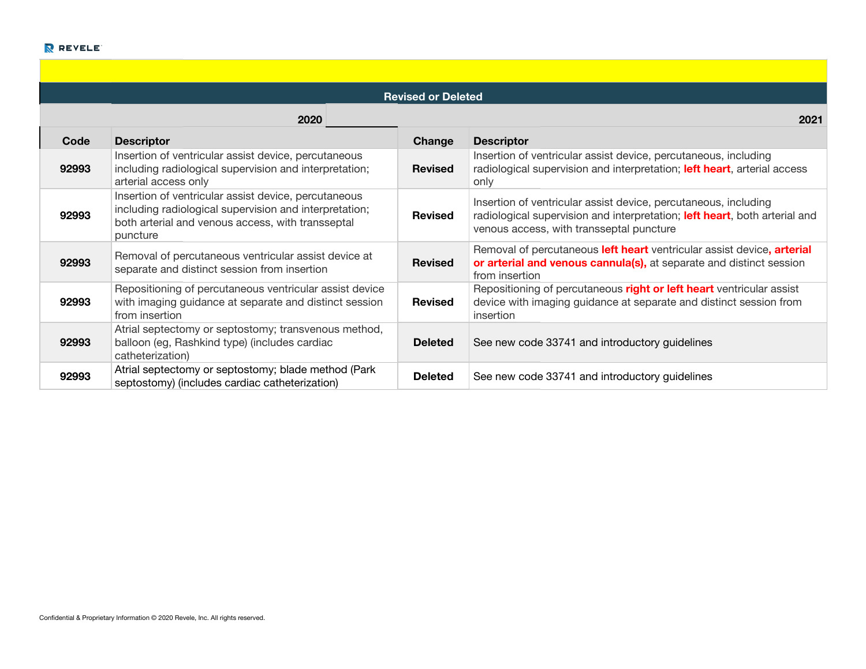| <b>Revised or Deleted</b> |                                                                                                                                                                                 |                |                                                                                                                                                                                           |  |  |  |
|---------------------------|---------------------------------------------------------------------------------------------------------------------------------------------------------------------------------|----------------|-------------------------------------------------------------------------------------------------------------------------------------------------------------------------------------------|--|--|--|
|                           | 2020                                                                                                                                                                            |                | 2021                                                                                                                                                                                      |  |  |  |
| Code                      | <b>Descriptor</b>                                                                                                                                                               | Change         | <b>Descriptor</b>                                                                                                                                                                         |  |  |  |
| 92993                     | Insertion of ventricular assist device, percutaneous<br>including radiological supervision and interpretation;<br>arterial access only                                          | <b>Revised</b> | Insertion of ventricular assist device, percutaneous, including<br>radiological supervision and interpretation; left heart, arterial access<br>only                                       |  |  |  |
| 92993                     | Insertion of ventricular assist device, percutaneous<br>including radiological supervision and interpretation;<br>both arterial and venous access, with transseptal<br>puncture | <b>Revised</b> | Insertion of ventricular assist device, percutaneous, including<br>radiological supervision and interpretation; left heart, both arterial and<br>venous access, with transseptal puncture |  |  |  |
| 92993                     | Removal of percutaneous ventricular assist device at<br>separate and distinct session from insertion                                                                            | <b>Revised</b> | Removal of percutaneous left heart ventricular assist device, arterial<br>or arterial and venous cannula(s), at separate and distinct session<br>from insertion                           |  |  |  |
| 92993                     | Repositioning of percutaneous ventricular assist device<br>with imaging guidance at separate and distinct session<br>from insertion                                             | <b>Revised</b> | Repositioning of percutaneous right or left heart ventricular assist<br>device with imaging guidance at separate and distinct session from<br>insertion                                   |  |  |  |
| 92993                     | Atrial septectomy or septostomy; transvenous method,<br>balloon (eg, Rashkind type) (includes cardiac<br>catheterization)                                                       | <b>Deleted</b> | See new code 33741 and introductory guidelines                                                                                                                                            |  |  |  |
| 92993                     | Atrial septectomy or septostomy; blade method (Park<br>septostomy) (includes cardiac catheterization)                                                                           | <b>Deleted</b> | See new code 33741 and introductory guidelines                                                                                                                                            |  |  |  |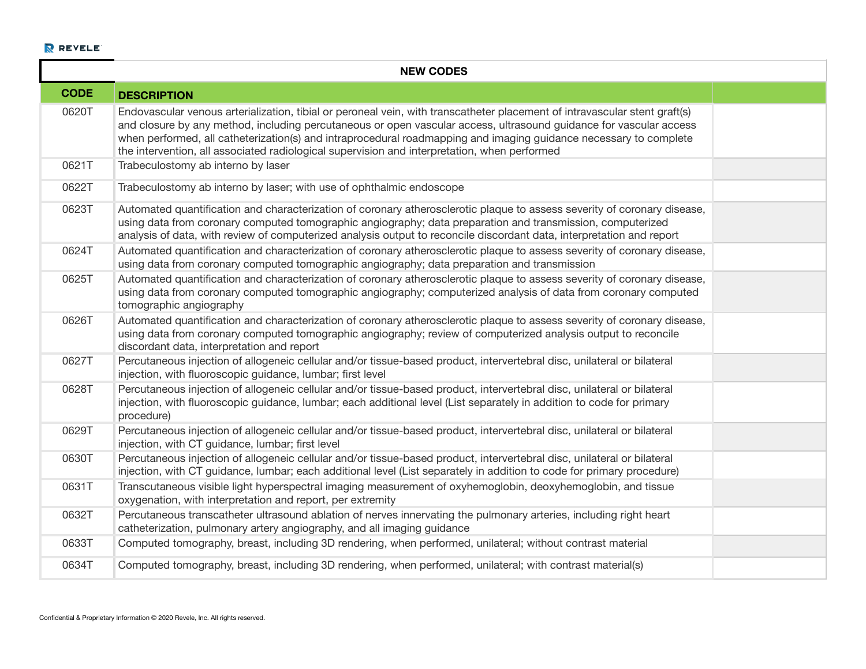|             | <b>NEW CODES</b>                                                                                                                                                                                                                                                                                                                                                                                                                                                      |  |  |  |  |  |
|-------------|-----------------------------------------------------------------------------------------------------------------------------------------------------------------------------------------------------------------------------------------------------------------------------------------------------------------------------------------------------------------------------------------------------------------------------------------------------------------------|--|--|--|--|--|
| <b>CODE</b> | <b>DESCRIPTION</b>                                                                                                                                                                                                                                                                                                                                                                                                                                                    |  |  |  |  |  |
| 0620T       | Endovascular venous arterialization, tibial or peroneal vein, with transcatheter placement of intravascular stent graft(s)<br>and closure by any method, including percutaneous or open vascular access, ultrasound guidance for vascular access<br>when performed, all catheterization(s) and intraprocedural roadmapping and imaging guidance necessary to complete<br>the intervention, all associated radiological supervision and interpretation, when performed |  |  |  |  |  |
| 0621T       | Trabeculostomy ab interno by laser                                                                                                                                                                                                                                                                                                                                                                                                                                    |  |  |  |  |  |
| 0622T       | Trabeculostomy ab interno by laser; with use of ophthalmic endoscope                                                                                                                                                                                                                                                                                                                                                                                                  |  |  |  |  |  |
| 0623T       | Automated quantification and characterization of coronary atherosclerotic plaque to assess severity of coronary disease,<br>using data from coronary computed tomographic angiography; data preparation and transmission, computerized<br>analysis of data, with review of computerized analysis output to reconcile discordant data, interpretation and report                                                                                                       |  |  |  |  |  |
| 0624T       | Automated quantification and characterization of coronary atherosclerotic plaque to assess severity of coronary disease,<br>using data from coronary computed tomographic angiography; data preparation and transmission                                                                                                                                                                                                                                              |  |  |  |  |  |
| 0625T       | Automated quantification and characterization of coronary atherosclerotic plaque to assess severity of coronary disease,<br>using data from coronary computed tomographic angiography; computerized analysis of data from coronary computed<br>tomographic angiography                                                                                                                                                                                                |  |  |  |  |  |
| 0626T       | Automated quantification and characterization of coronary atherosclerotic plaque to assess severity of coronary disease,<br>using data from coronary computed tomographic angiography; review of computerized analysis output to reconcile<br>discordant data, interpretation and report                                                                                                                                                                              |  |  |  |  |  |
| 0627T       | Percutaneous injection of allogeneic cellular and/or tissue-based product, intervertebral disc, unilateral or bilateral<br>injection, with fluoroscopic guidance, lumbar; first level                                                                                                                                                                                                                                                                                 |  |  |  |  |  |
| 0628T       | Percutaneous injection of allogeneic cellular and/or tissue-based product, intervertebral disc, unilateral or bilateral<br>injection, with fluoroscopic guidance, lumbar; each additional level (List separately in addition to code for primary<br>procedure)                                                                                                                                                                                                        |  |  |  |  |  |
| 0629T       | Percutaneous injection of allogeneic cellular and/or tissue-based product, intervertebral disc, unilateral or bilateral<br>injection, with CT guidance, lumbar; first level                                                                                                                                                                                                                                                                                           |  |  |  |  |  |
| 0630T       | Percutaneous injection of allogeneic cellular and/or tissue-based product, intervertebral disc, unilateral or bilateral<br>injection, with CT guidance, lumbar; each additional level (List separately in addition to code for primary procedure)                                                                                                                                                                                                                     |  |  |  |  |  |
| 0631T       | Transcutaneous visible light hyperspectral imaging measurement of oxyhemoglobin, deoxyhemoglobin, and tissue<br>oxygenation, with interpretation and report, per extremity                                                                                                                                                                                                                                                                                            |  |  |  |  |  |
| 0632T       | Percutaneous transcatheter ultrasound ablation of nerves innervating the pulmonary arteries, including right heart<br>catheterization, pulmonary artery angiography, and all imaging guidance                                                                                                                                                                                                                                                                         |  |  |  |  |  |
| 0633T       | Computed tomography, breast, including 3D rendering, when performed, unilateral; without contrast material                                                                                                                                                                                                                                                                                                                                                            |  |  |  |  |  |
| 0634T       | Computed tomography, breast, including 3D rendering, when performed, unilateral; with contrast material(s)                                                                                                                                                                                                                                                                                                                                                            |  |  |  |  |  |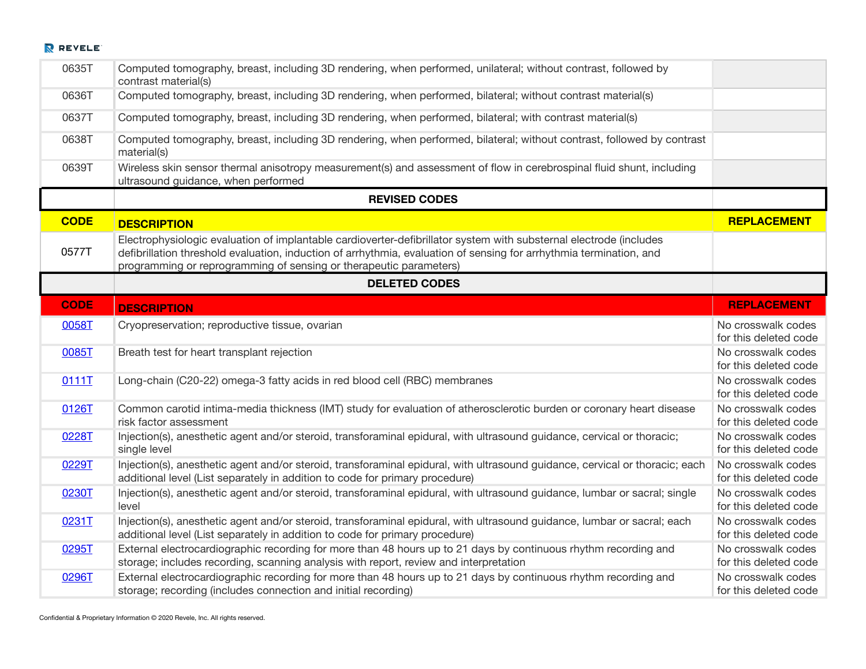| 0635T       | Computed tomography, breast, including 3D rendering, when performed, unilateral; without contrast, followed by<br>contrast material(s)                                                                                                                                                                          |                                             |
|-------------|-----------------------------------------------------------------------------------------------------------------------------------------------------------------------------------------------------------------------------------------------------------------------------------------------------------------|---------------------------------------------|
| 0636T       | Computed tomography, breast, including 3D rendering, when performed, bilateral; without contrast material(s)                                                                                                                                                                                                    |                                             |
| 0637T       | Computed tomography, breast, including 3D rendering, when performed, bilateral; with contrast material(s)                                                                                                                                                                                                       |                                             |
| 0638T       | Computed tomography, breast, including 3D rendering, when performed, bilateral; without contrast, followed by contrast<br>material(s)                                                                                                                                                                           |                                             |
| 0639T       | Wireless skin sensor thermal anisotropy measurement(s) and assessment of flow in cerebrospinal fluid shunt, including<br>ultrasound guidance, when performed                                                                                                                                                    |                                             |
|             | <b>REVISED CODES</b>                                                                                                                                                                                                                                                                                            |                                             |
| <b>CODE</b> | <b>DESCRIPTION</b>                                                                                                                                                                                                                                                                                              | <b>REPLACEMENT</b>                          |
| 0577T       | Electrophysiologic evaluation of implantable cardioverter-defibrillator system with substernal electrode (includes<br>defibrillation threshold evaluation, induction of arrhythmia, evaluation of sensing for arrhythmia termination, and<br>programming or reprogramming of sensing or therapeutic parameters) |                                             |
|             | <b>DELETED CODES</b>                                                                                                                                                                                                                                                                                            |                                             |
| <b>CODE</b> | <b>DESCRIPTION</b>                                                                                                                                                                                                                                                                                              | <b>REPLACEMENT</b>                          |
| 0058T       | Cryopreservation; reproductive tissue, ovarian                                                                                                                                                                                                                                                                  | No crosswalk codes<br>for this deleted code |
| 0085T       | Breath test for heart transplant rejection                                                                                                                                                                                                                                                                      | No crosswalk codes<br>for this deleted code |
| 0111T       | Long-chain (C20-22) omega-3 fatty acids in red blood cell (RBC) membranes                                                                                                                                                                                                                                       | No crosswalk codes<br>for this deleted code |
| 0126T       | Common carotid intima-media thickness (IMT) study for evaluation of atherosclerotic burden or coronary heart disease<br>risk factor assessment                                                                                                                                                                  | No crosswalk codes<br>for this deleted code |
| 0228T       | Injection(s), anesthetic agent and/or steroid, transforaminal epidural, with ultrasound guidance, cervical or thoracic;<br>single level                                                                                                                                                                         | No crosswalk codes<br>for this deleted code |
| 0229T       | Injection(s), anesthetic agent and/or steroid, transforaminal epidural, with ultrasound guidance, cervical or thoracic; each<br>additional level (List separately in addition to code for primary procedure)                                                                                                    | No crosswalk codes<br>for this deleted code |
| 0230T       | Injection(s), anesthetic agent and/or steroid, transforaminal epidural, with ultrasound guidance, lumbar or sacral; single<br>level                                                                                                                                                                             | No crosswalk codes<br>for this deleted code |
| 0231T       | Injection(s), anesthetic agent and/or steroid, transforaminal epidural, with ultrasound guidance, lumbar or sacral; each<br>additional level (List separately in addition to code for primary procedure)                                                                                                        | No crosswalk codes<br>for this deleted code |
| 0295T       | External electrocardiographic recording for more than 48 hours up to 21 days by continuous rhythm recording and<br>storage; includes recording, scanning analysis with report, review and interpretation                                                                                                        | No crosswalk codes<br>for this deleted code |
| 0296T       | External electrocardiographic recording for more than 48 hours up to 21 days by continuous rhythm recording and<br>storage; recording (includes connection and initial recording)                                                                                                                               | No crosswalk codes<br>for this deleted code |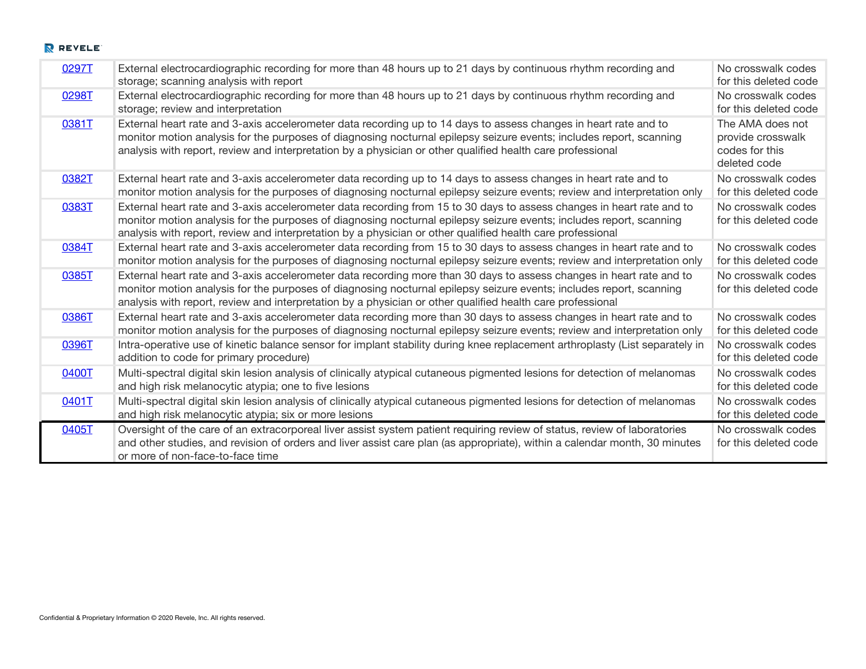| 0297T | External electrocardiographic recording for more than 48 hours up to 21 days by continuous rhythm recording and<br>storage; scanning analysis with report                                                                                                                                                                                                  | No crosswalk codes<br>for this deleted code                             |
|-------|------------------------------------------------------------------------------------------------------------------------------------------------------------------------------------------------------------------------------------------------------------------------------------------------------------------------------------------------------------|-------------------------------------------------------------------------|
| 0298T | External electrocardiographic recording for more than 48 hours up to 21 days by continuous rhythm recording and<br>storage; review and interpretation                                                                                                                                                                                                      | No crosswalk codes<br>for this deleted code                             |
| 0381T | External heart rate and 3-axis accelerometer data recording up to 14 days to assess changes in heart rate and to<br>monitor motion analysis for the purposes of diagnosing nocturnal epilepsy seizure events; includes report, scanning<br>analysis with report, review and interpretation by a physician or other qualified health care professional      | The AMA does not<br>provide crosswalk<br>codes for this<br>deleted code |
| 0382T | External heart rate and 3-axis accelerometer data recording up to 14 days to assess changes in heart rate and to<br>monitor motion analysis for the purposes of diagnosing nocturnal epilepsy seizure events; review and interpretation only                                                                                                               | No crosswalk codes<br>for this deleted code                             |
| 0383T | External heart rate and 3-axis accelerometer data recording from 15 to 30 days to assess changes in heart rate and to<br>monitor motion analysis for the purposes of diagnosing nocturnal epilepsy seizure events; includes report, scanning<br>analysis with report, review and interpretation by a physician or other qualified health care professional | No crosswalk codes<br>for this deleted code                             |
| 0384T | External heart rate and 3-axis accelerometer data recording from 15 to 30 days to assess changes in heart rate and to<br>monitor motion analysis for the purposes of diagnosing nocturnal epilepsy seizure events; review and interpretation only                                                                                                          | No crosswalk codes<br>for this deleted code                             |
| 0385T | External heart rate and 3-axis accelerometer data recording more than 30 days to assess changes in heart rate and to<br>monitor motion analysis for the purposes of diagnosing nocturnal epilepsy seizure events; includes report, scanning<br>analysis with report, review and interpretation by a physician or other qualified health care professional  | No crosswalk codes<br>for this deleted code                             |
| 0386T | External heart rate and 3-axis accelerometer data recording more than 30 days to assess changes in heart rate and to<br>monitor motion analysis for the purposes of diagnosing nocturnal epilepsy seizure events; review and interpretation only                                                                                                           | No crosswalk codes<br>for this deleted code                             |
| 0396T | Intra-operative use of kinetic balance sensor for implant stability during knee replacement arthroplasty (List separately in<br>addition to code for primary procedure)                                                                                                                                                                                    | No crosswalk codes<br>for this deleted code                             |
| 0400T | Multi-spectral digital skin lesion analysis of clinically atypical cutaneous pigmented lesions for detection of melanomas<br>and high risk melanocytic atypia; one to five lesions                                                                                                                                                                         | No crosswalk codes<br>for this deleted code                             |
| 0401T | Multi-spectral digital skin lesion analysis of clinically atypical cutaneous pigmented lesions for detection of melanomas<br>and high risk melanocytic atypia; six or more lesions                                                                                                                                                                         | No crosswalk codes<br>for this deleted code                             |
| 0405T | Oversight of the care of an extracorporeal liver assist system patient requiring review of status, review of laboratories<br>and other studies, and revision of orders and liver assist care plan (as appropriate), within a calendar month, 30 minutes<br>or more of non-face-to-face time                                                                | No crosswalk codes<br>for this deleted code                             |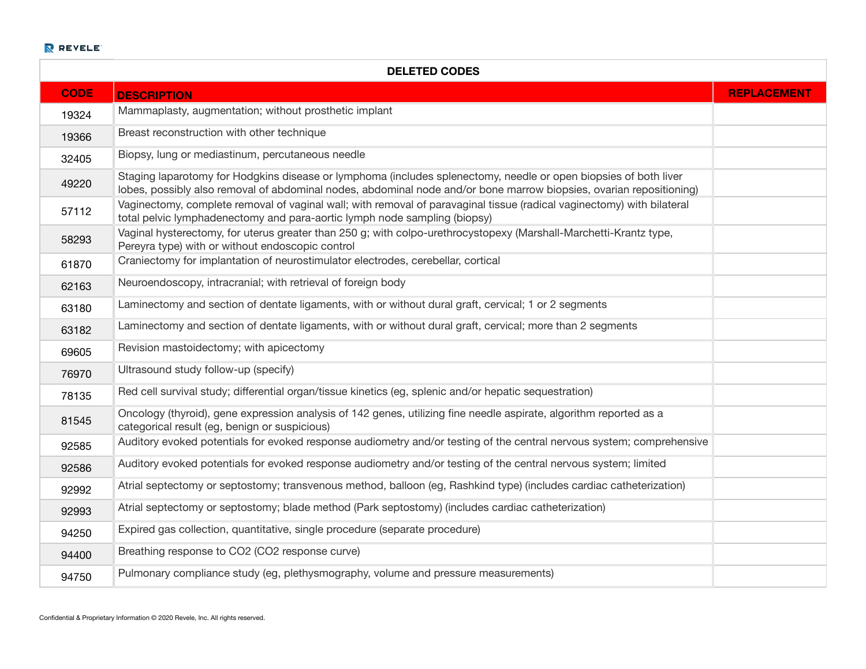| <b>DELETED CODES</b> |                                                                                                                                                                                                                                         |                    |  |  |  |
|----------------------|-----------------------------------------------------------------------------------------------------------------------------------------------------------------------------------------------------------------------------------------|--------------------|--|--|--|
| <b>CODE</b>          | <b>DESCRIPTION</b>                                                                                                                                                                                                                      | <b>REPLACEMENT</b> |  |  |  |
| 19324                | Mammaplasty, augmentation; without prosthetic implant                                                                                                                                                                                   |                    |  |  |  |
| 19366                | Breast reconstruction with other technique                                                                                                                                                                                              |                    |  |  |  |
| 32405                | Biopsy, lung or mediastinum, percutaneous needle                                                                                                                                                                                        |                    |  |  |  |
| 49220                | Staging laparotomy for Hodgkins disease or lymphoma (includes splenectomy, needle or open biopsies of both liver<br>lobes, possibly also removal of abdominal nodes, abdominal node and/or bone marrow biopsies, ovarian repositioning) |                    |  |  |  |
| 57112                | Vaginectomy, complete removal of vaginal wall; with removal of paravaginal tissue (radical vaginectomy) with bilateral<br>total pelvic lymphadenectomy and para-aortic lymph node sampling (biopsy)                                     |                    |  |  |  |
| 58293                | Vaginal hysterectomy, for uterus greater than 250 g; with colpo-urethrocystopexy (Marshall-Marchetti-Krantz type,<br>Pereyra type) with or without endoscopic control                                                                   |                    |  |  |  |
| 61870                | Craniectomy for implantation of neurostimulator electrodes, cerebellar, cortical                                                                                                                                                        |                    |  |  |  |
| 62163                | Neuroendoscopy, intracranial; with retrieval of foreign body                                                                                                                                                                            |                    |  |  |  |
| 63180                | Laminectomy and section of dentate ligaments, with or without dural graft, cervical; 1 or 2 segments                                                                                                                                    |                    |  |  |  |
| 63182                | Laminectomy and section of dentate ligaments, with or without dural graft, cervical; more than 2 segments                                                                                                                               |                    |  |  |  |
| 69605                | Revision mastoidectomy; with apicectomy                                                                                                                                                                                                 |                    |  |  |  |
| 76970                | Ultrasound study follow-up (specify)                                                                                                                                                                                                    |                    |  |  |  |
| 78135                | Red cell survival study; differential organ/tissue kinetics (eg, splenic and/or hepatic sequestration)                                                                                                                                  |                    |  |  |  |
| 81545                | Oncology (thyroid), gene expression analysis of 142 genes, utilizing fine needle aspirate, algorithm reported as a<br>categorical result (eg, benign or suspicious)                                                                     |                    |  |  |  |
| 92585                | Auditory evoked potentials for evoked response audiometry and/or testing of the central nervous system; comprehensive                                                                                                                   |                    |  |  |  |
| 92586                | Auditory evoked potentials for evoked response audiometry and/or testing of the central nervous system; limited                                                                                                                         |                    |  |  |  |
| 92992                | Atrial septectomy or septostomy; transvenous method, balloon (eg, Rashkind type) (includes cardiac catheterization)                                                                                                                     |                    |  |  |  |
| 92993                | Atrial septectomy or septostomy; blade method (Park septostomy) (includes cardiac catheterization)                                                                                                                                      |                    |  |  |  |
| 94250                | Expired gas collection, quantitative, single procedure (separate procedure)                                                                                                                                                             |                    |  |  |  |
| 94400                | Breathing response to CO2 (CO2 response curve)                                                                                                                                                                                          |                    |  |  |  |
| 94750                | Pulmonary compliance study (eg, plethysmography, volume and pressure measurements)                                                                                                                                                      |                    |  |  |  |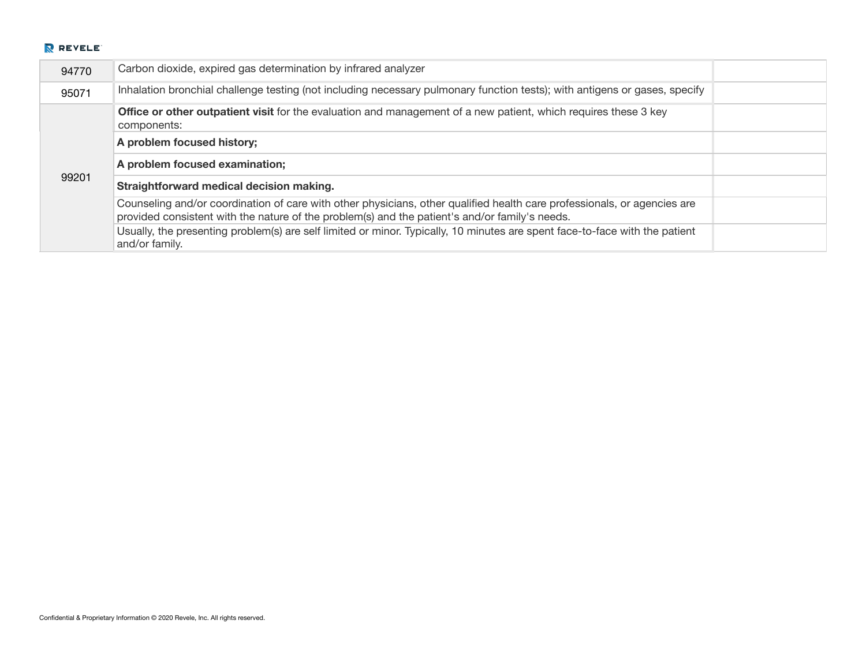| 94770 | Carbon dioxide, expired gas determination by infrared analyzer                                                                                                                                                             |  |
|-------|----------------------------------------------------------------------------------------------------------------------------------------------------------------------------------------------------------------------------|--|
| 95071 | Inhalation bronchial challenge testing (not including necessary pulmonary function tests); with antigens or gases, specify                                                                                                 |  |
|       | <b>Office or other outpatient visit for the evaluation and management of a new patient, which requires these 3 key</b><br>components:                                                                                      |  |
|       | A problem focused history;                                                                                                                                                                                                 |  |
|       |                                                                                                                                                                                                                            |  |
|       | A problem focused examination;                                                                                                                                                                                             |  |
| 99201 | Straightforward medical decision making.                                                                                                                                                                                   |  |
|       | Counseling and/or coordination of care with other physicians, other qualified health care professionals, or agencies are<br>provided consistent with the nature of the problem(s) and the patient's and/or family's needs. |  |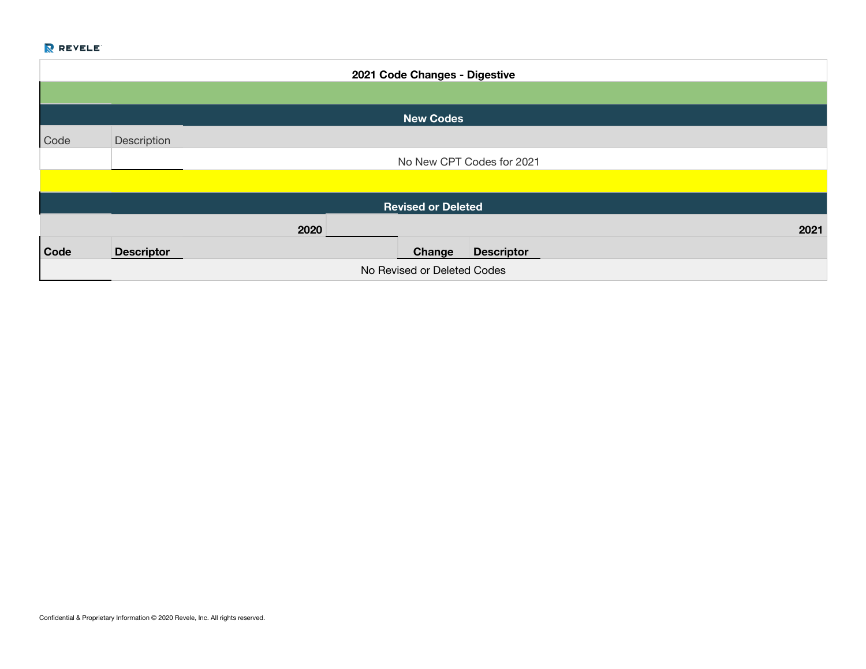|             | 2021 Code Changes - Digestive |      |  |                           |                           |      |
|-------------|-------------------------------|------|--|---------------------------|---------------------------|------|
|             |                               |      |  |                           |                           |      |
|             |                               |      |  | <b>New Codes</b>          |                           |      |
| Code        | Description                   |      |  |                           |                           |      |
|             |                               |      |  |                           | No New CPT Codes for 2021 |      |
|             |                               |      |  |                           |                           |      |
|             |                               |      |  | <b>Revised or Deleted</b> |                           |      |
|             |                               | 2020 |  |                           |                           | 2021 |
| <b>Code</b> | <b>Descriptor</b>             |      |  | Change                    | <b>Descriptor</b>         |      |
|             | No Revised or Deleted Codes   |      |  |                           |                           |      |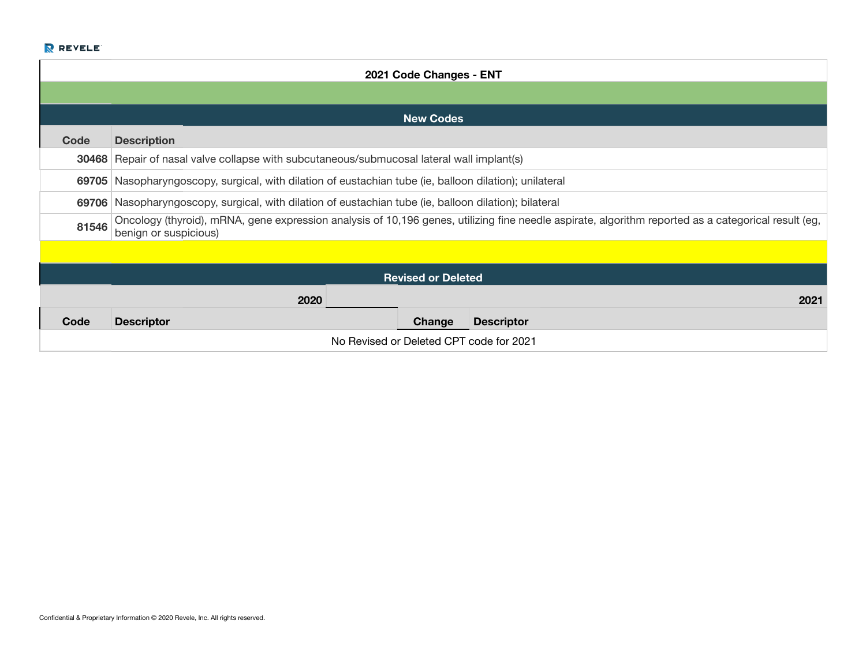|       | 2021 Code Changes - ENT                                                                                                                                                      |  |  |  |  |
|-------|------------------------------------------------------------------------------------------------------------------------------------------------------------------------------|--|--|--|--|
|       |                                                                                                                                                                              |  |  |  |  |
|       | <b>New Codes</b>                                                                                                                                                             |  |  |  |  |
| Code  | <b>Description</b>                                                                                                                                                           |  |  |  |  |
|       | <b>30468</b> Repair of nasal valve collapse with subcutaneous/submucosal lateral wall implant(s)                                                                             |  |  |  |  |
| 69705 | Nasopharyngoscopy, surgical, with dilation of eustachian tube (ie, balloon dilation); unilateral                                                                             |  |  |  |  |
| 69706 | Nasopharyngoscopy, surgical, with dilation of eustachian tube (ie, balloon dilation); bilateral                                                                              |  |  |  |  |
| 81546 | Oncology (thyroid), mRNA, gene expression analysis of 10,196 genes, utilizing fine needle aspirate, algorithm reported as a categorical result (eg,<br>benign or suspicious) |  |  |  |  |
|       |                                                                                                                                                                              |  |  |  |  |
|       | <b>Revised or Deleted</b>                                                                                                                                                    |  |  |  |  |
|       | 2020<br>2021                                                                                                                                                                 |  |  |  |  |
| Code  | Change<br><b>Descriptor</b><br><b>Descriptor</b>                                                                                                                             |  |  |  |  |
|       | No Revised or Deleted CPT code for 2021                                                                                                                                      |  |  |  |  |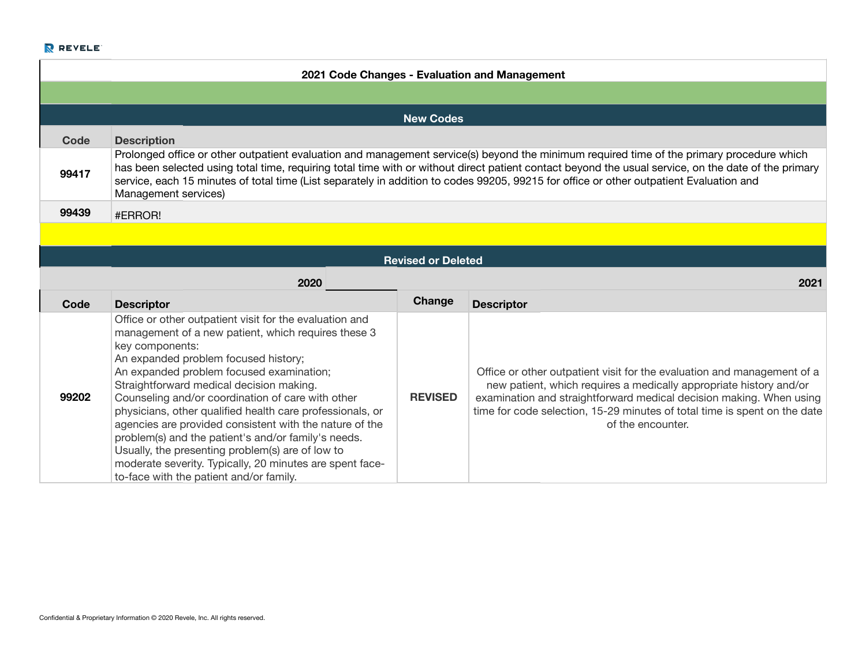|       |                                                                                                                                                                                                                                                                                                                                                                                                                                                                                                                                                                                                                       |                           | 2021 Code Changes - Evaluation and Management                                                                                                                                                                                                                                                                          |
|-------|-----------------------------------------------------------------------------------------------------------------------------------------------------------------------------------------------------------------------------------------------------------------------------------------------------------------------------------------------------------------------------------------------------------------------------------------------------------------------------------------------------------------------------------------------------------------------------------------------------------------------|---------------------------|------------------------------------------------------------------------------------------------------------------------------------------------------------------------------------------------------------------------------------------------------------------------------------------------------------------------|
|       |                                                                                                                                                                                                                                                                                                                                                                                                                                                                                                                                                                                                                       |                           |                                                                                                                                                                                                                                                                                                                        |
|       |                                                                                                                                                                                                                                                                                                                                                                                                                                                                                                                                                                                                                       | <b>New Codes</b>          |                                                                                                                                                                                                                                                                                                                        |
| Code  | <b>Description</b>                                                                                                                                                                                                                                                                                                                                                                                                                                                                                                                                                                                                    |                           |                                                                                                                                                                                                                                                                                                                        |
| 99417 | Prolonged office or other outpatient evaluation and management service(s) beyond the minimum required time of the primary procedure which<br>has been selected using total time, requiring total time with or without direct patient contact beyond the usual service, on the date of the primary<br>service, each 15 minutes of total time (List separately in addition to codes 99205, 99215 for office or other outpatient Evaluation and<br>Management services)                                                                                                                                                  |                           |                                                                                                                                                                                                                                                                                                                        |
| 99439 | #ERROR!                                                                                                                                                                                                                                                                                                                                                                                                                                                                                                                                                                                                               |                           |                                                                                                                                                                                                                                                                                                                        |
|       |                                                                                                                                                                                                                                                                                                                                                                                                                                                                                                                                                                                                                       |                           |                                                                                                                                                                                                                                                                                                                        |
|       |                                                                                                                                                                                                                                                                                                                                                                                                                                                                                                                                                                                                                       | <b>Revised or Deleted</b> |                                                                                                                                                                                                                                                                                                                        |
|       | 2020                                                                                                                                                                                                                                                                                                                                                                                                                                                                                                                                                                                                                  |                           | 2021                                                                                                                                                                                                                                                                                                                   |
| Code  | <b>Descriptor</b>                                                                                                                                                                                                                                                                                                                                                                                                                                                                                                                                                                                                     | Change                    | <b>Descriptor</b>                                                                                                                                                                                                                                                                                                      |
| 99202 | Office or other outpatient visit for the evaluation and<br>management of a new patient, which requires these 3<br>key components:<br>An expanded problem focused history;<br>An expanded problem focused examination;<br>Straightforward medical decision making.<br>Counseling and/or coordination of care with other<br>physicians, other qualified health care professionals, or<br>agencies are provided consistent with the nature of the<br>problem(s) and the patient's and/or family's needs.<br>Usually, the presenting problem(s) are of low to<br>moderate severity. Typically, 20 minutes are spent face- | <b>REVISED</b>            | Office or other outpatient visit for the evaluation and management of a<br>new patient, which requires a medically appropriate history and/or<br>examination and straightforward medical decision making. When using<br>time for code selection, 15-29 minutes of total time is spent on the date<br>of the encounter. |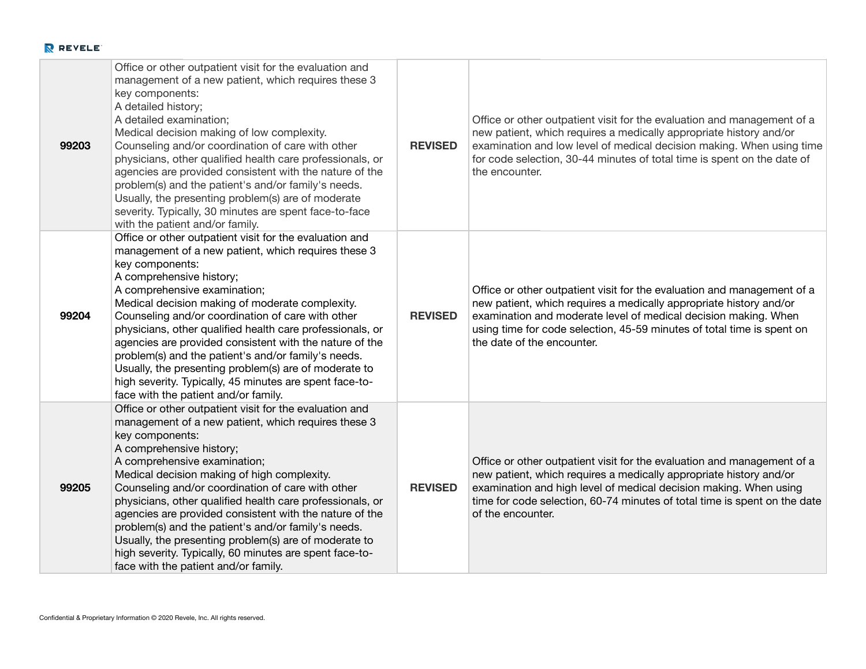| 99203 | Office or other outpatient visit for the evaluation and<br>management of a new patient, which requires these 3<br>key components:<br>A detailed history;<br>A detailed examination;<br>Medical decision making of low complexity.<br>Counseling and/or coordination of care with other<br>physicians, other qualified health care professionals, or<br>agencies are provided consistent with the nature of the<br>problem(s) and the patient's and/or family's needs.<br>Usually, the presenting problem(s) are of moderate<br>severity. Typically, 30 minutes are spent face-to-face<br>with the patient and/or family.                         | <b>REVISED</b> | Office or other outpatient visit for the evaluation and management of a<br>new patient, which requires a medically appropriate history and/or<br>examination and low level of medical decision making. When using time<br>for code selection, 30-44 minutes of total time is spent on the date of<br>the encounter.      |
|-------|--------------------------------------------------------------------------------------------------------------------------------------------------------------------------------------------------------------------------------------------------------------------------------------------------------------------------------------------------------------------------------------------------------------------------------------------------------------------------------------------------------------------------------------------------------------------------------------------------------------------------------------------------|----------------|--------------------------------------------------------------------------------------------------------------------------------------------------------------------------------------------------------------------------------------------------------------------------------------------------------------------------|
| 99204 | Office or other outpatient visit for the evaluation and<br>management of a new patient, which requires these 3<br>key components:<br>A comprehensive history;<br>A comprehensive examination;<br>Medical decision making of moderate complexity.<br>Counseling and/or coordination of care with other<br>physicians, other qualified health care professionals, or<br>agencies are provided consistent with the nature of the<br>problem(s) and the patient's and/or family's needs.<br>Usually, the presenting problem(s) are of moderate to<br>high severity. Typically, 45 minutes are spent face-to-<br>face with the patient and/or family. | <b>REVISED</b> | Office or other outpatient visit for the evaluation and management of a<br>new patient, which requires a medically appropriate history and/or<br>examination and moderate level of medical decision making. When<br>using time for code selection, 45-59 minutes of total time is spent on<br>the date of the encounter. |
| 99205 | Office or other outpatient visit for the evaluation and<br>management of a new patient, which requires these 3<br>key components:<br>A comprehensive history;<br>A comprehensive examination;<br>Medical decision making of high complexity.<br>Counseling and/or coordination of care with other<br>physicians, other qualified health care professionals, or<br>agencies are provided consistent with the nature of the<br>problem(s) and the patient's and/or family's needs.<br>Usually, the presenting problem(s) are of moderate to<br>high severity. Typically, 60 minutes are spent face-to-<br>face with the patient and/or family.     | <b>REVISED</b> | Office or other outpatient visit for the evaluation and management of a<br>new patient, which requires a medically appropriate history and/or<br>examination and high level of medical decision making. When using<br>time for code selection, 60-74 minutes of total time is spent on the date<br>of the encounter.     |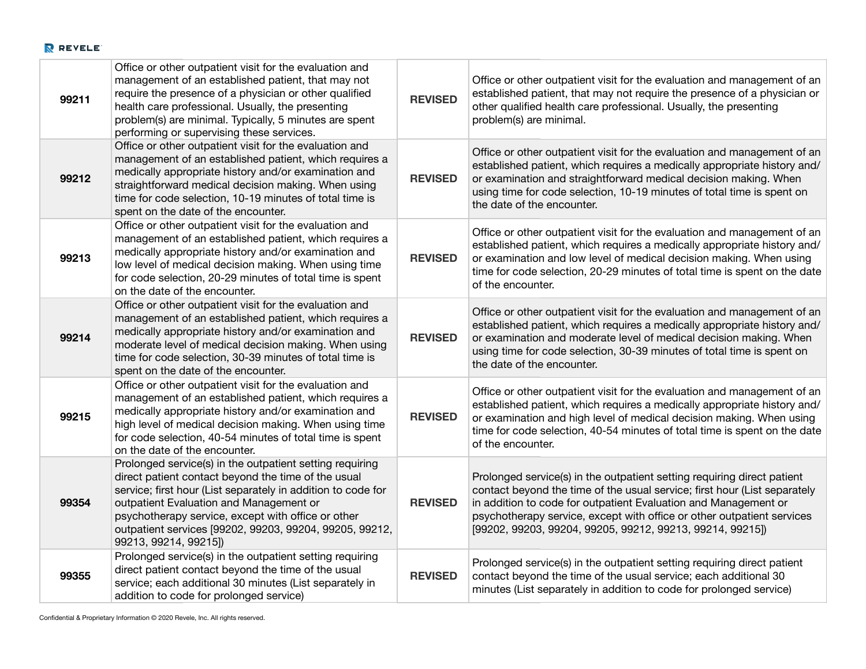| 99211 | Office or other outpatient visit for the evaluation and<br>management of an established patient, that may not<br>require the presence of a physician or other qualified<br>health care professional. Usually, the presenting<br>problem(s) are minimal. Typically, 5 minutes are spent<br>performing or supervising these services.                                  | <b>REVISED</b> | Office or other outpatient visit for the evaluation and management of an<br>established patient, that may not require the presence of a physician or<br>other qualified health care professional. Usually, the presenting<br>problem(s) are minimal.                                                                                                           |
|-------|----------------------------------------------------------------------------------------------------------------------------------------------------------------------------------------------------------------------------------------------------------------------------------------------------------------------------------------------------------------------|----------------|----------------------------------------------------------------------------------------------------------------------------------------------------------------------------------------------------------------------------------------------------------------------------------------------------------------------------------------------------------------|
| 99212 | Office or other outpatient visit for the evaluation and<br>management of an established patient, which requires a<br>medically appropriate history and/or examination and<br>straightforward medical decision making. When using<br>time for code selection, 10-19 minutes of total time is<br>spent on the date of the encounter.                                   | <b>REVISED</b> | Office or other outpatient visit for the evaluation and management of an<br>established patient, which requires a medically appropriate history and/<br>or examination and straightforward medical decision making. When<br>using time for code selection, 10-19 minutes of total time is spent on<br>the date of the encounter.                               |
| 99213 | Office or other outpatient visit for the evaluation and<br>management of an established patient, which requires a<br>medically appropriate history and/or examination and<br>low level of medical decision making. When using time<br>for code selection, 20-29 minutes of total time is spent<br>on the date of the encounter.                                      | <b>REVISED</b> | Office or other outpatient visit for the evaluation and management of an<br>established patient, which requires a medically appropriate history and/<br>or examination and low level of medical decision making. When using<br>time for code selection, 20-29 minutes of total time is spent on the date<br>of the encounter.                                  |
| 99214 | Office or other outpatient visit for the evaluation and<br>management of an established patient, which requires a<br>medically appropriate history and/or examination and<br>moderate level of medical decision making. When using<br>time for code selection, 30-39 minutes of total time is<br>spent on the date of the encounter.                                 | <b>REVISED</b> | Office or other outpatient visit for the evaluation and management of an<br>established patient, which requires a medically appropriate history and/<br>or examination and moderate level of medical decision making. When<br>using time for code selection, 30-39 minutes of total time is spent on<br>the date of the encounter.                             |
| 99215 | Office or other outpatient visit for the evaluation and<br>management of an established patient, which requires a<br>medically appropriate history and/or examination and<br>high level of medical decision making. When using time<br>for code selection, 40-54 minutes of total time is spent<br>on the date of the encounter.                                     | <b>REVISED</b> | Office or other outpatient visit for the evaluation and management of an<br>established patient, which requires a medically appropriate history and/<br>or examination and high level of medical decision making. When using<br>time for code selection, 40-54 minutes of total time is spent on the date<br>of the encounter.                                 |
| 99354 | Prolonged service(s) in the outpatient setting requiring<br>direct patient contact beyond the time of the usual<br>service; first hour (List separately in addition to code for<br>outpatient Evaluation and Management or<br>psychotherapy service, except with office or other<br>outpatient services [99202, 99203, 99204, 99205, 99212,<br>99213, 99214, 99215]) | <b>REVISED</b> | Prolonged service(s) in the outpatient setting requiring direct patient<br>contact beyond the time of the usual service; first hour (List separately<br>in addition to code for outpatient Evaluation and Management or<br>psychotherapy service, except with office or other outpatient services<br>[99202, 99203, 99204, 99205, 99212, 99213, 99214, 99215]) |
| 99355 | Prolonged service(s) in the outpatient setting requiring<br>direct patient contact beyond the time of the usual<br>service; each additional 30 minutes (List separately in<br>addition to code for prolonged service)                                                                                                                                                | <b>REVISED</b> | Prolonged service(s) in the outpatient setting requiring direct patient<br>contact beyond the time of the usual service; each additional 30<br>minutes (List separately in addition to code for prolonged service)                                                                                                                                             |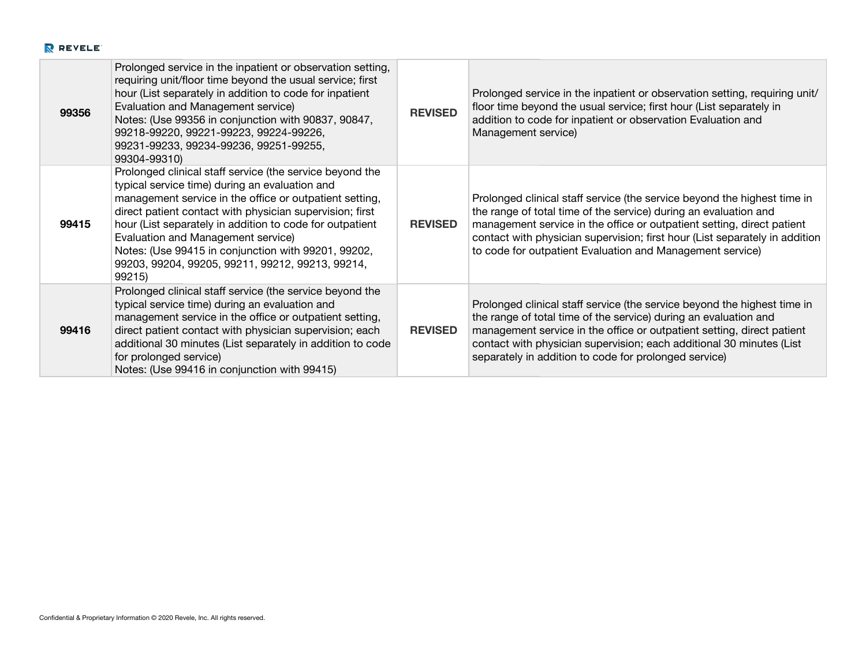| 99356 | Prolonged service in the inpatient or observation setting,<br>requiring unit/floor time beyond the usual service; first<br>hour (List separately in addition to code for inpatient<br>Evaluation and Management service)<br>Notes: (Use 99356 in conjunction with 90837, 90847,<br>99218-99220, 99221-99223, 99224-99226,<br>99231-99233, 99234-99236, 99251-99255,<br>99304-99310)                                                                      | <b>REVISED</b> | Prolonged service in the inpatient or observation setting, requiring unit/<br>floor time beyond the usual service; first hour (List separately in<br>addition to code for inpatient or observation Evaluation and<br>Management service)                                                                                                                           |
|-------|----------------------------------------------------------------------------------------------------------------------------------------------------------------------------------------------------------------------------------------------------------------------------------------------------------------------------------------------------------------------------------------------------------------------------------------------------------|----------------|--------------------------------------------------------------------------------------------------------------------------------------------------------------------------------------------------------------------------------------------------------------------------------------------------------------------------------------------------------------------|
| 99415 | Prolonged clinical staff service (the service beyond the<br>typical service time) during an evaluation and<br>management service in the office or outpatient setting,<br>direct patient contact with physician supervision; first<br>hour (List separately in addition to code for outpatient<br>Evaluation and Management service)<br>Notes: (Use 99415 in conjunction with 99201, 99202,<br>99203, 99204, 99205, 99211, 99212, 99213, 99214,<br>99215) | <b>REVISED</b> | Prolonged clinical staff service (the service beyond the highest time in<br>the range of total time of the service) during an evaluation and<br>management service in the office or outpatient setting, direct patient<br>contact with physician supervision; first hour (List separately in addition<br>to code for outpatient Evaluation and Management service) |
| 99416 | Prolonged clinical staff service (the service beyond the<br>typical service time) during an evaluation and<br>management service in the office or outpatient setting,<br>direct patient contact with physician supervision; each<br>additional 30 minutes (List separately in addition to code<br>for prolonged service)<br>Notes: (Use 99416 in conjunction with 99415)                                                                                 | <b>REVISED</b> | Prolonged clinical staff service (the service beyond the highest time in<br>the range of total time of the service) during an evaluation and<br>management service in the office or outpatient setting, direct patient<br>contact with physician supervision; each additional 30 minutes (List<br>separately in addition to code for prolonged service)            |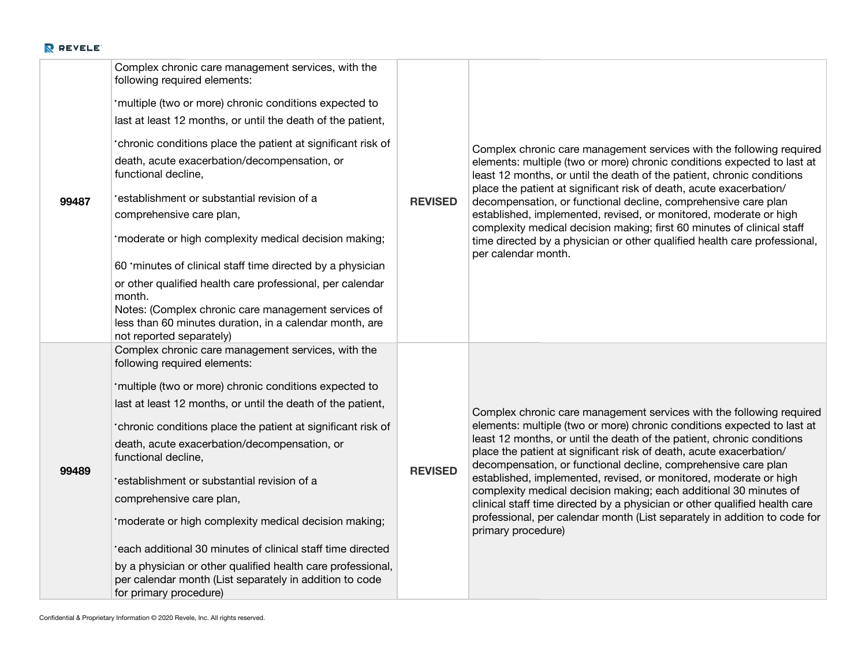| 99487 | Complex chronic care management services, with the<br>following required elements:<br>'multiple (two or more) chronic conditions expected to<br>last at least 12 months, or until the death of the patient,<br>'chronic conditions place the patient at significant risk of<br>death, acute exacerbation/decompensation, or<br>functional decline,<br>'establishment or substantial revision of a<br>comprehensive care plan,<br>'moderate or high complexity medical decision making;<br>60 'minutes of clinical staff time directed by a physician<br>or other qualified health care professional, per calendar<br>month.<br>Notes: (Complex chronic care management services of<br>less than 60 minutes duration, in a calendar month, are<br>not reported separately) | <b>REVISED</b> | Complex chronic care management services with the following required<br>elements: multiple (two or more) chronic conditions expected to last at<br>least 12 months, or until the death of the patient, chronic conditions<br>place the patient at significant risk of death, acute exacerbation/<br>decompensation, or functional decline, comprehensive care plan<br>established, implemented, revised, or monitored, moderate or high<br>complexity medical decision making; first 60 minutes of clinical staff<br>time directed by a physician or other qualified health care professional,<br>per calendar month.                                                                         |
|-------|---------------------------------------------------------------------------------------------------------------------------------------------------------------------------------------------------------------------------------------------------------------------------------------------------------------------------------------------------------------------------------------------------------------------------------------------------------------------------------------------------------------------------------------------------------------------------------------------------------------------------------------------------------------------------------------------------------------------------------------------------------------------------|----------------|-----------------------------------------------------------------------------------------------------------------------------------------------------------------------------------------------------------------------------------------------------------------------------------------------------------------------------------------------------------------------------------------------------------------------------------------------------------------------------------------------------------------------------------------------------------------------------------------------------------------------------------------------------------------------------------------------|
| 99489 | Complex chronic care management services, with the<br>following required elements:<br>'multiple (two or more) chronic conditions expected to<br>last at least 12 months, or until the death of the patient,<br>*chronic conditions place the patient at significant risk of<br>death, acute exacerbation/decompensation, or<br>functional decline,<br>'establishment or substantial revision of a<br>comprehensive care plan,<br>'moderate or high complexity medical decision making;<br>'each additional 30 minutes of clinical staff time directed<br>by a physician or other qualified health care professional,<br>per calendar month (List separately in addition to code<br>for primary procedure)                                                                 | <b>REVISED</b> | Complex chronic care management services with the following required<br>elements: multiple (two or more) chronic conditions expected to last at<br>least 12 months, or until the death of the patient, chronic conditions<br>place the patient at significant risk of death, acute exacerbation/<br>decompensation, or functional decline, comprehensive care plan<br>established, implemented, revised, or monitored, moderate or high<br>complexity medical decision making; each additional 30 minutes of<br>clinical staff time directed by a physician or other qualified health care<br>professional, per calendar month (List separately in addition to code for<br>primary procedure) |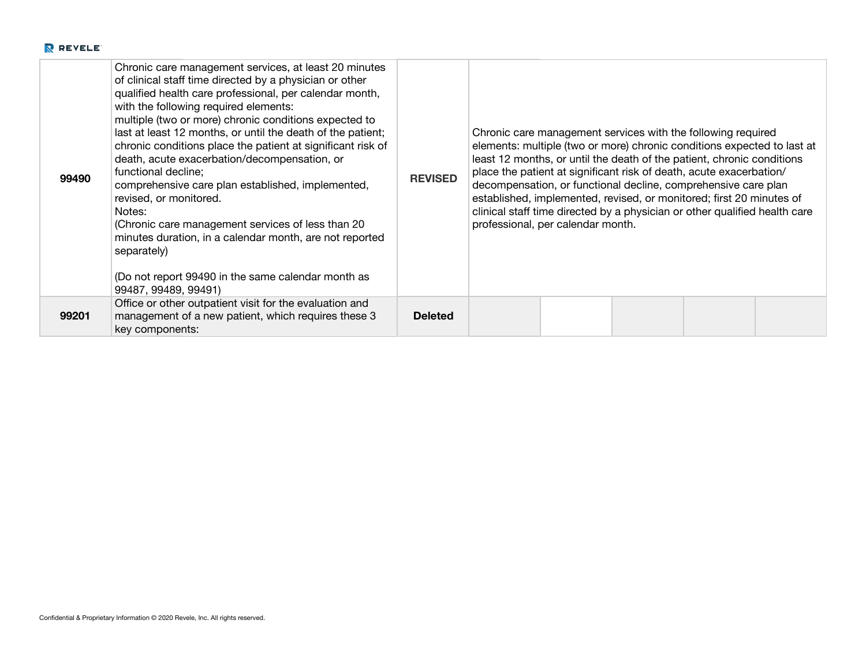| 99490 | Chronic care management services, at least 20 minutes<br>of clinical staff time directed by a physician or other<br>qualified health care professional, per calendar month,<br>with the following required elements:<br>multiple (two or more) chronic conditions expected to<br>last at least 12 months, or until the death of the patient;<br>chronic conditions place the patient at significant risk of<br>death, acute exacerbation/decompensation, or<br>functional decline;<br>comprehensive care plan established, implemented,<br>revised, or monitored.<br>Notes:<br>(Chronic care management services of less than 20<br>minutes duration, in a calendar month, are not reported<br>separately)<br>(Do not report 99490 in the same calendar month as<br>99487, 99489, 99491) | <b>REVISED</b> | Chronic care management services with the following required<br>elements: multiple (two or more) chronic conditions expected to last at<br>least 12 months, or until the death of the patient, chronic conditions<br>place the patient at significant risk of death, acute exacerbation/<br>decompensation, or functional decline, comprehensive care plan<br>established, implemented, revised, or monitored; first 20 minutes of<br>clinical staff time directed by a physician or other qualified health care<br>professional, per calendar month. |
|-------|------------------------------------------------------------------------------------------------------------------------------------------------------------------------------------------------------------------------------------------------------------------------------------------------------------------------------------------------------------------------------------------------------------------------------------------------------------------------------------------------------------------------------------------------------------------------------------------------------------------------------------------------------------------------------------------------------------------------------------------------------------------------------------------|----------------|-------------------------------------------------------------------------------------------------------------------------------------------------------------------------------------------------------------------------------------------------------------------------------------------------------------------------------------------------------------------------------------------------------------------------------------------------------------------------------------------------------------------------------------------------------|
| 99201 | Office or other outpatient visit for the evaluation and<br>management of a new patient, which requires these 3<br>key components:                                                                                                                                                                                                                                                                                                                                                                                                                                                                                                                                                                                                                                                        | <b>Deleted</b> |                                                                                                                                                                                                                                                                                                                                                                                                                                                                                                                                                       |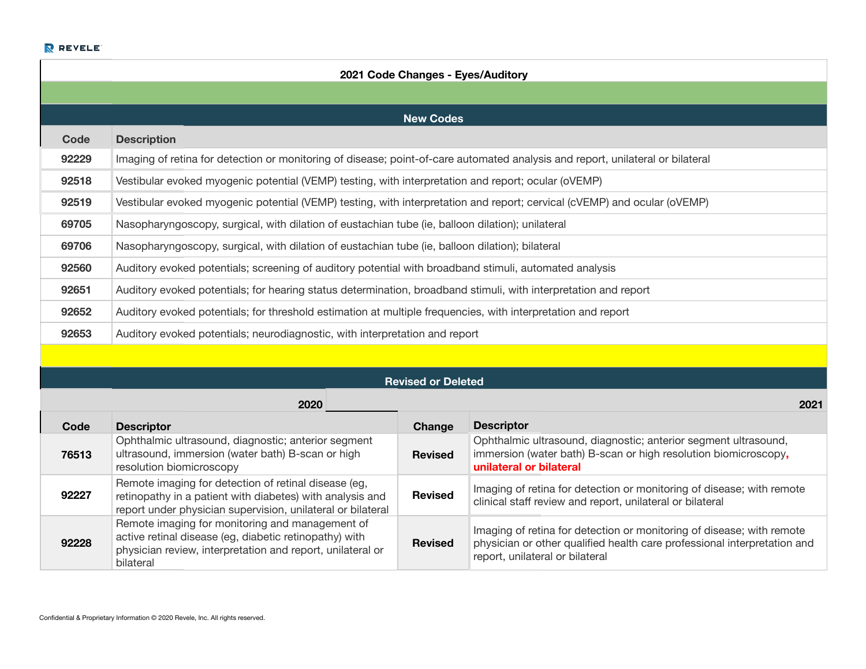| 2021 Code Changes - Eyes/Auditory |                                                                                                                                |  |  |  |  |
|-----------------------------------|--------------------------------------------------------------------------------------------------------------------------------|--|--|--|--|
|                                   |                                                                                                                                |  |  |  |  |
|                                   | <b>New Codes</b>                                                                                                               |  |  |  |  |
| Code                              | <b>Description</b>                                                                                                             |  |  |  |  |
| 92229                             | Imaging of retina for detection or monitoring of disease; point-of-care automated analysis and report, unilateral or bilateral |  |  |  |  |
| 92518                             | Vestibular evoked myogenic potential (VEMP) testing, with interpretation and report; ocular (oVEMP)                            |  |  |  |  |
| 92519                             | Vestibular evoked myogenic potential (VEMP) testing, with interpretation and report; cervical (cVEMP) and ocular (oVEMP)       |  |  |  |  |
| 69705                             | Nasopharyngoscopy, surgical, with dilation of eustachian tube (ie, balloon dilation); unilateral                               |  |  |  |  |
| 69706                             | Nasopharyngoscopy, surgical, with dilation of eustachian tube (ie, balloon dilation); bilateral                                |  |  |  |  |
| 92560                             | Auditory evoked potentials; screening of auditory potential with broadband stimuli, automated analysis                         |  |  |  |  |
| 92651                             | Auditory evoked potentials; for hearing status determination, broadband stimuli, with interpretation and report                |  |  |  |  |
| 92652                             | Auditory evoked potentials; for threshold estimation at multiple frequencies, with interpretation and report                   |  |  |  |  |
| 92653                             | Auditory evoked potentials; neurodiagnostic, with interpretation and report                                                    |  |  |  |  |

| <b>Revised or Deleted</b> |  |  |
|---------------------------|--|--|
|---------------------------|--|--|

|       | 2020                                                                                                                                                                                 |                | 2021                                                                                                                                                                                 |  |
|-------|--------------------------------------------------------------------------------------------------------------------------------------------------------------------------------------|----------------|--------------------------------------------------------------------------------------------------------------------------------------------------------------------------------------|--|
| Code  | <b>Descriptor</b>                                                                                                                                                                    | Change         | <b>Descriptor</b>                                                                                                                                                                    |  |
| 76513 | Ophthalmic ultrasound, diagnostic; anterior segment<br>ultrasound, immersion (water bath) B-scan or high<br>resolution biomicroscopy                                                 | <b>Revised</b> | Ophthalmic ultrasound, diagnostic; anterior segment ultrasound,<br>immersion (water bath) B-scan or high resolution biomicroscopy,<br>unilateral or bilateral                        |  |
| 92227 | Remote imaging for detection of retinal disease (eg,<br>retinopathy in a patient with diabetes) with analysis and<br>report under physician supervision, unilateral or bilateral     | <b>Revised</b> | Imaging of retina for detection or monitoring of disease; with remote<br>clinical staff review and report, unilateral or bilateral                                                   |  |
| 92228 | Remote imaging for monitoring and management of<br>active retinal disease (eg, diabetic retinopathy) with<br>physician review, interpretation and report, unilateral or<br>bilateral | <b>Revised</b> | Imaging of retina for detection or monitoring of disease; with remote<br>physician or other qualified health care professional interpretation and<br>report, unilateral or bilateral |  |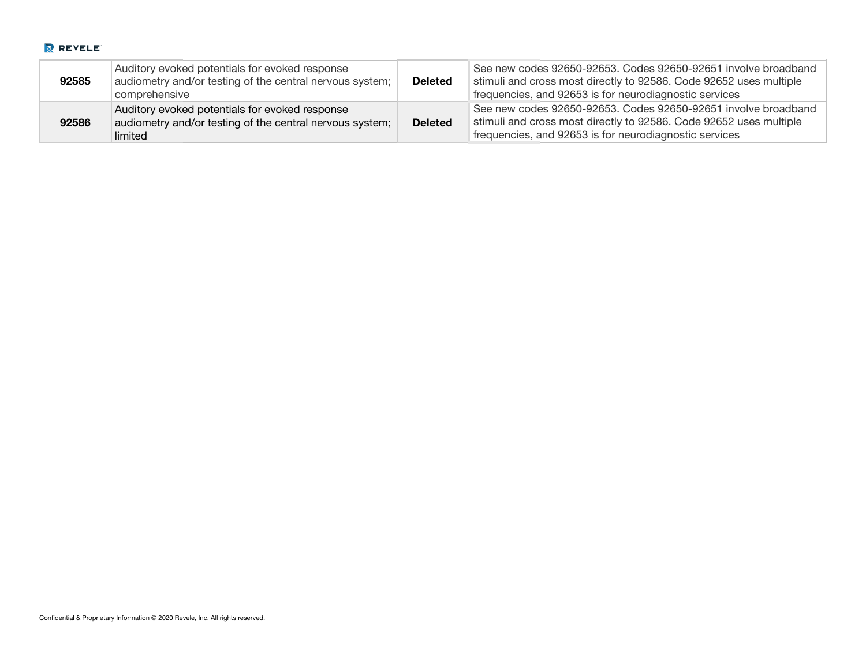| 92585 | Auditory evoked potentials for evoked response<br>audiometry and/or testing of the central nervous system;<br>comprehensive | <b>Deleted</b> | See new codes 92650-92653. Codes 92650-92651 involve broadband<br>stimuli and cross most directly to 92586. Code 92652 uses multiple<br>frequencies, and 92653 is for neurodiagnostic services |
|-------|-----------------------------------------------------------------------------------------------------------------------------|----------------|------------------------------------------------------------------------------------------------------------------------------------------------------------------------------------------------|
| 92586 | Auditory evoked potentials for evoked response<br>audiometry and/or testing of the central nervous system;<br>limited       | <b>Deleted</b> | See new codes 92650-92653. Codes 92650-92651 involve broadband<br>stimuli and cross most directly to 92586. Code 92652 uses multiple<br>frequencies, and 92653 is for neurodiagnostic services |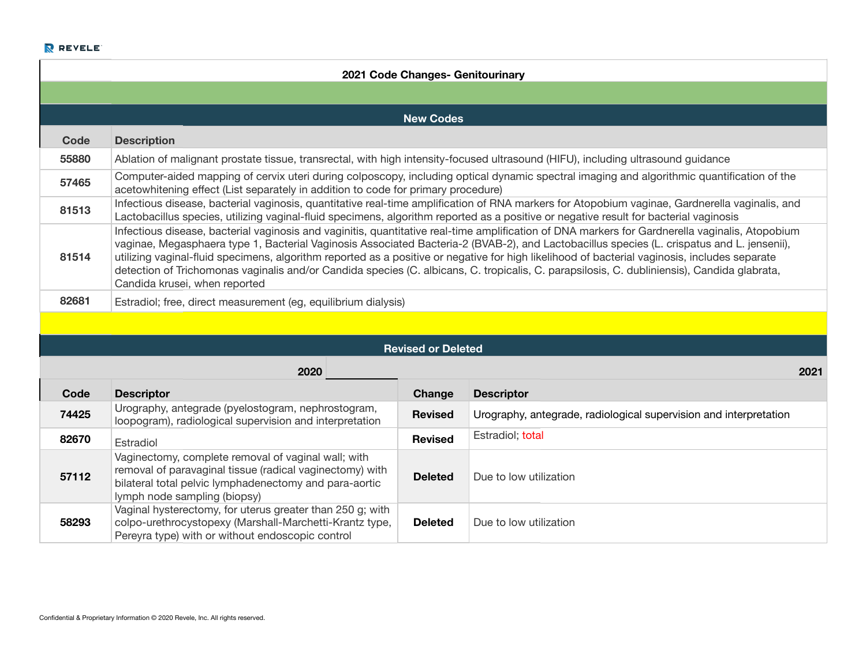| 2021 Code Changes- Genitourinary |                                                                                                                                                                                                                                                                                                                                                                                                                                                                                                                                                                                                                                |                           |                                                                                                                                                |  |  |  |  |
|----------------------------------|--------------------------------------------------------------------------------------------------------------------------------------------------------------------------------------------------------------------------------------------------------------------------------------------------------------------------------------------------------------------------------------------------------------------------------------------------------------------------------------------------------------------------------------------------------------------------------------------------------------------------------|---------------------------|------------------------------------------------------------------------------------------------------------------------------------------------|--|--|--|--|
|                                  |                                                                                                                                                                                                                                                                                                                                                                                                                                                                                                                                                                                                                                |                           |                                                                                                                                                |  |  |  |  |
|                                  | <b>New Codes</b>                                                                                                                                                                                                                                                                                                                                                                                                                                                                                                                                                                                                               |                           |                                                                                                                                                |  |  |  |  |
| <b>Code</b>                      | <b>Description</b>                                                                                                                                                                                                                                                                                                                                                                                                                                                                                                                                                                                                             |                           |                                                                                                                                                |  |  |  |  |
| 55880                            | Ablation of malignant prostate tissue, transrectal, with high intensity-focused ultrasound (HIFU), including ultrasound guidance                                                                                                                                                                                                                                                                                                                                                                                                                                                                                               |                           |                                                                                                                                                |  |  |  |  |
| 57465                            | acetowhitening effect (List separately in addition to code for primary procedure)                                                                                                                                                                                                                                                                                                                                                                                                                                                                                                                                              |                           | Computer-aided mapping of cervix uteri during colposcopy, including optical dynamic spectral imaging and algorithmic quantification of the     |  |  |  |  |
| 81513                            | Lactobacillus species, utilizing vaginal-fluid specimens, algorithm reported as a positive or negative result for bacterial vaginosis                                                                                                                                                                                                                                                                                                                                                                                                                                                                                          |                           | Infectious disease, bacterial vaginosis, quantitative real-time amplification of RNA markers for Atopobium vaginae, Gardnerella vaginalis, and |  |  |  |  |
| 81514                            | Infectious disease, bacterial vaginosis and vaginitis, quantitative real-time amplification of DNA markers for Gardnerella vaginalis, Atopobium<br>vaginae, Megasphaera type 1, Bacterial Vaginosis Associated Bacteria-2 (BVAB-2), and Lactobacillus species (L. crispatus and L. jensenii),<br>utilizing vaginal-fluid specimens, algorithm reported as a positive or negative for high likelihood of bacterial vaginosis, includes separate<br>detection of Trichomonas vaginalis and/or Candida species (C. albicans, C. tropicalis, C. parapsilosis, C. dubliniensis), Candida glabrata,<br>Candida krusei, when reported |                           |                                                                                                                                                |  |  |  |  |
| 82681                            | Estradiol; free, direct measurement (eg, equilibrium dialysis)                                                                                                                                                                                                                                                                                                                                                                                                                                                                                                                                                                 |                           |                                                                                                                                                |  |  |  |  |
|                                  |                                                                                                                                                                                                                                                                                                                                                                                                                                                                                                                                                                                                                                |                           |                                                                                                                                                |  |  |  |  |
|                                  |                                                                                                                                                                                                                                                                                                                                                                                                                                                                                                                                                                                                                                | <b>Revised or Deleted</b> |                                                                                                                                                |  |  |  |  |
|                                  | 2020                                                                                                                                                                                                                                                                                                                                                                                                                                                                                                                                                                                                                           |                           | 2021                                                                                                                                           |  |  |  |  |
| Code                             | <b>Descriptor</b>                                                                                                                                                                                                                                                                                                                                                                                                                                                                                                                                                                                                              | Change                    | <b>Descriptor</b>                                                                                                                              |  |  |  |  |
| 74425                            | Urography, antegrade (pyelostogram, nephrostogram,<br>loopogram), radiological supervision and interpretation                                                                                                                                                                                                                                                                                                                                                                                                                                                                                                                  | <b>Revised</b>            | Urography, antegrade, radiological supervision and interpretation                                                                              |  |  |  |  |
| 82670                            | Estradiol                                                                                                                                                                                                                                                                                                                                                                                                                                                                                                                                                                                                                      | <b>Revised</b>            | Estradiol; total                                                                                                                               |  |  |  |  |
| 57112                            | Vaginectomy, complete removal of vaginal wall; with<br>removal of paravaginal tissue (radical vaginectomy) with<br>bilateral total pelvic lymphadenectomy and para-aortic<br>lymph node sampling (biopsy)                                                                                                                                                                                                                                                                                                                                                                                                                      | <b>Deleted</b>            | Due to low utilization                                                                                                                         |  |  |  |  |
| 58293                            | Vaginal hysterectomy, for uterus greater than 250 g; with<br>colpo-urethrocystopexy (Marshall-Marchetti-Krantz type,<br>Pereyra type) with or without endoscopic control                                                                                                                                                                                                                                                                                                                                                                                                                                                       | <b>Deleted</b>            | Due to low utilization                                                                                                                         |  |  |  |  |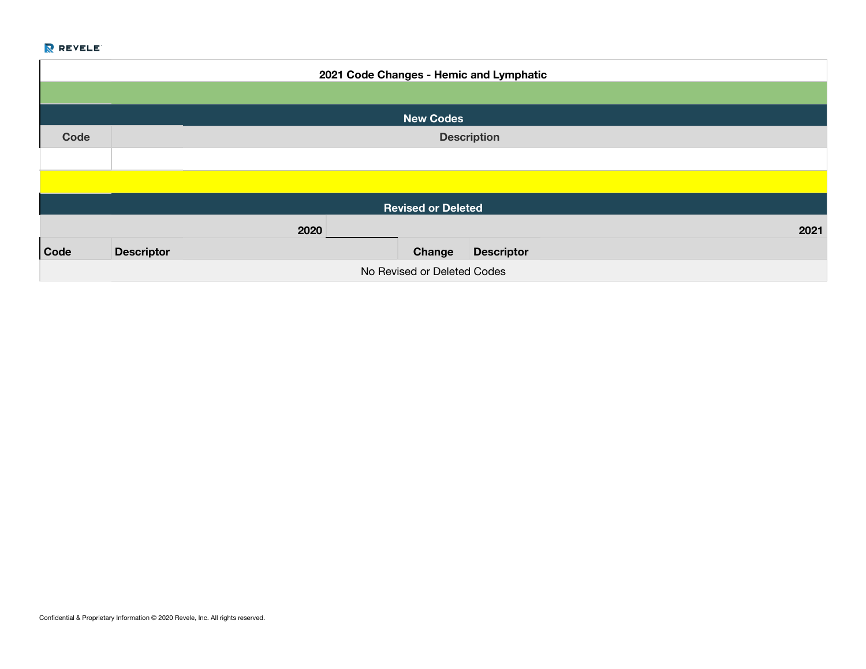| 2021 Code Changes - Hemic and Lymphatic |                           |      |  |        |                   |      |  |
|-----------------------------------------|---------------------------|------|--|--------|-------------------|------|--|
|                                         |                           |      |  |        |                   |      |  |
|                                         | <b>New Codes</b>          |      |  |        |                   |      |  |
| Code                                    | <b>Description</b>        |      |  |        |                   |      |  |
|                                         |                           |      |  |        |                   |      |  |
|                                         |                           |      |  |        |                   |      |  |
|                                         | <b>Revised or Deleted</b> |      |  |        |                   |      |  |
|                                         |                           | 2020 |  |        |                   | 2021 |  |
| Code                                    | <b>Descriptor</b>         |      |  | Change | <b>Descriptor</b> |      |  |
| No Revised or Deleted Codes             |                           |      |  |        |                   |      |  |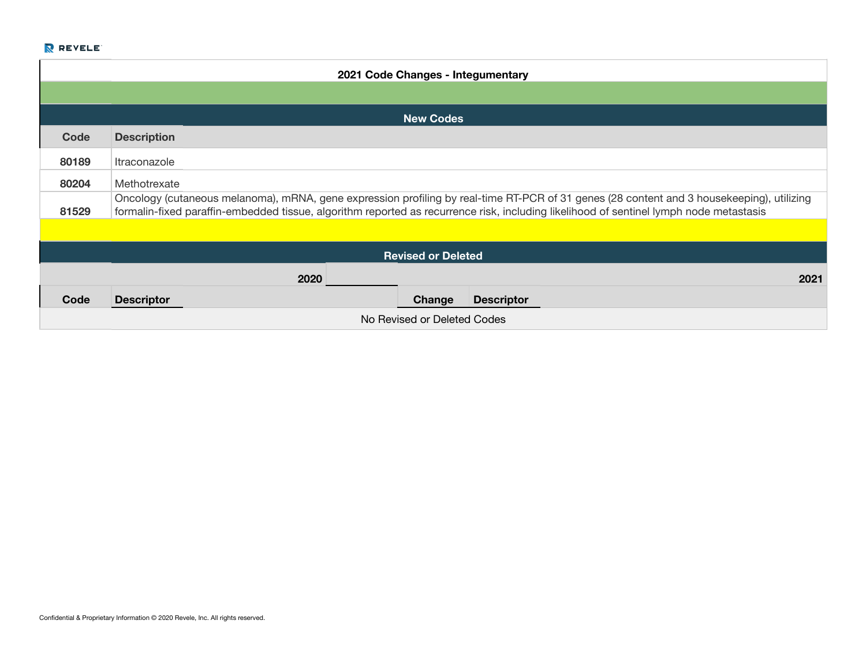| 2021 Code Changes - Integumentary |                                   |  |                  |                                                                                                                                                                                                                                                                                     |  |  |
|-----------------------------------|-----------------------------------|--|------------------|-------------------------------------------------------------------------------------------------------------------------------------------------------------------------------------------------------------------------------------------------------------------------------------|--|--|
|                                   |                                   |  |                  |                                                                                                                                                                                                                                                                                     |  |  |
|                                   |                                   |  | <b>New Codes</b> |                                                                                                                                                                                                                                                                                     |  |  |
| Code                              | <b>Description</b>                |  |                  |                                                                                                                                                                                                                                                                                     |  |  |
| 80189                             | <i><u><b>Itraconazole</b></u></i> |  |                  |                                                                                                                                                                                                                                                                                     |  |  |
| 80204                             | Methotrexate                      |  |                  |                                                                                                                                                                                                                                                                                     |  |  |
| 81529                             |                                   |  |                  | Oncology (cutaneous melanoma), mRNA, gene expression profiling by real-time RT-PCR of 31 genes (28 content and 3 housekeeping), utilizing<br>formalin-fixed paraffin-embedded tissue, algorithm reported as recurrence risk, including likelihood of sentinel lymph node metastasis |  |  |
|                                   |                                   |  |                  |                                                                                                                                                                                                                                                                                     |  |  |
| <b>Revised or Deleted</b>         |                                   |  |                  |                                                                                                                                                                                                                                                                                     |  |  |
| 2020<br>2021                      |                                   |  |                  |                                                                                                                                                                                                                                                                                     |  |  |
| Code                              | <b>Descriptor</b>                 |  | Change           | <b>Descriptor</b>                                                                                                                                                                                                                                                                   |  |  |
| No Revised or Deleted Codes       |                                   |  |                  |                                                                                                                                                                                                                                                                                     |  |  |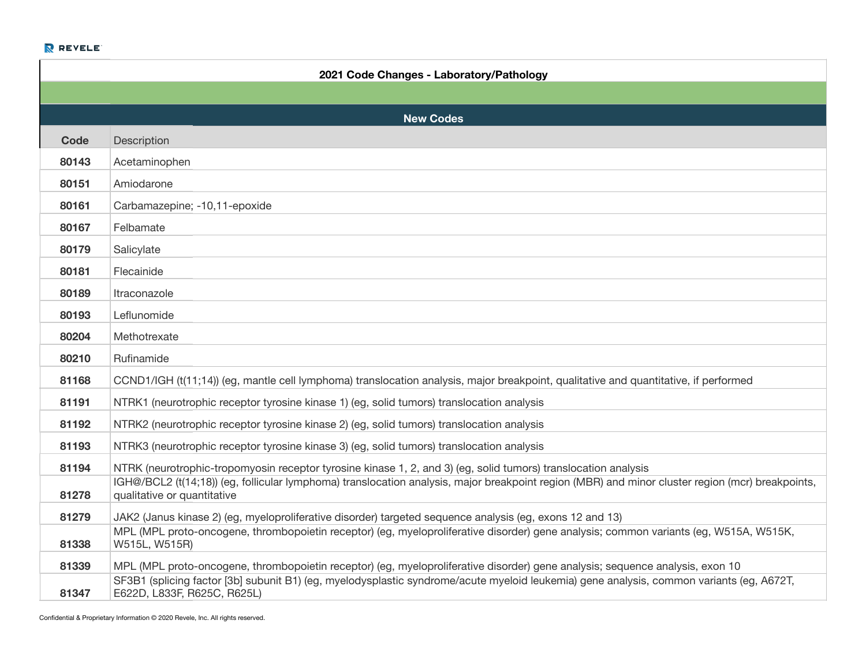|       | 2021 Code Changes - Laboratory/Pathology                                                                                                                                        |
|-------|---------------------------------------------------------------------------------------------------------------------------------------------------------------------------------|
|       |                                                                                                                                                                                 |
|       | <b>New Codes</b>                                                                                                                                                                |
| Code  | Description                                                                                                                                                                     |
| 80143 | Acetaminophen                                                                                                                                                                   |
| 80151 | Amiodarone                                                                                                                                                                      |
| 80161 | Carbamazepine; -10,11-epoxide                                                                                                                                                   |
| 80167 | Felbamate                                                                                                                                                                       |
| 80179 | Salicylate                                                                                                                                                                      |
| 80181 | Flecainide                                                                                                                                                                      |
| 80189 | <i><u><b>Itraconazole</b></u></i>                                                                                                                                               |
| 80193 | Leflunomide                                                                                                                                                                     |
| 80204 | Methotrexate                                                                                                                                                                    |
| 80210 | Rufinamide                                                                                                                                                                      |
| 81168 | CCND1/IGH (t(11;14)) (eg, mantle cell lymphoma) translocation analysis, major breakpoint, qualitative and quantitative, if performed                                            |
| 81191 | NTRK1 (neurotrophic receptor tyrosine kinase 1) (eg, solid tumors) translocation analysis                                                                                       |
| 81192 | NTRK2 (neurotrophic receptor tyrosine kinase 2) (eg, solid tumors) translocation analysis                                                                                       |
| 81193 | NTRK3 (neurotrophic receptor tyrosine kinase 3) (eg, solid tumors) translocation analysis                                                                                       |
| 81194 | NTRK (neurotrophic-tropomyosin receptor tyrosine kinase 1, 2, and 3) (eg, solid tumors) translocation analysis                                                                  |
| 81278 | IGH@/BCL2 (t(14;18)) (eg, follicular lymphoma) translocation analysis, major breakpoint region (MBR) and minor cluster region (mcr) breakpoints,<br>qualitative or quantitative |
| 81279 | JAK2 (Janus kinase 2) (eg, myeloproliferative disorder) targeted sequence analysis (eg, exons 12 and 13)                                                                        |
| 81338 | MPL (MPL proto-oncogene, thrombopoietin receptor) (eg, myeloproliferative disorder) gene analysis; common variants (eg, W515A, W515K,<br>W515L, W515R)                          |
| 81339 | MPL (MPL proto-oncogene, thrombopoietin receptor) (eg, myeloproliferative disorder) gene analysis; sequence analysis, exon 10                                                   |
| 81347 | SF3B1 (splicing factor [3b] subunit B1) (eg, myelodysplastic syndrome/acute myeloid leukemia) gene analysis, common variants (eg, A672T,<br>E622D, L833F, R625C, R625L)         |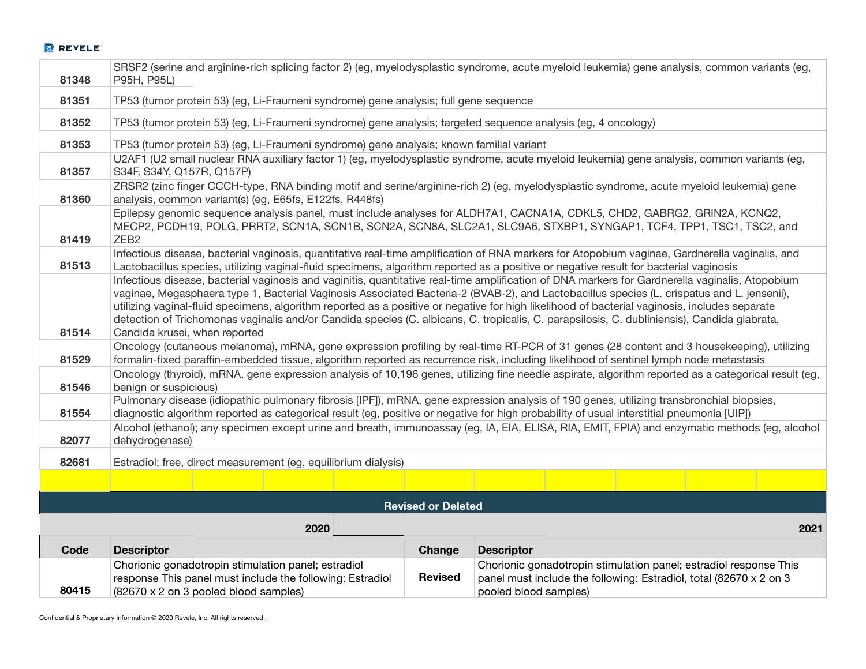| 81348 | P95H, P95L)                                                                                                                                                                                                                                                                                                                                                                                                                                                                                                                                                                                                                    |                           | SRSF2 (serine and arginine-rich splicing factor 2) (eg, myelodysplastic syndrome, acute myeloid leukemia) gene analysis, common variants (eg,                                                                                                                                       |  |
|-------|--------------------------------------------------------------------------------------------------------------------------------------------------------------------------------------------------------------------------------------------------------------------------------------------------------------------------------------------------------------------------------------------------------------------------------------------------------------------------------------------------------------------------------------------------------------------------------------------------------------------------------|---------------------------|-------------------------------------------------------------------------------------------------------------------------------------------------------------------------------------------------------------------------------------------------------------------------------------|--|
| 81351 | TP53 (tumor protein 53) (eg, Li-Fraumeni syndrome) gene analysis; full gene sequence                                                                                                                                                                                                                                                                                                                                                                                                                                                                                                                                           |                           |                                                                                                                                                                                                                                                                                     |  |
| 81352 | TP53 (tumor protein 53) (eg, Li-Fraumeni syndrome) gene analysis; targeted sequence analysis (eg, 4 oncology)                                                                                                                                                                                                                                                                                                                                                                                                                                                                                                                  |                           |                                                                                                                                                                                                                                                                                     |  |
| 81353 | TP53 (tumor protein 53) (eg, Li-Fraumeni syndrome) gene analysis; known familial variant                                                                                                                                                                                                                                                                                                                                                                                                                                                                                                                                       |                           |                                                                                                                                                                                                                                                                                     |  |
| 81357 | S34F, S34Y, Q157R, Q157P)                                                                                                                                                                                                                                                                                                                                                                                                                                                                                                                                                                                                      |                           | U2AF1 (U2 small nuclear RNA auxiliary factor 1) (eg, myelodysplastic syndrome, acute myeloid leukemia) gene analysis, common variants (eg,                                                                                                                                          |  |
| 81360 | analysis, common variant(s) (eg, E65fs, E122fs, R448fs)                                                                                                                                                                                                                                                                                                                                                                                                                                                                                                                                                                        |                           | ZRSR2 (zinc finger CCCH-type, RNA binding motif and serine/arginine-rich 2) (eg, myelodysplastic syndrome, acute myeloid leukemia) gene                                                                                                                                             |  |
| 81419 | ZEB <sub>2</sub>                                                                                                                                                                                                                                                                                                                                                                                                                                                                                                                                                                                                               |                           | Epilepsy genomic sequence analysis panel, must include analyses for ALDH7A1, CACNA1A, CDKL5, CHD2, GABRG2, GRIN2A, KCNQ2,<br>MECP2, PCDH19, POLG, PRRT2, SCN1A, SCN1B, SCN2A, SCN8A, SLC2A1, SLC9A6, STXBP1, SYNGAP1, TCF4, TPP1, TSC1, TSC2, and                                   |  |
| 81513 | Lactobacillus species, utilizing vaginal-fluid specimens, algorithm reported as a positive or negative result for bacterial vaginosis                                                                                                                                                                                                                                                                                                                                                                                                                                                                                          |                           | Infectious disease, bacterial vaginosis, quantitative real-time amplification of RNA markers for Atopobium vaginae, Gardnerella vaginalis, and                                                                                                                                      |  |
| 81514 | Infectious disease, bacterial vaginosis and vaginitis, quantitative real-time amplification of DNA markers for Gardnerella vaginalis, Atopobium<br>vaginae, Megasphaera type 1, Bacterial Vaginosis Associated Bacteria-2 (BVAB-2), and Lactobacillus species (L. crispatus and L. jensenii),<br>utilizing vaginal-fluid specimens, algorithm reported as a positive or negative for high likelihood of bacterial vaginosis, includes separate<br>detection of Trichomonas vaginalis and/or Candida species (C. albicans, C. tropicalis, C. parapsilosis, C. dubliniensis), Candida glabrata,<br>Candida krusei, when reported |                           |                                                                                                                                                                                                                                                                                     |  |
| 81529 |                                                                                                                                                                                                                                                                                                                                                                                                                                                                                                                                                                                                                                |                           | Oncology (cutaneous melanoma), mRNA, gene expression profiling by real-time RT-PCR of 31 genes (28 content and 3 housekeeping), utilizing<br>formalin-fixed paraffin-embedded tissue, algorithm reported as recurrence risk, including likelihood of sentinel lymph node metastasis |  |
| 81546 | Oncology (thyroid), mRNA, gene expression analysis of 10,196 genes, utilizing fine needle aspirate, algorithm reported as a categorical result (eg,<br>benign or suspicious)                                                                                                                                                                                                                                                                                                                                                                                                                                                   |                           |                                                                                                                                                                                                                                                                                     |  |
| 81554 | Pulmonary disease (idiopathic pulmonary fibrosis [IPF]), mRNA, gene expression analysis of 190 genes, utilizing transbronchial biopsies,<br>diagnostic algorithm reported as categorical result (eg, positive or negative for high probability of usual interstitial pneumonia [UIP])                                                                                                                                                                                                                                                                                                                                          |                           |                                                                                                                                                                                                                                                                                     |  |
| 82077 | dehydrogenase)                                                                                                                                                                                                                                                                                                                                                                                                                                                                                                                                                                                                                 |                           | Alcohol (ethanol); any specimen except urine and breath, immunoassay (eg, IA, EIA, ELISA, RIA, EMIT, FPIA) and enzymatic methods (eg, alcohol                                                                                                                                       |  |
| 82681 | Estradiol; free, direct measurement (eg, equilibrium dialysis)                                                                                                                                                                                                                                                                                                                                                                                                                                                                                                                                                                 |                           |                                                                                                                                                                                                                                                                                     |  |
|       |                                                                                                                                                                                                                                                                                                                                                                                                                                                                                                                                                                                                                                |                           |                                                                                                                                                                                                                                                                                     |  |
|       |                                                                                                                                                                                                                                                                                                                                                                                                                                                                                                                                                                                                                                | <b>Revised or Deleted</b> |                                                                                                                                                                                                                                                                                     |  |
|       | 2020                                                                                                                                                                                                                                                                                                                                                                                                                                                                                                                                                                                                                           |                           | 2021                                                                                                                                                                                                                                                                                |  |
| Code  | <b>Descriptor</b>                                                                                                                                                                                                                                                                                                                                                                                                                                                                                                                                                                                                              | Change                    | <b>Descriptor</b>                                                                                                                                                                                                                                                                   |  |
| 80415 | Chorionic gonadotropin stimulation panel; estradiol<br>response This panel must include the following: Estradiol<br>(82670 x 2 on 3 pooled blood samples)                                                                                                                                                                                                                                                                                                                                                                                                                                                                      | <b>Revised</b>            | Chorionic gonadotropin stimulation panel; estradiol response This<br>panel must include the following: Estradiol, total (82670 x 2 on 3<br>pooled blood samples)                                                                                                                    |  |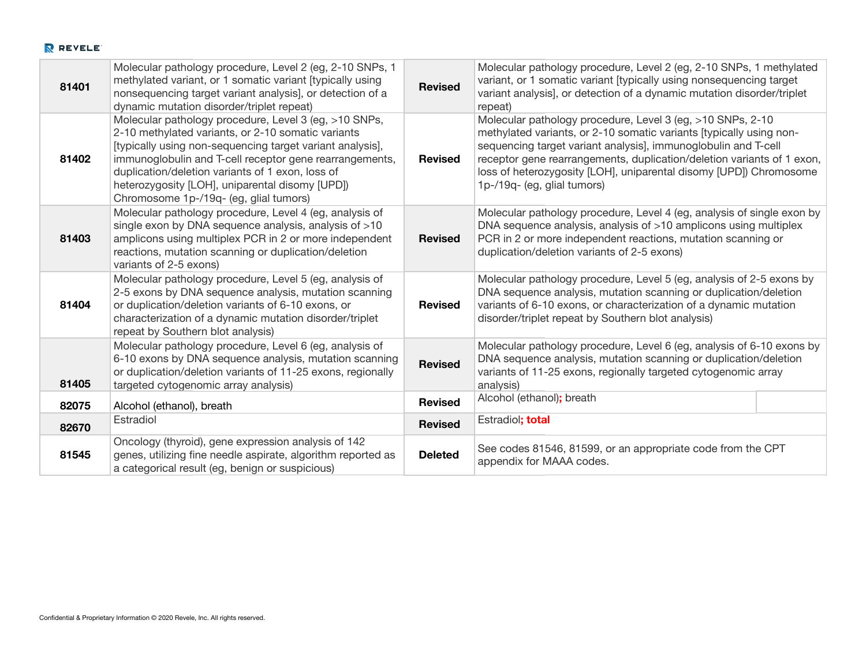|       | Molecular pathology procedure, Level 2 (eg, 2-10 SNPs, 1                                                                                                                                                                                                                                                                                                                             |                | Molecular pathology procedure, Level 2 (eg, 2-10 SNPs, 1 methylated                                                                                                                                                                                                                                                                                                                |
|-------|--------------------------------------------------------------------------------------------------------------------------------------------------------------------------------------------------------------------------------------------------------------------------------------------------------------------------------------------------------------------------------------|----------------|------------------------------------------------------------------------------------------------------------------------------------------------------------------------------------------------------------------------------------------------------------------------------------------------------------------------------------------------------------------------------------|
| 81401 | methylated variant, or 1 somatic variant [typically using]                                                                                                                                                                                                                                                                                                                           | <b>Revised</b> | variant, or 1 somatic variant [typically using nonsequencing target                                                                                                                                                                                                                                                                                                                |
|       | nonsequencing target variant analysis], or detection of a<br>dynamic mutation disorder/triplet repeat)                                                                                                                                                                                                                                                                               |                | variant analysis], or detection of a dynamic mutation disorder/triplet<br>repeat)                                                                                                                                                                                                                                                                                                  |
| 81402 | Molecular pathology procedure, Level 3 (eg, >10 SNPs,<br>2-10 methylated variants, or 2-10 somatic variants<br>[typically using non-sequencing target variant analysis],<br>immunoglobulin and T-cell receptor gene rearrangements,<br>duplication/deletion variants of 1 exon, loss of<br>heterozygosity [LOH], uniparental disomy [UPD])<br>Chromosome 1p-/19q- (eg, glial tumors) | <b>Revised</b> | Molecular pathology procedure, Level 3 (eg, >10 SNPs, 2-10<br>methylated variants, or 2-10 somatic variants [typically using non-<br>sequencing target variant analysis], immunoglobulin and T-cell<br>receptor gene rearrangements, duplication/deletion variants of 1 exon,<br>loss of heterozygosity [LOH], uniparental disomy [UPD]) Chromosome<br>1p-/19q- (eg, glial tumors) |
| 81403 | Molecular pathology procedure, Level 4 (eg, analysis of<br>single exon by DNA sequence analysis, analysis of >10<br>amplicons using multiplex PCR in 2 or more independent<br>reactions, mutation scanning or duplication/deletion<br>variants of 2-5 exons)                                                                                                                         | <b>Revised</b> | Molecular pathology procedure, Level 4 (eg, analysis of single exon by<br>DNA sequence analysis, analysis of >10 amplicons using multiplex<br>PCR in 2 or more independent reactions, mutation scanning or<br>duplication/deletion variants of 2-5 exons)                                                                                                                          |
| 81404 | Molecular pathology procedure, Level 5 (eg, analysis of<br>2-5 exons by DNA sequence analysis, mutation scanning<br>or duplication/deletion variants of 6-10 exons, or<br>characterization of a dynamic mutation disorder/triplet<br>repeat by Southern blot analysis)                                                                                                               | <b>Revised</b> | Molecular pathology procedure, Level 5 (eg, analysis of 2-5 exons by<br>DNA sequence analysis, mutation scanning or duplication/deletion<br>variants of 6-10 exons, or characterization of a dynamic mutation<br>disorder/triplet repeat by Southern blot analysis)                                                                                                                |
| 81405 | Molecular pathology procedure, Level 6 (eg, analysis of<br>6-10 exons by DNA sequence analysis, mutation scanning<br>or duplication/deletion variants of 11-25 exons, regionally<br>targeted cytogenomic array analysis)                                                                                                                                                             | <b>Revised</b> | Molecular pathology procedure, Level 6 (eg, analysis of 6-10 exons by<br>DNA sequence analysis, mutation scanning or duplication/deletion<br>variants of 11-25 exons, regionally targeted cytogenomic array<br>analysis)                                                                                                                                                           |
| 82075 | Alcohol (ethanol), breath                                                                                                                                                                                                                                                                                                                                                            | <b>Revised</b> | Alcohol (ethanol); breath                                                                                                                                                                                                                                                                                                                                                          |
| 82670 | Estradiol                                                                                                                                                                                                                                                                                                                                                                            | <b>Revised</b> | Estradiol; total                                                                                                                                                                                                                                                                                                                                                                   |
| 81545 | Oncology (thyroid), gene expression analysis of 142<br>genes, utilizing fine needle aspirate, algorithm reported as<br>a categorical result (eg, benign or suspicious)                                                                                                                                                                                                               | <b>Deleted</b> | See codes 81546, 81599, or an appropriate code from the CPT<br>appendix for MAAA codes.                                                                                                                                                                                                                                                                                            |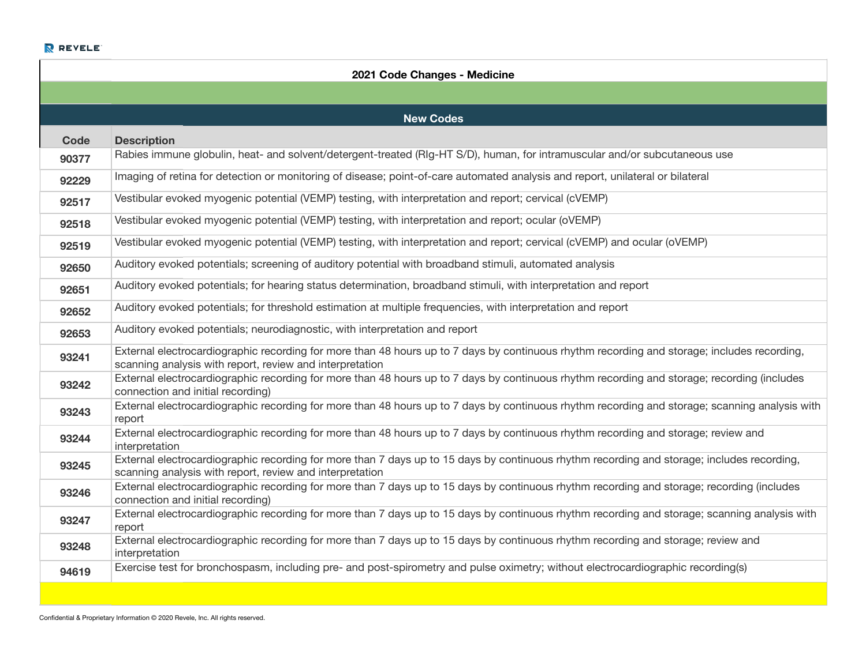| 2021 Code Changes - Medicine |                                                                                                                                                                                                         |  |
|------------------------------|---------------------------------------------------------------------------------------------------------------------------------------------------------------------------------------------------------|--|
|                              |                                                                                                                                                                                                         |  |
|                              | <b>New Codes</b>                                                                                                                                                                                        |  |
| Code                         | <b>Description</b>                                                                                                                                                                                      |  |
| 90377                        | Rabies immune globulin, heat- and solvent/detergent-treated (RIg-HT S/D), human, for intramuscular and/or subcutaneous use                                                                              |  |
| 92229                        | Imaging of retina for detection or monitoring of disease; point-of-care automated analysis and report, unilateral or bilateral                                                                          |  |
| 92517                        | Vestibular evoked myogenic potential (VEMP) testing, with interpretation and report; cervical (cVEMP)                                                                                                   |  |
| 92518                        | Vestibular evoked myogenic potential (VEMP) testing, with interpretation and report; ocular (oVEMP)                                                                                                     |  |
| 92519                        | Vestibular evoked myogenic potential (VEMP) testing, with interpretation and report; cervical (cVEMP) and ocular (oVEMP)                                                                                |  |
| 92650                        | Auditory evoked potentials; screening of auditory potential with broadband stimuli, automated analysis                                                                                                  |  |
| 92651                        | Auditory evoked potentials; for hearing status determination, broadband stimuli, with interpretation and report                                                                                         |  |
| 92652                        | Auditory evoked potentials; for threshold estimation at multiple frequencies, with interpretation and report                                                                                            |  |
| 92653                        | Auditory evoked potentials; neurodiagnostic, with interpretation and report                                                                                                                             |  |
| 93241                        | External electrocardiographic recording for more than 48 hours up to 7 days by continuous rhythm recording and storage; includes recording,<br>scanning analysis with report, review and interpretation |  |
| 93242                        | External electrocardiographic recording for more than 48 hours up to 7 days by continuous rhythm recording and storage; recording (includes<br>connection and initial recording)                        |  |
| 93243                        | External electrocardiographic recording for more than 48 hours up to 7 days by continuous rhythm recording and storage; scanning analysis with<br>report                                                |  |
| 93244                        | External electrocardiographic recording for more than 48 hours up to 7 days by continuous rhythm recording and storage; review and<br>interpretation                                                    |  |
| 93245                        | External electrocardiographic recording for more than 7 days up to 15 days by continuous rhythm recording and storage; includes recording,<br>scanning analysis with report, review and interpretation  |  |
| 93246                        | External electrocardiographic recording for more than 7 days up to 15 days by continuous rhythm recording and storage; recording (includes<br>connection and initial recording)                         |  |
| 93247                        | External electrocardiographic recording for more than 7 days up to 15 days by continuous rhythm recording and storage; scanning analysis with<br>report                                                 |  |
| 93248                        | External electrocardiographic recording for more than 7 days up to 15 days by continuous rhythm recording and storage; review and<br>interpretation                                                     |  |
| 94619                        | Exercise test for bronchospasm, including pre- and post-spirometry and pulse oximetry; without electrocardiographic recording(s)                                                                        |  |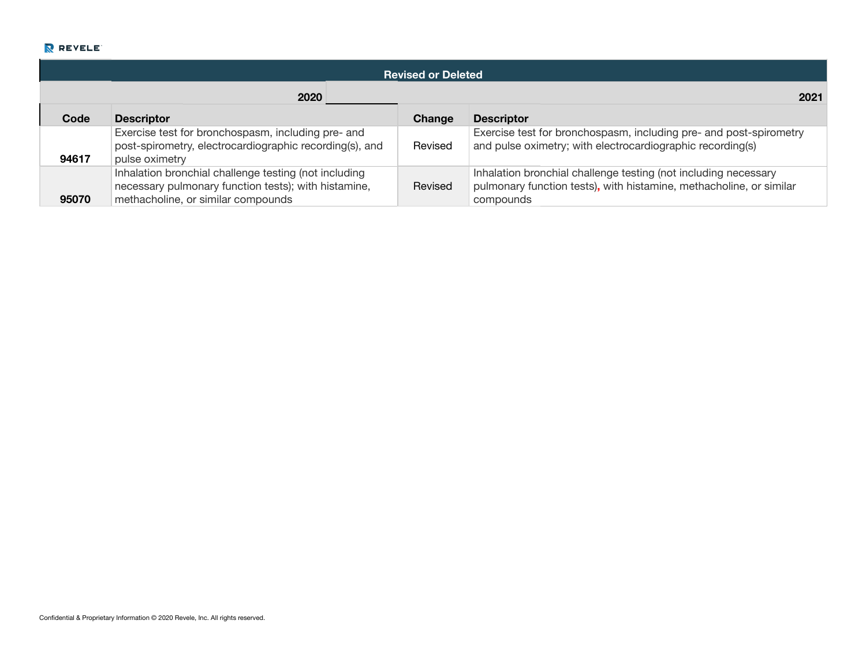|       | <b>Revised or Deleted</b>                                                                                                                           |         |                                                                                                                                                     |  |
|-------|-----------------------------------------------------------------------------------------------------------------------------------------------------|---------|-----------------------------------------------------------------------------------------------------------------------------------------------------|--|
|       | 2020                                                                                                                                                |         | 2021                                                                                                                                                |  |
| Code  | <b>Descriptor</b>                                                                                                                                   | Change  | <b>Descriptor</b>                                                                                                                                   |  |
| 94617 | Exercise test for bronchospasm, including pre- and<br>post-spirometry, electrocardiographic recording(s), and<br>pulse oximetry                     | Revised | Exercise test for bronchospasm, including pre- and post-spirometry<br>and pulse oximetry; with electrocardiographic recording(s)                    |  |
| 95070 | Inhalation bronchial challenge testing (not including<br>necessary pulmonary function tests); with histamine,<br>methacholine, or similar compounds | Revised | Inhalation bronchial challenge testing (not including necessary<br>pulmonary function tests), with histamine, methacholine, or similar<br>compounds |  |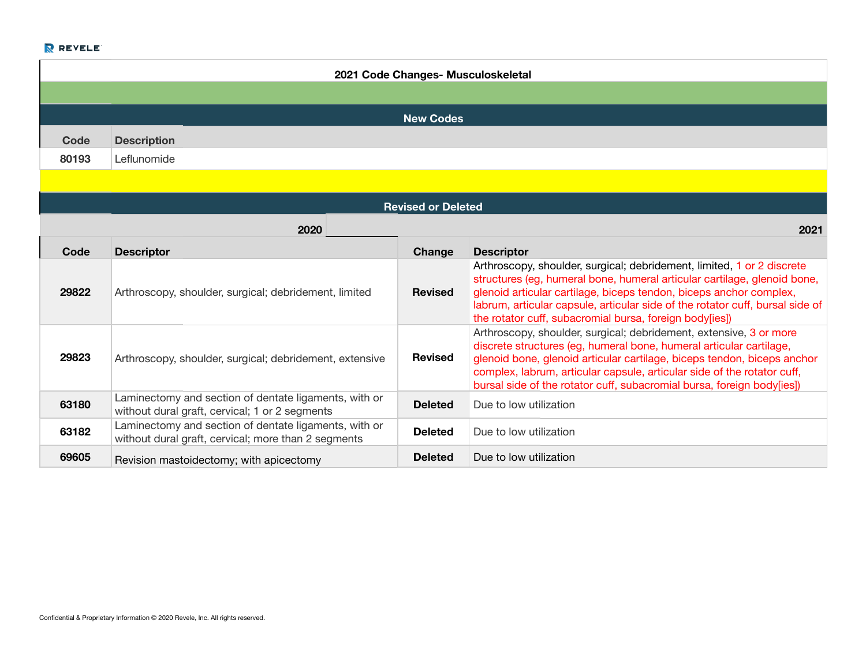| 2021 Code Changes- Musculoskeletal |                                                                                                              |                           |                                                                                                                                                                                                                                                                                                                                                                           |  |
|------------------------------------|--------------------------------------------------------------------------------------------------------------|---------------------------|---------------------------------------------------------------------------------------------------------------------------------------------------------------------------------------------------------------------------------------------------------------------------------------------------------------------------------------------------------------------------|--|
|                                    |                                                                                                              |                           |                                                                                                                                                                                                                                                                                                                                                                           |  |
|                                    |                                                                                                              | <b>New Codes</b>          |                                                                                                                                                                                                                                                                                                                                                                           |  |
| Code                               | <b>Description</b>                                                                                           |                           |                                                                                                                                                                                                                                                                                                                                                                           |  |
| 80193                              | Leflunomide                                                                                                  |                           |                                                                                                                                                                                                                                                                                                                                                                           |  |
|                                    |                                                                                                              |                           |                                                                                                                                                                                                                                                                                                                                                                           |  |
|                                    |                                                                                                              | <b>Revised or Deleted</b> |                                                                                                                                                                                                                                                                                                                                                                           |  |
|                                    | 2020<br>2021                                                                                                 |                           |                                                                                                                                                                                                                                                                                                                                                                           |  |
| Code                               | <b>Descriptor</b>                                                                                            | Change                    | <b>Descriptor</b>                                                                                                                                                                                                                                                                                                                                                         |  |
| 29822                              | Arthroscopy, shoulder, surgical; debridement, limited                                                        | <b>Revised</b>            | Arthroscopy, shoulder, surgical; debridement, limited, 1 or 2 discrete<br>structures (eg, humeral bone, humeral articular cartilage, glenoid bone,<br>glenoid articular cartilage, biceps tendon, biceps anchor complex,<br>labrum, articular capsule, articular side of the rotator cuff, bursal side of<br>the rotator cuff, subacromial bursa, foreign body[ies])      |  |
| 29823                              | Arthroscopy, shoulder, surgical; debridement, extensive                                                      | <b>Revised</b>            | Arthroscopy, shoulder, surgical; debridement, extensive, 3 or more<br>discrete structures (eg, humeral bone, humeral articular cartilage,<br>glenoid bone, glenoid articular cartilage, biceps tendon, biceps anchor<br>complex, labrum, articular capsule, articular side of the rotator cuff,<br>bursal side of the rotator cuff, subacromial bursa, foreign body[ies]) |  |
| 63180                              | Laminectomy and section of dentate ligaments, with or<br>without dural graft, cervical; 1 or 2 segments      | <b>Deleted</b>            | Due to low utilization                                                                                                                                                                                                                                                                                                                                                    |  |
| 63182                              | Laminectomy and section of dentate ligaments, with or<br>without dural graft, cervical; more than 2 segments | <b>Deleted</b>            | Due to low utilization                                                                                                                                                                                                                                                                                                                                                    |  |
| 69605                              | Revision mastoidectomy; with apicectomy                                                                      | <b>Deleted</b>            | Due to low utilization                                                                                                                                                                                                                                                                                                                                                    |  |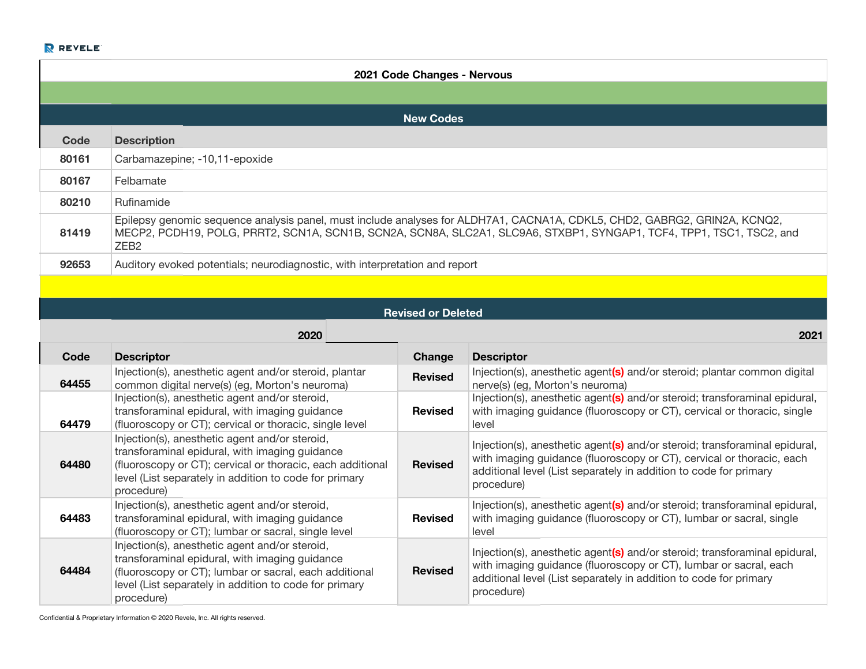| 2021 Code Changes - Nervous |                                                                                                                                                                                                                                        |                           |                                                                                                                                                                                                                                                   |  |
|-----------------------------|----------------------------------------------------------------------------------------------------------------------------------------------------------------------------------------------------------------------------------------|---------------------------|---------------------------------------------------------------------------------------------------------------------------------------------------------------------------------------------------------------------------------------------------|--|
|                             |                                                                                                                                                                                                                                        |                           |                                                                                                                                                                                                                                                   |  |
|                             |                                                                                                                                                                                                                                        | <b>New Codes</b>          |                                                                                                                                                                                                                                                   |  |
| <b>Code</b>                 | <b>Description</b>                                                                                                                                                                                                                     |                           |                                                                                                                                                                                                                                                   |  |
| 80161                       | Carbamazepine; -10,11-epoxide                                                                                                                                                                                                          |                           |                                                                                                                                                                                                                                                   |  |
| 80167                       | Felbamate                                                                                                                                                                                                                              |                           |                                                                                                                                                                                                                                                   |  |
| 80210                       | Rufinamide                                                                                                                                                                                                                             |                           |                                                                                                                                                                                                                                                   |  |
| 81419                       | ZEB <sub>2</sub>                                                                                                                                                                                                                       |                           | Epilepsy genomic sequence analysis panel, must include analyses for ALDH7A1, CACNA1A, CDKL5, CHD2, GABRG2, GRIN2A, KCNQ2,<br>MECP2, PCDH19, POLG, PRRT2, SCN1A, SCN1B, SCN2A, SCN8A, SLC2A1, SLC9A6, STXBP1, SYNGAP1, TCF4, TPP1, TSC1, TSC2, and |  |
| 92653                       | Auditory evoked potentials; neurodiagnostic, with interpretation and report                                                                                                                                                            |                           |                                                                                                                                                                                                                                                   |  |
|                             |                                                                                                                                                                                                                                        |                           |                                                                                                                                                                                                                                                   |  |
|                             |                                                                                                                                                                                                                                        | <b>Revised or Deleted</b> |                                                                                                                                                                                                                                                   |  |
|                             | 2020                                                                                                                                                                                                                                   |                           | 2021                                                                                                                                                                                                                                              |  |
| Code                        | <b>Descriptor</b>                                                                                                                                                                                                                      | Change                    | <b>Descriptor</b>                                                                                                                                                                                                                                 |  |
| 64455                       | Injection(s), anesthetic agent and/or steroid, plantar<br>common digital nerve(s) (eg, Morton's neuroma)                                                                                                                               | <b>Revised</b>            | Injection(s), anesthetic agent(s) and/or steroid; plantar common digital<br>nerve(s) (eg, Morton's neuroma)                                                                                                                                       |  |
| 64479                       | Injection(s), anesthetic agent and/or steroid,<br>transforaminal epidural, with imaging guidance<br>(fluoroscopy or CT); cervical or thoracic, single level                                                                            | <b>Revised</b>            | Injection(s), anesthetic agent(s) and/or steroid; transforaminal epidural,<br>with imaging guidance (fluoroscopy or CT), cervical or thoracic, single<br>level                                                                                    |  |
| 64480                       | Injection(s), anesthetic agent and/or steroid,<br>transforaminal epidural, with imaging guidance<br>(fluoroscopy or CT); cervical or thoracic, each additional<br>level (List separately in addition to code for primary<br>procedure) | <b>Revised</b>            | Injection(s), anesthetic agent(s) and/or steroid; transforaminal epidural,<br>with imaging guidance (fluoroscopy or CT), cervical or thoracic, each<br>additional level (List separately in addition to code for primary<br>procedure)            |  |
| 64483                       | Injection(s), anesthetic agent and/or steroid,<br>transforaminal epidural, with imaging guidance<br>(fluoroscopy or CT); lumbar or sacral, single level                                                                                | <b>Revised</b>            | Injection(s), anesthetic agent(s) and/or steroid; transforaminal epidural,<br>with imaging guidance (fluoroscopy or CT), lumbar or sacral, single<br>level                                                                                        |  |
| 64484                       | Injection(s), anesthetic agent and/or steroid,<br>transforaminal epidural, with imaging guidance<br>(fluoroscopy or CT); lumbar or sacral, each additional<br>level (List separately in addition to code for primary<br>procedure)     | <b>Revised</b>            | Injection(s), anesthetic agent(s) and/or steroid; transforaminal epidural,<br>with imaging guidance (fluoroscopy or CT), lumbar or sacral, each<br>additional level (List separately in addition to code for primary<br>procedure)                |  |

Confidential & Proprietary Information © 2020 Revele, Inc. All rights reserved.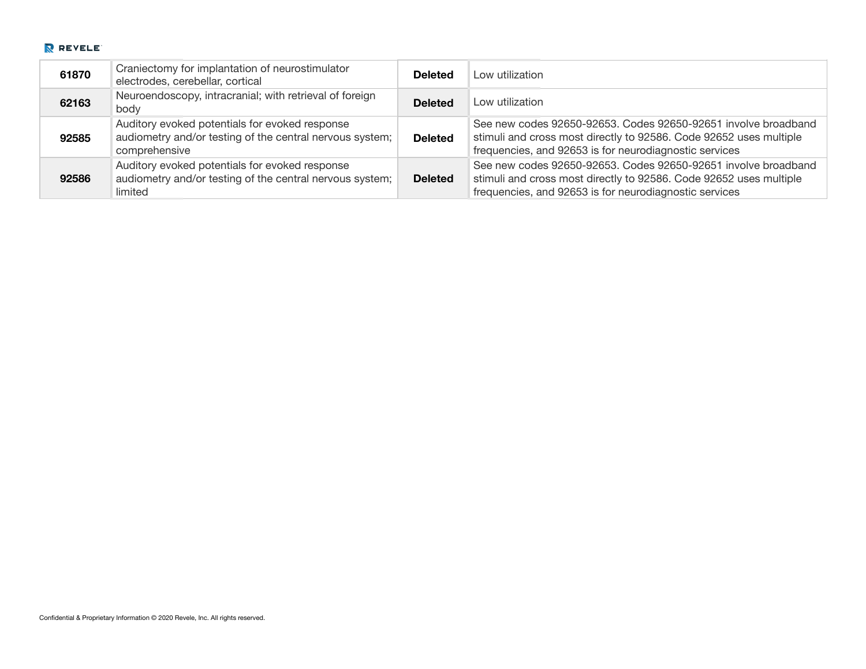| 61870 | Craniectomy for implantation of neurostimulator<br>electrodes, cerebellar, cortical                                         | <b>Deleted</b> | Low utilization                                                                                                                                                                                |
|-------|-----------------------------------------------------------------------------------------------------------------------------|----------------|------------------------------------------------------------------------------------------------------------------------------------------------------------------------------------------------|
| 62163 | Neuroendoscopy, intracranial; with retrieval of foreign<br>body                                                             | <b>Deleted</b> | Low utilization                                                                                                                                                                                |
| 92585 | Auditory evoked potentials for evoked response<br>audiometry and/or testing of the central nervous system;<br>comprehensive | <b>Deleted</b> | See new codes 92650-92653. Codes 92650-92651 involve broadband<br>stimuli and cross most directly to 92586. Code 92652 uses multiple<br>frequencies, and 92653 is for neurodiagnostic services |
| 92586 | Auditory evoked potentials for evoked response<br>audiometry and/or testing of the central nervous system;<br>limited       | <b>Deleted</b> | See new codes 92650-92653, Codes 92650-92651 involve broadband<br>stimuli and cross most directly to 92586. Code 92652 uses multiple<br>frequencies, and 92653 is for neurodiagnostic services |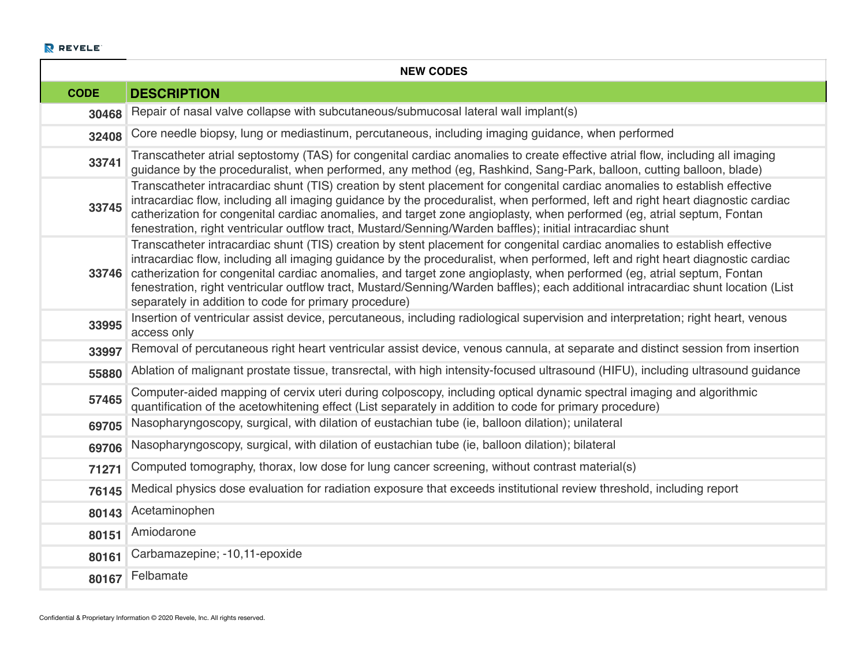| <b>NEW CODES</b> |                                                                                                                                                                                                                                                                                                                                                                                                                                                                                                                                                                                       |  |
|------------------|---------------------------------------------------------------------------------------------------------------------------------------------------------------------------------------------------------------------------------------------------------------------------------------------------------------------------------------------------------------------------------------------------------------------------------------------------------------------------------------------------------------------------------------------------------------------------------------|--|
| <b>CODE</b>      | <b>DESCRIPTION</b>                                                                                                                                                                                                                                                                                                                                                                                                                                                                                                                                                                    |  |
| 30468            | Repair of nasal valve collapse with subcutaneous/submucosal lateral wall implant(s)                                                                                                                                                                                                                                                                                                                                                                                                                                                                                                   |  |
| 32408            | Core needle biopsy, lung or mediastinum, percutaneous, including imaging guidance, when performed                                                                                                                                                                                                                                                                                                                                                                                                                                                                                     |  |
| 33741            | Transcatheter atrial septostomy (TAS) for congenital cardiac anomalies to create effective atrial flow, including all imaging<br>guidance by the proceduralist, when performed, any method (eg, Rashkind, Sang-Park, balloon, cutting balloon, blade)                                                                                                                                                                                                                                                                                                                                 |  |
| 33745            | Transcatheter intracardiac shunt (TIS) creation by stent placement for congenital cardiac anomalies to establish effective<br>intracardiac flow, including all imaging guidance by the proceduralist, when performed, left and right heart diagnostic cardiac<br>catherization for congenital cardiac anomalies, and target zone angioplasty, when performed (eg, atrial septum, Fontan<br>fenestration, right ventricular outflow tract, Mustard/Senning/Warden baffles); initial intracardiac shunt                                                                                 |  |
| 33746            | Transcatheter intracardiac shunt (TIS) creation by stent placement for congenital cardiac anomalies to establish effective<br>intracardiac flow, including all imaging guidance by the proceduralist, when performed, left and right heart diagnostic cardiac<br>catherization for congenital cardiac anomalies, and target zone angioplasty, when performed (eg, atrial septum, Fontan<br>fenestration, right ventricular outflow tract, Mustard/Senning/Warden baffles); each additional intracardiac shunt location (List<br>separately in addition to code for primary procedure) |  |
| 33995            | Insertion of ventricular assist device, percutaneous, including radiological supervision and interpretation; right heart, venous<br>access only                                                                                                                                                                                                                                                                                                                                                                                                                                       |  |
| 33997            | Removal of percutaneous right heart ventricular assist device, venous cannula, at separate and distinct session from insertion                                                                                                                                                                                                                                                                                                                                                                                                                                                        |  |
| 55880            | Ablation of malignant prostate tissue, transrectal, with high intensity-focused ultrasound (HIFU), including ultrasound guidance                                                                                                                                                                                                                                                                                                                                                                                                                                                      |  |
| 57465            | Computer-aided mapping of cervix uteri during colposcopy, including optical dynamic spectral imaging and algorithmic<br>quantification of the acetowhitening effect (List separately in addition to code for primary procedure)                                                                                                                                                                                                                                                                                                                                                       |  |
| 69705            | Nasopharyngoscopy, surgical, with dilation of eustachian tube (ie, balloon dilation); unilateral                                                                                                                                                                                                                                                                                                                                                                                                                                                                                      |  |
| 69706            | Nasopharyngoscopy, surgical, with dilation of eustachian tube (ie, balloon dilation); bilateral                                                                                                                                                                                                                                                                                                                                                                                                                                                                                       |  |
| 71271            | Computed tomography, thorax, low dose for lung cancer screening, without contrast material(s)                                                                                                                                                                                                                                                                                                                                                                                                                                                                                         |  |
| 76145            | Medical physics dose evaluation for radiation exposure that exceeds institutional review threshold, including report                                                                                                                                                                                                                                                                                                                                                                                                                                                                  |  |
| 80143            | Acetaminophen                                                                                                                                                                                                                                                                                                                                                                                                                                                                                                                                                                         |  |
| 80151            | Amiodarone                                                                                                                                                                                                                                                                                                                                                                                                                                                                                                                                                                            |  |
| 80161            | Carbamazepine; -10,11-epoxide                                                                                                                                                                                                                                                                                                                                                                                                                                                                                                                                                         |  |
| 80167            | Felbamate                                                                                                                                                                                                                                                                                                                                                                                                                                                                                                                                                                             |  |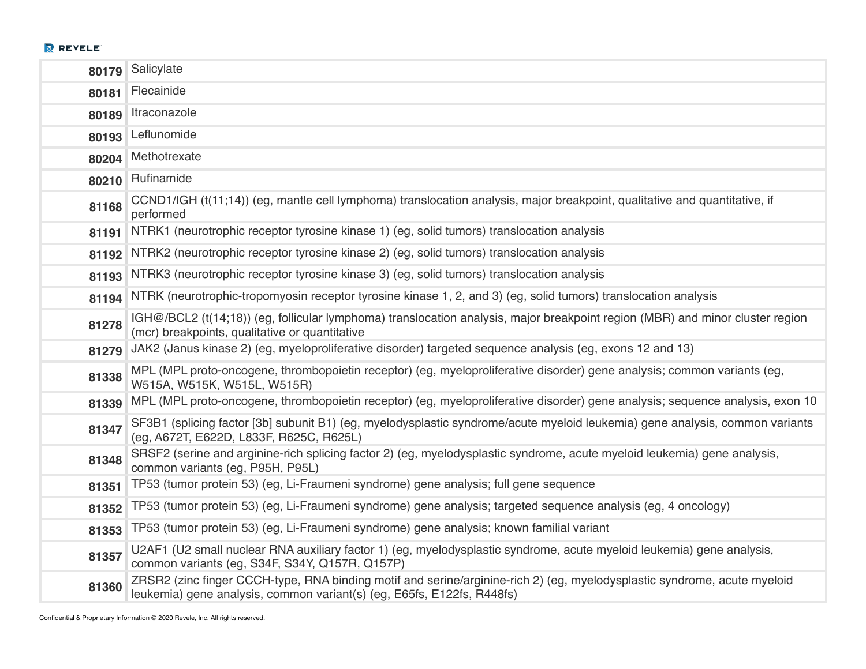| 80179 | Salicylate                                                                                                                                                                                         |
|-------|----------------------------------------------------------------------------------------------------------------------------------------------------------------------------------------------------|
| 80181 | Flecainide                                                                                                                                                                                         |
| 80189 | Itraconazole                                                                                                                                                                                       |
| 80193 | Leflunomide                                                                                                                                                                                        |
| 80204 | Methotrexate                                                                                                                                                                                       |
| 80210 | Rufinamide                                                                                                                                                                                         |
| 81168 | CCND1/IGH (t(11;14)) (eg, mantle cell lymphoma) translocation analysis, major breakpoint, qualitative and quantitative, if<br>performed                                                            |
| 81191 | NTRK1 (neurotrophic receptor tyrosine kinase 1) (eg, solid tumors) translocation analysis                                                                                                          |
| 81192 | NTRK2 (neurotrophic receptor tyrosine kinase 2) (eg, solid tumors) translocation analysis                                                                                                          |
| 81193 | NTRK3 (neurotrophic receptor tyrosine kinase 3) (eg, solid tumors) translocation analysis                                                                                                          |
| 81194 | NTRK (neurotrophic-tropomyosin receptor tyrosine kinase 1, 2, and 3) (eg, solid tumors) translocation analysis                                                                                     |
| 81278 | IGH@/BCL2 (t(14;18)) (eg, follicular lymphoma) translocation analysis, major breakpoint region (MBR) and minor cluster region<br>(mcr) breakpoints, qualitative or quantitative                    |
| 81279 | JAK2 (Janus kinase 2) (eg, myeloproliferative disorder) targeted sequence analysis (eg, exons 12 and 13)                                                                                           |
| 81338 | MPL (MPL proto-oncogene, thrombopoietin receptor) (eg, myeloproliferative disorder) gene analysis; common variants (eg,<br>W515A, W515K, W515L, W515R)                                             |
| 81339 | MPL (MPL proto-oncogene, thrombopoietin receptor) (eg, myeloproliferative disorder) gene analysis; sequence analysis, exon 10                                                                      |
| 81347 | SF3B1 (splicing factor [3b] subunit B1) (eg, myelodysplastic syndrome/acute myeloid leukemia) gene analysis, common variants<br>(eg, A672T, E622D, L833F, R625C, R625L)                            |
| 81348 | SRSF2 (serine and arginine-rich splicing factor 2) (eg, myelodysplastic syndrome, acute myeloid leukemia) gene analysis,<br>common variants (eg, P95H, P95L)                                       |
| 81351 | TP53 (tumor protein 53) (eg, Li-Fraumeni syndrome) gene analysis; full gene sequence                                                                                                               |
| 81352 | TP53 (tumor protein 53) (eg, Li-Fraumeni syndrome) gene analysis; targeted sequence analysis (eg, 4 oncology)                                                                                      |
| 81353 | TP53 (tumor protein 53) (eg, Li-Fraumeni syndrome) gene analysis; known familial variant                                                                                                           |
| 81357 | U2AF1 (U2 small nuclear RNA auxiliary factor 1) (eg, myelodysplastic syndrome, acute myeloid leukemia) gene analysis,<br>common variants (eg, S34F, S34Y, Q157R, Q157P)                            |
| 81360 | ZRSR2 (zinc finger CCCH-type, RNA binding motif and serine/arginine-rich 2) (eg, myelodysplastic syndrome, acute myeloid<br>leukemia) gene analysis, common variant(s) (eg, E65fs, E122fs, R448fs) |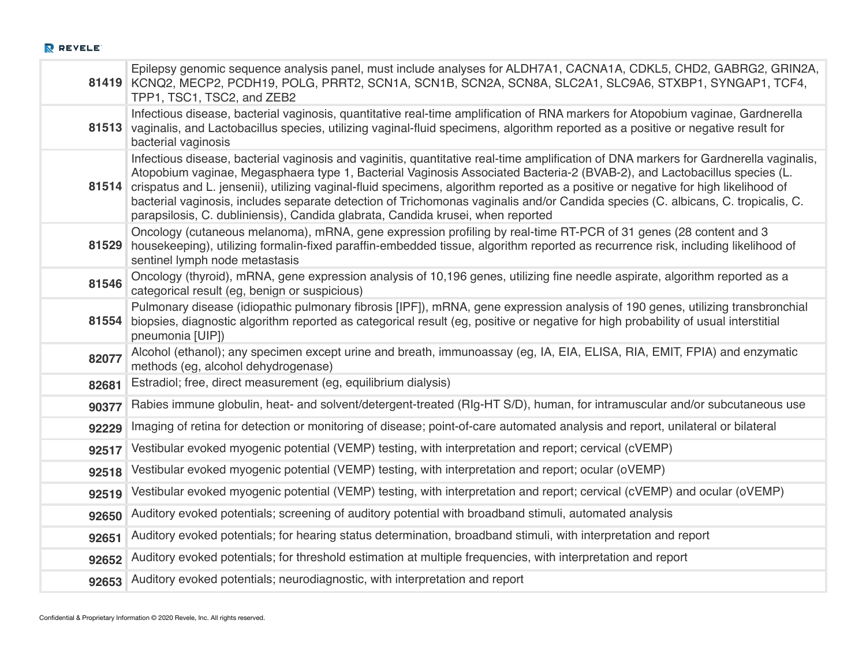|       | Epilepsy genomic sequence analysis panel, must include analyses for ALDH7A1, CACNA1A, CDKL5, CHD2, GABRG2, GRIN2A,<br>81419 KCNQ2, MECP2, PCDH19, POLG, PRRT2, SCN1A, SCN1B, SCN2A, SCN8A, SLC2A1, SLC9A6, STXBP1, SYNGAP1, TCF4,<br>TPP1, TSC1, TSC2, and ZEB2                                                                                                                                                                                                                                                                                                                                                                |
|-------|--------------------------------------------------------------------------------------------------------------------------------------------------------------------------------------------------------------------------------------------------------------------------------------------------------------------------------------------------------------------------------------------------------------------------------------------------------------------------------------------------------------------------------------------------------------------------------------------------------------------------------|
| 81513 | Infectious disease, bacterial vaginosis, quantitative real-time amplification of RNA markers for Atopobium vaginae, Gardnerella<br>vaginalis, and Lactobacillus species, utilizing vaginal-fluid specimens, algorithm reported as a positive or negative result for<br>bacterial vaginosis                                                                                                                                                                                                                                                                                                                                     |
| 81514 | Infectious disease, bacterial vaginosis and vaginitis, quantitative real-time amplification of DNA markers for Gardnerella vaginalis,<br>Atopobium vaginae, Megasphaera type 1, Bacterial Vaginosis Associated Bacteria-2 (BVAB-2), and Lactobacillus species (L.<br>crispatus and L. jensenii), utilizing vaginal-fluid specimens, algorithm reported as a positive or negative for high likelihood of<br>bacterial vaginosis, includes separate detection of Trichomonas vaginalis and/or Candida species (C. albicans, C. tropicalis, C.<br>parapsilosis, C. dubliniensis), Candida glabrata, Candida krusei, when reported |
| 81529 | Oncology (cutaneous melanoma), mRNA, gene expression profiling by real-time RT-PCR of 31 genes (28 content and 3<br>housekeeping), utilizing formalin-fixed paraffin-embedded tissue, algorithm reported as recurrence risk, including likelihood of<br>sentinel lymph node metastasis                                                                                                                                                                                                                                                                                                                                         |
| 81546 | Oncology (thyroid), mRNA, gene expression analysis of 10,196 genes, utilizing fine needle aspirate, algorithm reported as a<br>categorical result (eg, benign or suspicious)                                                                                                                                                                                                                                                                                                                                                                                                                                                   |
| 81554 | Pulmonary disease (idiopathic pulmonary fibrosis [IPF]), mRNA, gene expression analysis of 190 genes, utilizing transbronchial<br>biopsies, diagnostic algorithm reported as categorical result (eg, positive or negative for high probability of usual interstitial<br>pneumonia [UIP])                                                                                                                                                                                                                                                                                                                                       |
| 82077 | Alcohol (ethanol); any specimen except urine and breath, immunoassay (eg, IA, EIA, ELISA, RIA, EMIT, FPIA) and enzymatic<br>methods (eg, alcohol dehydrogenase)                                                                                                                                                                                                                                                                                                                                                                                                                                                                |
| 82681 | Estradiol; free, direct measurement (eg, equilibrium dialysis)                                                                                                                                                                                                                                                                                                                                                                                                                                                                                                                                                                 |
| 90377 | Rabies immune globulin, heat- and solvent/detergent-treated (RIg-HT S/D), human, for intramuscular and/or subcutaneous use                                                                                                                                                                                                                                                                                                                                                                                                                                                                                                     |
| 92229 | Imaging of retina for detection or monitoring of disease; point-of-care automated analysis and report, unilateral or bilateral                                                                                                                                                                                                                                                                                                                                                                                                                                                                                                 |
| 92517 | Vestibular evoked myogenic potential (VEMP) testing, with interpretation and report; cervical (cVEMP)                                                                                                                                                                                                                                                                                                                                                                                                                                                                                                                          |
| 92518 | Vestibular evoked myogenic potential (VEMP) testing, with interpretation and report; ocular (oVEMP)                                                                                                                                                                                                                                                                                                                                                                                                                                                                                                                            |
| 92519 | Vestibular evoked myogenic potential (VEMP) testing, with interpretation and report; cervical (cVEMP) and ocular (oVEMP)                                                                                                                                                                                                                                                                                                                                                                                                                                                                                                       |
| 92650 | Auditory evoked potentials; screening of auditory potential with broadband stimuli, automated analysis                                                                                                                                                                                                                                                                                                                                                                                                                                                                                                                         |
| 92651 | Auditory evoked potentials; for hearing status determination, broadband stimuli, with interpretation and report                                                                                                                                                                                                                                                                                                                                                                                                                                                                                                                |
| 92652 | Auditory evoked potentials; for threshold estimation at multiple frequencies, with interpretation and report                                                                                                                                                                                                                                                                                                                                                                                                                                                                                                                   |
| 92653 | Auditory evoked potentials; neurodiagnostic, with interpretation and report                                                                                                                                                                                                                                                                                                                                                                                                                                                                                                                                                    |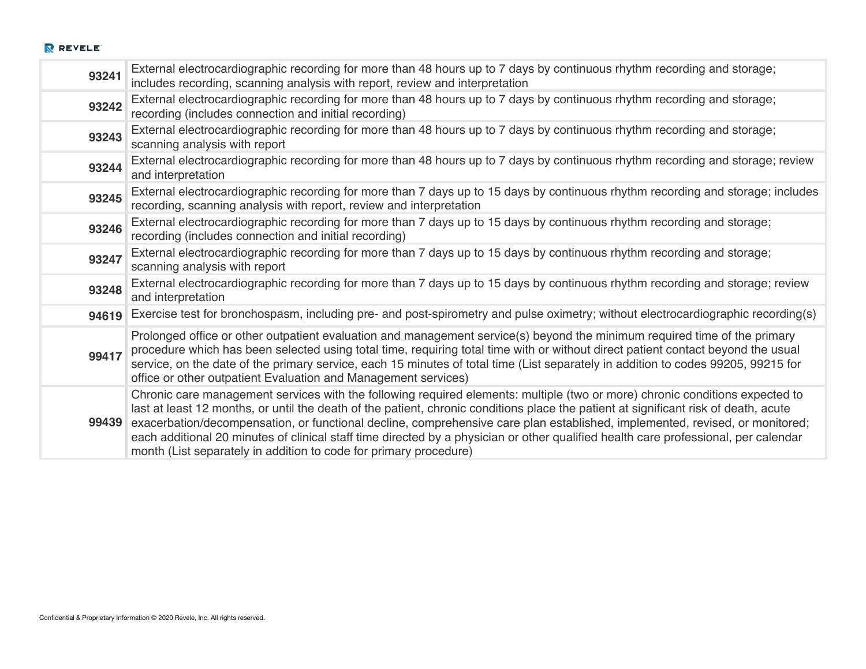| 93241 | External electrocardiographic recording for more than 48 hours up to 7 days by continuous rhythm recording and storage;<br>includes recording, scanning analysis with report, review and interpretation                                                                                                                                                                                                                                                                                                                                                                                                          |
|-------|------------------------------------------------------------------------------------------------------------------------------------------------------------------------------------------------------------------------------------------------------------------------------------------------------------------------------------------------------------------------------------------------------------------------------------------------------------------------------------------------------------------------------------------------------------------------------------------------------------------|
| 93242 | External electrocardiographic recording for more than 48 hours up to 7 days by continuous rhythm recording and storage;<br>recording (includes connection and initial recording)                                                                                                                                                                                                                                                                                                                                                                                                                                 |
| 93243 | External electrocardiographic recording for more than 48 hours up to 7 days by continuous rhythm recording and storage;<br>scanning analysis with report                                                                                                                                                                                                                                                                                                                                                                                                                                                         |
| 93244 | External electrocardiographic recording for more than 48 hours up to 7 days by continuous rhythm recording and storage; review<br>and interpretation                                                                                                                                                                                                                                                                                                                                                                                                                                                             |
| 93245 | External electrocardiographic recording for more than 7 days up to 15 days by continuous rhythm recording and storage; includes<br>recording, scanning analysis with report, review and interpretation                                                                                                                                                                                                                                                                                                                                                                                                           |
| 93246 | External electrocardiographic recording for more than 7 days up to 15 days by continuous rhythm recording and storage;<br>recording (includes connection and initial recording)                                                                                                                                                                                                                                                                                                                                                                                                                                  |
| 93247 | External electrocardiographic recording for more than 7 days up to 15 days by continuous rhythm recording and storage;<br>scanning analysis with report                                                                                                                                                                                                                                                                                                                                                                                                                                                          |
| 93248 | External electrocardiographic recording for more than 7 days up to 15 days by continuous rhythm recording and storage; review<br>and interpretation                                                                                                                                                                                                                                                                                                                                                                                                                                                              |
| 94619 | Exercise test for bronchospasm, including pre- and post-spirometry and pulse oximetry; without electrocardiographic recording(s)                                                                                                                                                                                                                                                                                                                                                                                                                                                                                 |
| 99417 | Prolonged office or other outpatient evaluation and management service(s) beyond the minimum required time of the primary<br>procedure which has been selected using total time, requiring total time with or without direct patient contact beyond the usual<br>service, on the date of the primary service, each 15 minutes of total time (List separately in addition to codes 99205, 99215 for<br>office or other outpatient Evaluation and Management services)                                                                                                                                             |
| 99439 | Chronic care management services with the following required elements: multiple (two or more) chronic conditions expected to<br>last at least 12 months, or until the death of the patient, chronic conditions place the patient at significant risk of death, acute<br>exacerbation/decompensation, or functional decline, comprehensive care plan established, implemented, revised, or monitored;<br>each additional 20 minutes of clinical staff time directed by a physician or other qualified health care professional, per calendar<br>month (List separately in addition to code for primary procedure) |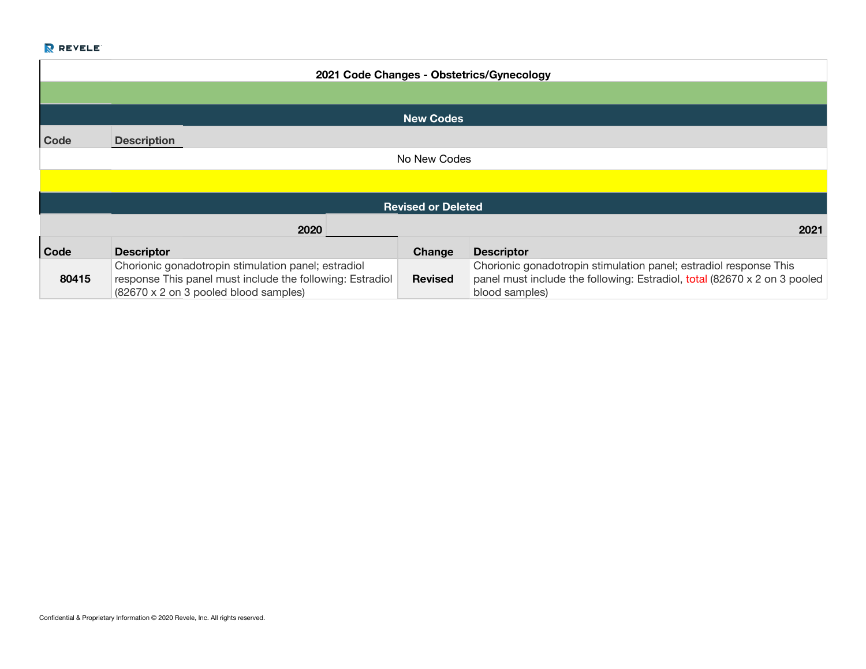|             |                                                                                                                                                           |                           | 2021 Code Changes - Obstetrics/Gynecology                                                                                                                        |
|-------------|-----------------------------------------------------------------------------------------------------------------------------------------------------------|---------------------------|------------------------------------------------------------------------------------------------------------------------------------------------------------------|
|             |                                                                                                                                                           |                           |                                                                                                                                                                  |
|             |                                                                                                                                                           | <b>New Codes</b>          |                                                                                                                                                                  |
| Code        | <b>Description</b>                                                                                                                                        |                           |                                                                                                                                                                  |
|             |                                                                                                                                                           | No New Codes              |                                                                                                                                                                  |
|             |                                                                                                                                                           |                           |                                                                                                                                                                  |
|             |                                                                                                                                                           | <b>Revised or Deleted</b> |                                                                                                                                                                  |
|             | 2020<br>2021                                                                                                                                              |                           |                                                                                                                                                                  |
| <b>Code</b> | <b>Descriptor</b>                                                                                                                                         | Change                    | <b>Descriptor</b>                                                                                                                                                |
| 80415       | Chorionic gonadotropin stimulation panel; estradiol<br>response This panel must include the following: Estradiol<br>(82670 x 2 on 3 pooled blood samples) | <b>Revised</b>            | Chorionic gonadotropin stimulation panel; estradiol response This<br>panel must include the following: Estradiol, total (82670 x 2 on 3 pooled<br>blood samples) |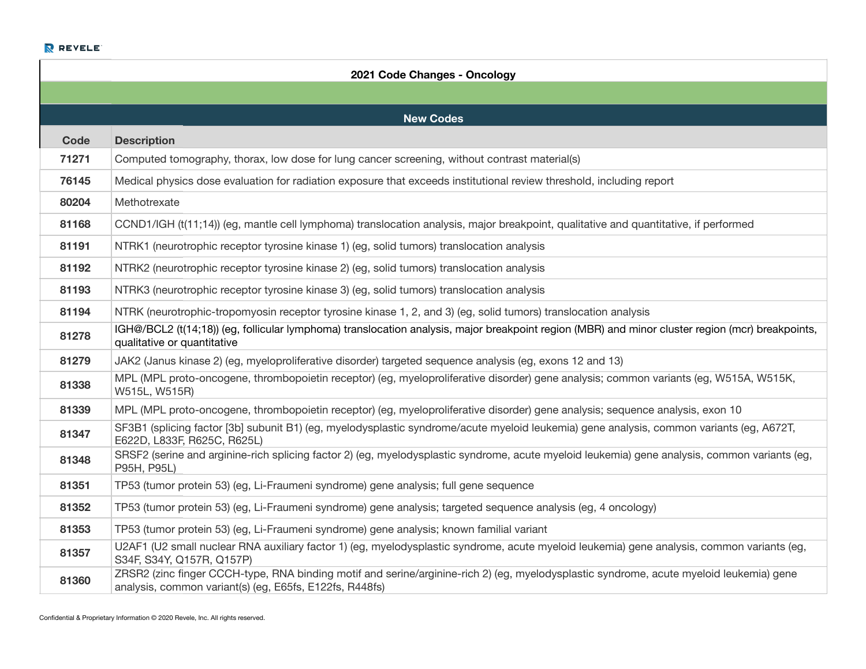|       | 2021 Code Changes - Oncology                                                                                                                                                                       |
|-------|----------------------------------------------------------------------------------------------------------------------------------------------------------------------------------------------------|
|       |                                                                                                                                                                                                    |
|       | <b>New Codes</b>                                                                                                                                                                                   |
| Code  | <b>Description</b>                                                                                                                                                                                 |
| 71271 | Computed tomography, thorax, low dose for lung cancer screening, without contrast material(s)                                                                                                      |
| 76145 | Medical physics dose evaluation for radiation exposure that exceeds institutional review threshold, including report                                                                               |
| 80204 | Methotrexate                                                                                                                                                                                       |
| 81168 | CCND1/IGH (t(11;14)) (eg, mantle cell lymphoma) translocation analysis, major breakpoint, qualitative and quantitative, if performed                                                               |
| 81191 | NTRK1 (neurotrophic receptor tyrosine kinase 1) (eg, solid tumors) translocation analysis                                                                                                          |
| 81192 | NTRK2 (neurotrophic receptor tyrosine kinase 2) (eg, solid tumors) translocation analysis                                                                                                          |
| 81193 | NTRK3 (neurotrophic receptor tyrosine kinase 3) (eg, solid tumors) translocation analysis                                                                                                          |
| 81194 | NTRK (neurotrophic-tropomyosin receptor tyrosine kinase 1, 2, and 3) (eg, solid tumors) translocation analysis                                                                                     |
| 81278 | IGH@/BCL2 (t(14;18)) (eg, follicular lymphoma) translocation analysis, major breakpoint region (MBR) and minor cluster region (mcr) breakpoints,<br>qualitative or quantitative                    |
| 81279 | JAK2 (Janus kinase 2) (eg, myeloproliferative disorder) targeted sequence analysis (eg, exons 12 and 13)                                                                                           |
| 81338 | MPL (MPL proto-oncogene, thrombopoietin receptor) (eg, myeloproliferative disorder) gene analysis; common variants (eg, W515A, W515K,<br>W515L, W515R)                                             |
| 81339 | MPL (MPL proto-oncogene, thrombopoietin receptor) (eg, myeloproliferative disorder) gene analysis; sequence analysis, exon 10                                                                      |
| 81347 | SF3B1 (splicing factor [3b] subunit B1) (eg, myelodysplastic syndrome/acute myeloid leukemia) gene analysis, common variants (eg, A672T,<br>E622D, L833F, R625C, R625L)                            |
| 81348 | SRSF2 (serine and arginine-rich splicing factor 2) (eg, myelodysplastic syndrome, acute myeloid leukemia) gene analysis, common variants (eg,<br>P95H, P95L)                                       |
| 81351 | TP53 (tumor protein 53) (eg, Li-Fraumeni syndrome) gene analysis; full gene sequence                                                                                                               |
| 81352 | TP53 (tumor protein 53) (eg, Li-Fraumeni syndrome) gene analysis; targeted sequence analysis (eg, 4 oncology)                                                                                      |
| 81353 | TP53 (tumor protein 53) (eg, Li-Fraumeni syndrome) gene analysis; known familial variant                                                                                                           |
| 81357 | U2AF1 (U2 small nuclear RNA auxiliary factor 1) (eg, myelodysplastic syndrome, acute myeloid leukemia) gene analysis, common variants (eg,<br>S34F, S34Y, Q157R, Q157P)                            |
| 81360 | ZRSR2 (zinc finger CCCH-type, RNA binding motif and serine/arginine-rich 2) (eg, myelodysplastic syndrome, acute myeloid leukemia) gene<br>analysis, common variant(s) (eg, E65fs, E122fs, R448fs) |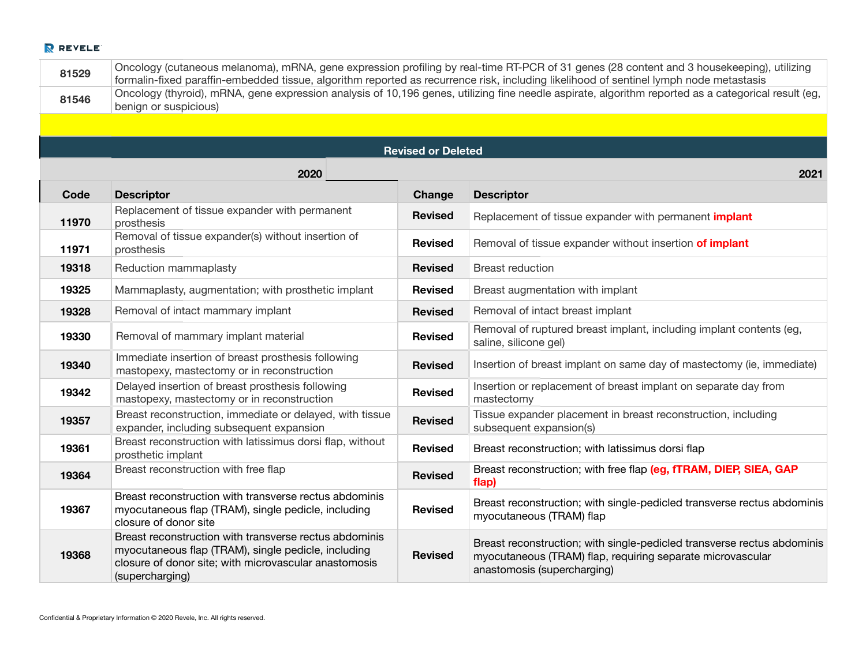| 81529 | Oncology (cutaneous melanoma), mRNA, gene expression profiling by real-time RT-PCR of 31 genes (28 content and 3 housekeeping), utilizing<br>formalin-fixed paraffin-embedded tissue, algorithm reported as recurrence risk, including likelihood of sentinel lymph node metastasis |                           |                                                                                                                                                                      |
|-------|-------------------------------------------------------------------------------------------------------------------------------------------------------------------------------------------------------------------------------------------------------------------------------------|---------------------------|----------------------------------------------------------------------------------------------------------------------------------------------------------------------|
| 81546 | Oncology (thyroid), mRNA, gene expression analysis of 10,196 genes, utilizing fine needle aspirate, algorithm reported as a categorical result (eg,<br>benign or suspicious)                                                                                                        |                           |                                                                                                                                                                      |
|       |                                                                                                                                                                                                                                                                                     |                           |                                                                                                                                                                      |
|       |                                                                                                                                                                                                                                                                                     | <b>Revised or Deleted</b> |                                                                                                                                                                      |
|       | 2020                                                                                                                                                                                                                                                                                |                           | 2021                                                                                                                                                                 |
| Code  | <b>Descriptor</b>                                                                                                                                                                                                                                                                   | <b>Change</b>             | <b>Descriptor</b>                                                                                                                                                    |
| 11970 | Replacement of tissue expander with permanent<br>prosthesis                                                                                                                                                                                                                         | <b>Revised</b>            | Replacement of tissue expander with permanent <i>implant</i>                                                                                                         |
| 11971 | Removal of tissue expander(s) without insertion of<br>prosthesis                                                                                                                                                                                                                    | <b>Revised</b>            | Removal of tissue expander without insertion of implant                                                                                                              |
| 19318 | Reduction mammaplasty                                                                                                                                                                                                                                                               | <b>Revised</b>            | <b>Breast reduction</b>                                                                                                                                              |
| 19325 | Mammaplasty, augmentation; with prosthetic implant                                                                                                                                                                                                                                  | <b>Revised</b>            | Breast augmentation with implant                                                                                                                                     |
| 19328 | Removal of intact mammary implant                                                                                                                                                                                                                                                   | <b>Revised</b>            | Removal of intact breast implant                                                                                                                                     |
| 19330 | Removal of mammary implant material                                                                                                                                                                                                                                                 | <b>Revised</b>            | Removal of ruptured breast implant, including implant contents (eg,<br>saline, silicone gel)                                                                         |
| 19340 | Immediate insertion of breast prosthesis following<br>mastopexy, mastectomy or in reconstruction                                                                                                                                                                                    | <b>Revised</b>            | Insertion of breast implant on same day of mastectomy (ie, immediate)                                                                                                |
| 19342 | Delayed insertion of breast prosthesis following<br>mastopexy, mastectomy or in reconstruction                                                                                                                                                                                      | <b>Revised</b>            | Insertion or replacement of breast implant on separate day from<br>mastectomy                                                                                        |
| 19357 | Breast reconstruction, immediate or delayed, with tissue<br>expander, including subsequent expansion                                                                                                                                                                                | <b>Revised</b>            | Tissue expander placement in breast reconstruction, including<br>subsequent expansion(s)                                                                             |
| 19361 | Breast reconstruction with latissimus dorsi flap, without<br>prosthetic implant                                                                                                                                                                                                     | <b>Revised</b>            | Breast reconstruction; with latissimus dorsi flap                                                                                                                    |
| 19364 | Breast reconstruction with free flap                                                                                                                                                                                                                                                | <b>Revised</b>            | Breast reconstruction; with free flap (eg, fTRAM, DIEP, SIEA, GAP<br>flap)                                                                                           |
| 19367 | Breast reconstruction with transverse rectus abdominis<br>myocutaneous flap (TRAM), single pedicle, including<br>closure of donor site                                                                                                                                              | <b>Revised</b>            | Breast reconstruction; with single-pedicled transverse rectus abdominis<br>myocutaneous (TRAM) flap                                                                  |
| 19368 | Breast reconstruction with transverse rectus abdominis<br>myocutaneous flap (TRAM), single pedicle, including<br>closure of donor site; with microvascular anastomosis<br>(supercharging)                                                                                           | <b>Revised</b>            | Breast reconstruction; with single-pedicled transverse rectus abdominis<br>myocutaneous (TRAM) flap, requiring separate microvascular<br>anastomosis (supercharging) |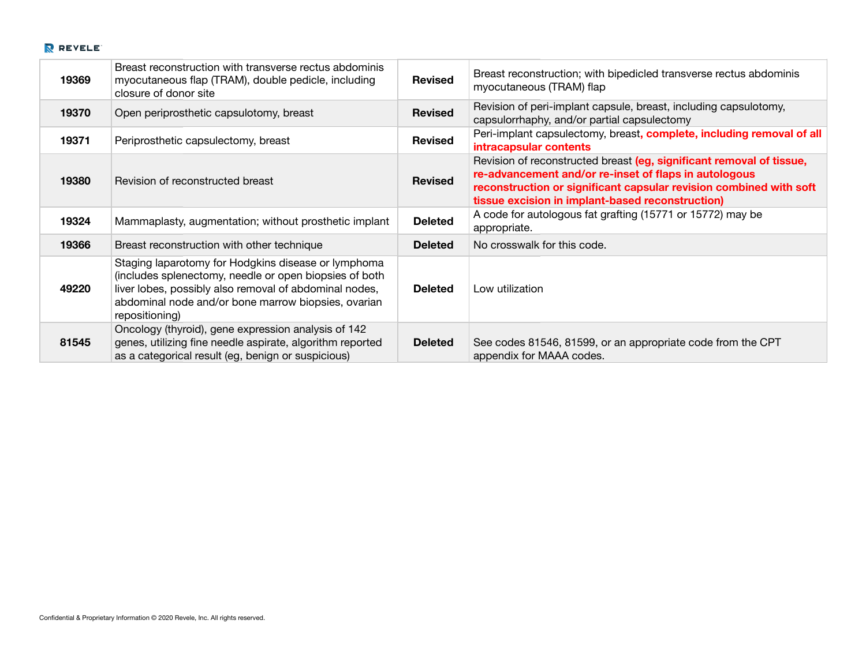| 19369 | Breast reconstruction with transverse rectus abdominis<br>myocutaneous flap (TRAM), double pedicle, including<br>closure of donor site                                                                                                           | <b>Revised</b> | Breast reconstruction; with bipedicled transverse rectus abdominis<br>myocutaneous (TRAM) flap                                                                                                                                                          |
|-------|--------------------------------------------------------------------------------------------------------------------------------------------------------------------------------------------------------------------------------------------------|----------------|---------------------------------------------------------------------------------------------------------------------------------------------------------------------------------------------------------------------------------------------------------|
| 19370 | Open periprosthetic capsulotomy, breast                                                                                                                                                                                                          | <b>Revised</b> | Revision of peri-implant capsule, breast, including capsulotomy,<br>capsulorrhaphy, and/or partial capsulectomy                                                                                                                                         |
| 19371 | Periprosthetic capsulectomy, breast                                                                                                                                                                                                              | <b>Revised</b> | Peri-implant capsulectomy, breast, complete, including removal of all<br>intracapsular contents                                                                                                                                                         |
| 19380 | Revision of reconstructed breast                                                                                                                                                                                                                 | <b>Revised</b> | Revision of reconstructed breast (eg, significant removal of tissue,<br>re-advancement and/or re-inset of flaps in autologous<br>reconstruction or significant capsular revision combined with soft<br>tissue excision in implant-based reconstruction) |
| 19324 | Mammaplasty, augmentation; without prosthetic implant                                                                                                                                                                                            | <b>Deleted</b> | A code for autologous fat grafting (15771 or 15772) may be<br>appropriate.                                                                                                                                                                              |
| 19366 | Breast reconstruction with other technique                                                                                                                                                                                                       | <b>Deleted</b> | No crosswalk for this code.                                                                                                                                                                                                                             |
| 49220 | Staging laparotomy for Hodgkins disease or lymphoma<br>(includes splenectomy, needle or open biopsies of both<br>liver lobes, possibly also removal of abdominal nodes,<br>abdominal node and/or bone marrow biopsies, ovarian<br>repositioning) | <b>Deleted</b> | Low utilization                                                                                                                                                                                                                                         |
| 81545 | Oncology (thyroid), gene expression analysis of 142<br>genes, utilizing fine needle aspirate, algorithm reported<br>as a categorical result (eg, benign or suspicious)                                                                           | <b>Deleted</b> | See codes 81546, 81599, or an appropriate code from the CPT<br>appendix for MAAA codes.                                                                                                                                                                 |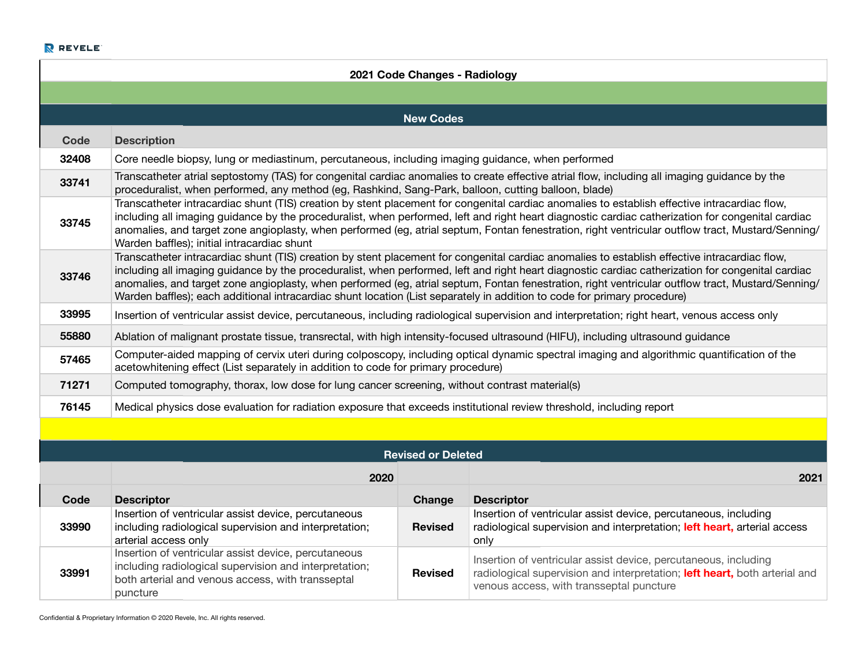| 2021 Code Changes - Radiology |                                                                                                                                                                                                                                                                                                                                                                                                                                                                                                                                                                                     |                           |                                                                                                                                                                                           |  |
|-------------------------------|-------------------------------------------------------------------------------------------------------------------------------------------------------------------------------------------------------------------------------------------------------------------------------------------------------------------------------------------------------------------------------------------------------------------------------------------------------------------------------------------------------------------------------------------------------------------------------------|---------------------------|-------------------------------------------------------------------------------------------------------------------------------------------------------------------------------------------|--|
|                               |                                                                                                                                                                                                                                                                                                                                                                                                                                                                                                                                                                                     |                           |                                                                                                                                                                                           |  |
|                               |                                                                                                                                                                                                                                                                                                                                                                                                                                                                                                                                                                                     | <b>New Codes</b>          |                                                                                                                                                                                           |  |
| <b>Code</b>                   | <b>Description</b>                                                                                                                                                                                                                                                                                                                                                                                                                                                                                                                                                                  |                           |                                                                                                                                                                                           |  |
| 32408                         | Core needle biopsy, lung or mediastinum, percutaneous, including imaging guidance, when performed                                                                                                                                                                                                                                                                                                                                                                                                                                                                                   |                           |                                                                                                                                                                                           |  |
| 33741                         | proceduralist, when performed, any method (eg, Rashkind, Sang-Park, balloon, cutting balloon, blade)                                                                                                                                                                                                                                                                                                                                                                                                                                                                                |                           | Transcatheter atrial septostomy (TAS) for congenital cardiac anomalies to create effective atrial flow, including all imaging guidance by the                                             |  |
| 33745                         | Transcatheter intracardiac shunt (TIS) creation by stent placement for congenital cardiac anomalies to establish effective intracardiac flow,<br>including all imaging guidance by the proceduralist, when performed, left and right heart diagnostic cardiac catherization for congenital cardiac<br>anomalies, and target zone angioplasty, when performed (eg, atrial septum, Fontan fenestration, right ventricular outflow tract, Mustard/Senning/<br>Warden baffles); initial intracardiac shunt                                                                              |                           |                                                                                                                                                                                           |  |
| 33746                         | Transcatheter intracardiac shunt (TIS) creation by stent placement for congenital cardiac anomalies to establish effective intracardiac flow,<br>including all imaging guidance by the proceduralist, when performed, left and right heart diagnostic cardiac catherization for congenital cardiac<br>anomalies, and target zone angioplasty, when performed (eg, atrial septum, Fontan fenestration, right ventricular outflow tract, Mustard/Senning/<br>Warden baffles); each additional intracardiac shunt location (List separately in addition to code for primary procedure) |                           |                                                                                                                                                                                           |  |
| 33995                         |                                                                                                                                                                                                                                                                                                                                                                                                                                                                                                                                                                                     |                           | Insertion of ventricular assist device, percutaneous, including radiological supervision and interpretation; right heart, venous access only                                              |  |
| 55880                         | Ablation of malignant prostate tissue, transrectal, with high intensity-focused ultrasound (HIFU), including ultrasound guidance                                                                                                                                                                                                                                                                                                                                                                                                                                                    |                           |                                                                                                                                                                                           |  |
| 57465                         | Computer-aided mapping of cervix uteri during colposcopy, including optical dynamic spectral imaging and algorithmic quantification of the<br>acetowhitening effect (List separately in addition to code for primary procedure)                                                                                                                                                                                                                                                                                                                                                     |                           |                                                                                                                                                                                           |  |
| 71271                         | Computed tomography, thorax, low dose for lung cancer screening, without contrast material(s)                                                                                                                                                                                                                                                                                                                                                                                                                                                                                       |                           |                                                                                                                                                                                           |  |
| 76145                         | Medical physics dose evaluation for radiation exposure that exceeds institutional review threshold, including report                                                                                                                                                                                                                                                                                                                                                                                                                                                                |                           |                                                                                                                                                                                           |  |
|                               |                                                                                                                                                                                                                                                                                                                                                                                                                                                                                                                                                                                     |                           |                                                                                                                                                                                           |  |
|                               |                                                                                                                                                                                                                                                                                                                                                                                                                                                                                                                                                                                     | <b>Revised or Deleted</b> |                                                                                                                                                                                           |  |
|                               | 2020                                                                                                                                                                                                                                                                                                                                                                                                                                                                                                                                                                                |                           | 2021                                                                                                                                                                                      |  |
| Code                          | <b>Descriptor</b>                                                                                                                                                                                                                                                                                                                                                                                                                                                                                                                                                                   | Change                    | <b>Descriptor</b>                                                                                                                                                                         |  |
| 33990                         | Insertion of ventricular assist device, percutaneous<br>including radiological supervision and interpretation;<br>arterial access only                                                                                                                                                                                                                                                                                                                                                                                                                                              | <b>Revised</b>            | Insertion of ventricular assist device, percutaneous, including<br>radiological supervision and interpretation; left heart, arterial access<br>only                                       |  |
| 33991                         | Insertion of ventricular assist device, percutaneous<br>including radiological supervision and interpretation;<br>both arterial and venous access, with transseptal<br>puncture                                                                                                                                                                                                                                                                                                                                                                                                     | <b>Revised</b>            | Insertion of ventricular assist device, percutaneous, including<br>radiological supervision and interpretation; left heart, both arterial and<br>venous access, with transseptal puncture |  |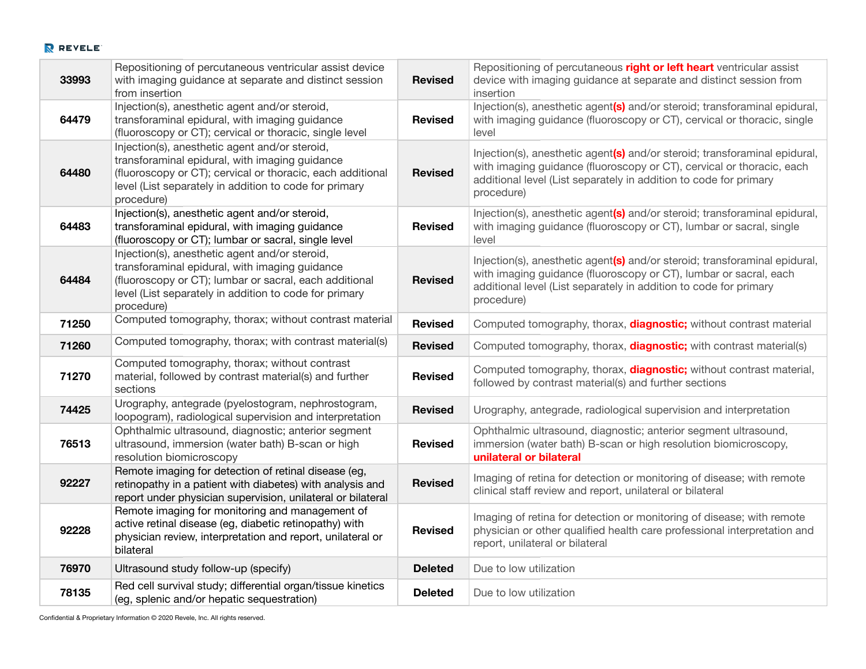| 33993 | Repositioning of percutaneous ventricular assist device<br>with imaging guidance at separate and distinct session                                                                                                                      | <b>Revised</b> | Repositioning of percutaneous right or left heart ventricular assist<br>device with imaging guidance at separate and distinct session from                                                                                             |
|-------|----------------------------------------------------------------------------------------------------------------------------------------------------------------------------------------------------------------------------------------|----------------|----------------------------------------------------------------------------------------------------------------------------------------------------------------------------------------------------------------------------------------|
| 64479 | from insertion<br>Injection(s), anesthetic agent and/or steroid,<br>transforaminal epidural, with imaging guidance<br>(fluoroscopy or CT); cervical or thoracic, single level                                                          | <b>Revised</b> | insertion<br>Injection(s), anesthetic agent(s) and/or steroid; transforaminal epidural,<br>with imaging guidance (fluoroscopy or CT), cervical or thoracic, single<br>level                                                            |
| 64480 | Injection(s), anesthetic agent and/or steroid,<br>transforaminal epidural, with imaging guidance<br>(fluoroscopy or CT); cervical or thoracic, each additional<br>level (List separately in addition to code for primary<br>procedure) | <b>Revised</b> | Injection(s), anesthetic agent(s) and/or steroid; transforaminal epidural,<br>with imaging guidance (fluoroscopy or CT), cervical or thoracic, each<br>additional level (List separately in addition to code for primary<br>procedure) |
| 64483 | Injection(s), anesthetic agent and/or steroid,<br>transforaminal epidural, with imaging guidance<br>(fluoroscopy or CT); lumbar or sacral, single level                                                                                | <b>Revised</b> | Injection(s), anesthetic agent(s) and/or steroid; transforaminal epidural,<br>with imaging guidance (fluoroscopy or CT), lumbar or sacral, single<br>level                                                                             |
| 64484 | Injection(s), anesthetic agent and/or steroid,<br>transforaminal epidural, with imaging guidance<br>(fluoroscopy or CT); lumbar or sacral, each additional<br>level (List separately in addition to code for primary<br>procedure)     | <b>Revised</b> | Injection(s), anesthetic agent(s) and/or steroid; transforaminal epidural,<br>with imaging guidance (fluoroscopy or CT), lumbar or sacral, each<br>additional level (List separately in addition to code for primary<br>procedure)     |
| 71250 | Computed tomography, thorax; without contrast material                                                                                                                                                                                 | <b>Revised</b> | Computed tomography, thorax, <b>diagnostic;</b> without contrast material                                                                                                                                                              |
| 71260 | Computed tomography, thorax; with contrast material(s)                                                                                                                                                                                 | <b>Revised</b> | Computed tomography, thorax, <b>diagnostic;</b> with contrast material(s)                                                                                                                                                              |
| 71270 | Computed tomography, thorax; without contrast<br>material, followed by contrast material(s) and further<br>sections                                                                                                                    | <b>Revised</b> | Computed tomography, thorax, <b>diagnostic;</b> without contrast material,<br>followed by contrast material(s) and further sections                                                                                                    |
| 74425 | Urography, antegrade (pyelostogram, nephrostogram,<br>loopogram), radiological supervision and interpretation                                                                                                                          | <b>Revised</b> | Urography, antegrade, radiological supervision and interpretation                                                                                                                                                                      |
| 76513 | Ophthalmic ultrasound, diagnostic; anterior segment<br>ultrasound, immersion (water bath) B-scan or high<br>resolution biomicroscopy                                                                                                   | <b>Revised</b> | Ophthalmic ultrasound, diagnostic; anterior segment ultrasound,<br>immersion (water bath) B-scan or high resolution biomicroscopy,<br>unilateral or bilateral                                                                          |
| 92227 | Remote imaging for detection of retinal disease (eg,<br>retinopathy in a patient with diabetes) with analysis and<br>report under physician supervision, unilateral or bilateral                                                       | <b>Revised</b> | Imaging of retina for detection or monitoring of disease; with remote<br>clinical staff review and report, unilateral or bilateral                                                                                                     |
| 92228 | Remote imaging for monitoring and management of<br>active retinal disease (eg, diabetic retinopathy) with<br>physician review, interpretation and report, unilateral or<br>bilateral                                                   | <b>Revised</b> | Imaging of retina for detection or monitoring of disease; with remote<br>physician or other qualified health care professional interpretation and<br>report, unilateral or bilateral                                                   |
| 76970 | Ultrasound study follow-up (specify)                                                                                                                                                                                                   | <b>Deleted</b> | Due to low utilization                                                                                                                                                                                                                 |
| 78135 | Red cell survival study; differential organ/tissue kinetics<br>(eg, splenic and/or hepatic sequestration)                                                                                                                              | <b>Deleted</b> | Due to low utilization                                                                                                                                                                                                                 |

Confidential & Proprietary Information © 2020 Revele, Inc. All rights reserved.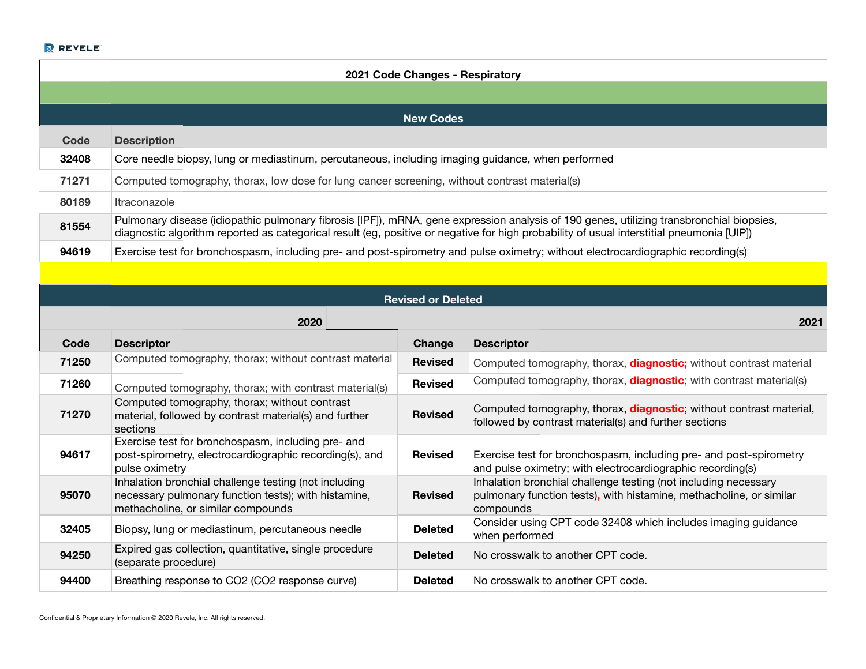|       | 2021 Code Changes - Respiratory                                                                                                                                                                                                                                                       |
|-------|---------------------------------------------------------------------------------------------------------------------------------------------------------------------------------------------------------------------------------------------------------------------------------------|
|       |                                                                                                                                                                                                                                                                                       |
|       | <b>New Codes</b>                                                                                                                                                                                                                                                                      |
| Code  | <b>Description</b>                                                                                                                                                                                                                                                                    |
| 32408 | Core needle biopsy, lung or mediastinum, percutaneous, including imaging guidance, when performed                                                                                                                                                                                     |
| 71271 | Computed tomography, thorax, low dose for lung cancer screening, without contrast material(s)                                                                                                                                                                                         |
| 80189 | Itraconazole                                                                                                                                                                                                                                                                          |
| 81554 | Pulmonary disease (idiopathic pulmonary fibrosis [IPF]), mRNA, gene expression analysis of 190 genes, utilizing transbronchial biopsies,<br>diagnostic algorithm reported as categorical result (eg, positive or negative for high probability of usual interstitial pneumonia [UIP]) |
| 94619 | Exercise test for bronchospasm, including pre- and post-spirometry and pulse oximetry; without electrocardiographic recording(s)                                                                                                                                                      |

|       | <b>Revised or Deleted</b>                                                                                                                           |                |                                                                                                                                                     |  |  |
|-------|-----------------------------------------------------------------------------------------------------------------------------------------------------|----------------|-----------------------------------------------------------------------------------------------------------------------------------------------------|--|--|
|       | 2020<br>2021                                                                                                                                        |                |                                                                                                                                                     |  |  |
| Code  | <b>Descriptor</b>                                                                                                                                   | Change         | <b>Descriptor</b>                                                                                                                                   |  |  |
| 71250 | Computed tomography, thorax; without contrast material                                                                                              | <b>Revised</b> | Computed tomography, thorax, <b>diagnostic;</b> without contrast material                                                                           |  |  |
| 71260 | Computed tomography, thorax; with contrast material(s)                                                                                              | <b>Revised</b> | Computed tomography, thorax, <b>diagnostic</b> ; with contrast material(s)                                                                          |  |  |
| 71270 | Computed tomography, thorax; without contrast<br>material, followed by contrast material(s) and further<br>sections                                 | <b>Revised</b> | Computed tomography, thorax, <b>diagnostic</b> ; without contrast material,<br>followed by contrast material(s) and further sections                |  |  |
| 94617 | Exercise test for bronchospasm, including pre- and<br>post-spirometry, electrocardiographic recording(s), and<br>pulse oximetry                     | <b>Revised</b> | Exercise test for bronchospasm, including pre- and post-spirometry<br>and pulse oximetry; with electrocardiographic recording(s)                    |  |  |
| 95070 | Inhalation bronchial challenge testing (not including<br>necessary pulmonary function tests); with histamine,<br>methacholine, or similar compounds | <b>Revised</b> | Inhalation bronchial challenge testing (not including necessary<br>pulmonary function tests), with histamine, methacholine, or similar<br>compounds |  |  |
| 32405 | Biopsy, lung or mediastinum, percutaneous needle                                                                                                    | <b>Deleted</b> | Consider using CPT code 32408 which includes imaging guidance<br>when performed                                                                     |  |  |
| 94250 | Expired gas collection, quantitative, single procedure<br>(separate procedure)                                                                      | <b>Deleted</b> | No crosswalk to another CPT code.                                                                                                                   |  |  |
| 94400 | Breathing response to CO2 (CO2 response curve)                                                                                                      | <b>Deleted</b> | No crosswalk to another CPT code.                                                                                                                   |  |  |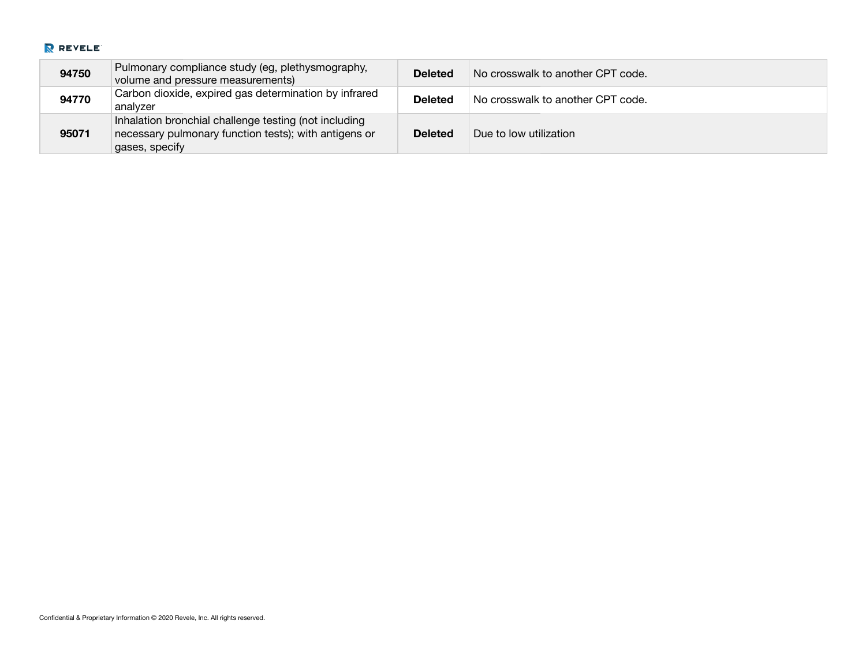| 94750 | Pulmonary compliance study (eg, plethysmography,<br>volume and pressure measurements)                                            | <b>Deleted</b> | No crosswalk to another CPT code. |
|-------|----------------------------------------------------------------------------------------------------------------------------------|----------------|-----------------------------------|
| 94770 | Carbon dioxide, expired gas determination by infrared<br>analvzer                                                                | <b>Deleted</b> | No crosswalk to another CPT code. |
| 95071 | Inhalation bronchial challenge testing (not including<br>necessary pulmonary function tests); with antigens or<br>gases, specify | <b>Deleted</b> | Due to low utilization            |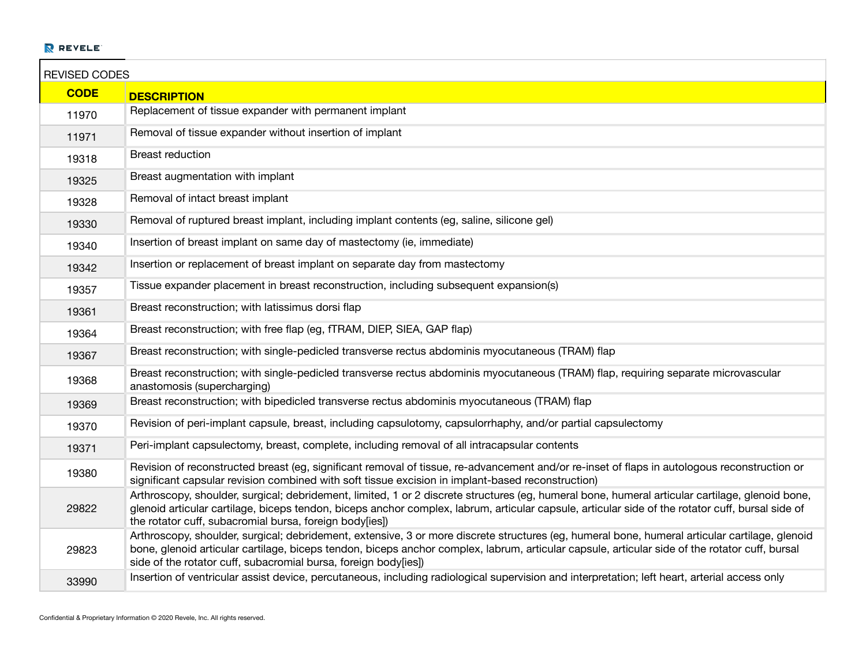| <b>REVISED CODES</b> |                                                                                                                                                                                                                                                                                                                                                                     |
|----------------------|---------------------------------------------------------------------------------------------------------------------------------------------------------------------------------------------------------------------------------------------------------------------------------------------------------------------------------------------------------------------|
| <b>CODE</b>          | <b>DESCRIPTION</b>                                                                                                                                                                                                                                                                                                                                                  |
| 11970                | Replacement of tissue expander with permanent implant                                                                                                                                                                                                                                                                                                               |
| 11971                | Removal of tissue expander without insertion of implant                                                                                                                                                                                                                                                                                                             |
| 19318                | <b>Breast reduction</b>                                                                                                                                                                                                                                                                                                                                             |
| 19325                | Breast augmentation with implant                                                                                                                                                                                                                                                                                                                                    |
| 19328                | Removal of intact breast implant                                                                                                                                                                                                                                                                                                                                    |
| 19330                | Removal of ruptured breast implant, including implant contents (eg, saline, silicone gel)                                                                                                                                                                                                                                                                           |
| 19340                | Insertion of breast implant on same day of mastectomy (ie, immediate)                                                                                                                                                                                                                                                                                               |
| 19342                | Insertion or replacement of breast implant on separate day from mastectomy                                                                                                                                                                                                                                                                                          |
| 19357                | Tissue expander placement in breast reconstruction, including subsequent expansion(s)                                                                                                                                                                                                                                                                               |
| 19361                | Breast reconstruction; with latissimus dorsi flap                                                                                                                                                                                                                                                                                                                   |
| 19364                | Breast reconstruction; with free flap (eg, fTRAM, DIEP, SIEA, GAP flap)                                                                                                                                                                                                                                                                                             |
| 19367                | Breast reconstruction; with single-pedicled transverse rectus abdominis myocutaneous (TRAM) flap                                                                                                                                                                                                                                                                    |
| 19368                | Breast reconstruction; with single-pedicled transverse rectus abdominis myocutaneous (TRAM) flap, requiring separate microvascular<br>anastomosis (supercharging)                                                                                                                                                                                                   |
| 19369                | Breast reconstruction; with bipedicled transverse rectus abdominis myocutaneous (TRAM) flap                                                                                                                                                                                                                                                                         |
| 19370                | Revision of peri-implant capsule, breast, including capsulotomy, capsulorrhaphy, and/or partial capsulectomy                                                                                                                                                                                                                                                        |
| 19371                | Peri-implant capsulectomy, breast, complete, including removal of all intracapsular contents                                                                                                                                                                                                                                                                        |
| 19380                | Revision of reconstructed breast (eg, significant removal of tissue, re-advancement and/or re-inset of flaps in autologous reconstruction or<br>significant capsular revision combined with soft tissue excision in implant-based reconstruction)                                                                                                                   |
| 29822                | Arthroscopy, shoulder, surgical; debridement, limited, 1 or 2 discrete structures (eg, humeral bone, humeral articular cartilage, glenoid bone,<br>glenoid articular cartilage, biceps tendon, biceps anchor complex, labrum, articular capsule, articular side of the rotator cuff, bursal side of<br>the rotator cuff, subacromial bursa, foreign body[ies])      |
| 29823                | Arthroscopy, shoulder, surgical; debridement, extensive, 3 or more discrete structures (eg, humeral bone, humeral articular cartilage, glenoid<br>bone, glenoid articular cartilage, biceps tendon, biceps anchor complex, labrum, articular capsule, articular side of the rotator cuff, bursal<br>side of the rotator cuff, subacromial bursa, foreign body[ies]) |
| 33990                | Insertion of ventricular assist device, percutaneous, including radiological supervision and interpretation; left heart, arterial access only                                                                                                                                                                                                                       |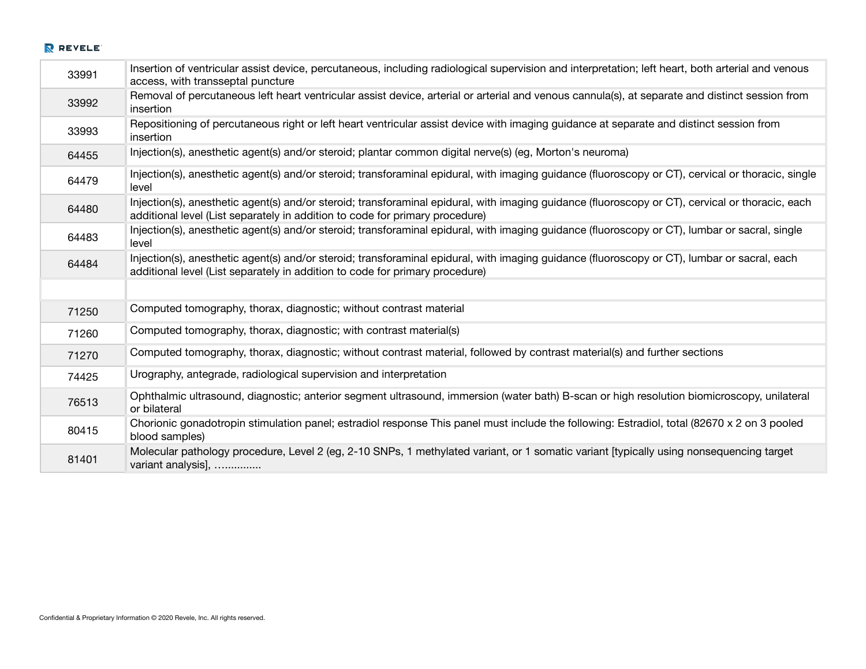| 33991 | Insertion of ventricular assist device, percutaneous, including radiological supervision and interpretation; left heart, both arterial and venous<br>access, with transseptal puncture                                           |
|-------|----------------------------------------------------------------------------------------------------------------------------------------------------------------------------------------------------------------------------------|
| 33992 | Removal of percutaneous left heart ventricular assist device, arterial or arterial and venous cannula(s), at separate and distinct session from<br>insertion                                                                     |
| 33993 | Repositioning of percutaneous right or left heart ventricular assist device with imaging guidance at separate and distinct session from<br>insertion                                                                             |
| 64455 | Injection(s), anesthetic agent(s) and/or steroid; plantar common digital nerve(s) (eg, Morton's neuroma)                                                                                                                         |
| 64479 | Injection(s), anesthetic agent(s) and/or steroid; transforaminal epidural, with imaging guidance (fluoroscopy or CT), cervical or thoracic, single<br>level                                                                      |
| 64480 | Injection(s), anesthetic agent(s) and/or steroid; transforaminal epidural, with imaging guidance (fluoroscopy or CT), cervical or thoracic, each<br>additional level (List separately in addition to code for primary procedure) |
| 64483 | Injection(s), anesthetic agent(s) and/or steroid; transforaminal epidural, with imaging guidance (fluoroscopy or CT), lumbar or sacral, single<br>level                                                                          |
| 64484 | Injection(s), anesthetic agent(s) and/or steroid; transforaminal epidural, with imaging guidance (fluoroscopy or CT), lumbar or sacral, each<br>additional level (List separately in addition to code for primary procedure)     |
|       |                                                                                                                                                                                                                                  |
| 71250 | Computed tomography, thorax, diagnostic; without contrast material                                                                                                                                                               |
| 71260 | Computed tomography, thorax, diagnostic; with contrast material(s)                                                                                                                                                               |
| 71270 | Computed tomography, thorax, diagnostic; without contrast material, followed by contrast material(s) and further sections                                                                                                        |
| 74425 | Urography, antegrade, radiological supervision and interpretation                                                                                                                                                                |
| 76513 | Ophthalmic ultrasound, diagnostic; anterior segment ultrasound, immersion (water bath) B-scan or high resolution biomicroscopy, unilateral<br>or bilateral                                                                       |
| 80415 | Chorionic gonadotropin stimulation panel; estradiol response This panel must include the following: Estradiol, total (82670 x 2 on 3 pooled<br>blood samples)                                                                    |
| 81401 | Molecular pathology procedure, Level 2 (eg, 2-10 SNPs, 1 methylated variant, or 1 somatic variant [typically using nonsequencing target<br>variant analysis],                                                                    |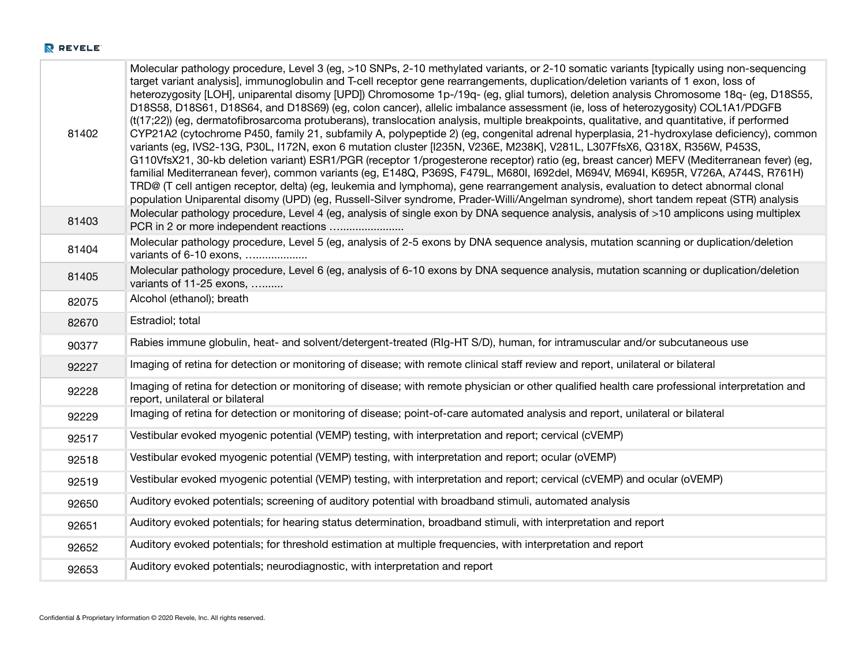| 81402 | Molecular pathology procedure, Level 3 (eg, >10 SNPs, 2-10 methylated variants, or 2-10 somatic variants [typically using non-sequencing<br>target variant analysis], immunoglobulin and T-cell receptor gene rearrangements, duplication/deletion variants of 1 exon, loss of<br>heterozygosity [LOH], uniparental disomy [UPD]) Chromosome 1p-/19q- (eg, glial tumors), deletion analysis Chromosome 18q- (eg, D18S55,<br>D18S58, D18S61, D18S64, and D18S69) (eg, colon cancer), allelic imbalance assessment (ie, loss of heterozygosity) COL1A1/PDGFB<br>(t(17;22)) (eg, dermatofibrosarcoma protuberans), translocation analysis, multiple breakpoints, qualitative, and quantitative, if performed<br>CYP21A2 (cytochrome P450, family 21, subfamily A, polypeptide 2) (eg, congenital adrenal hyperplasia, 21-hydroxylase deficiency), common<br>variants (eg, IVS2-13G, P30L, I172N, exon 6 mutation cluster [I235N, V236E, M238K], V281L, L307FfsX6, Q318X, R356W, P453S,<br>G110VfsX21, 30-kb deletion variant) ESR1/PGR (receptor 1/progesterone receptor) ratio (eg, breast cancer) MEFV (Mediterranean fever) (eg,<br>familial Mediterranean fever), common variants (eg, E148Q, P369S, F479L, M680I, I692del, M694V, M694I, K695R, V726A, A744S, R761H)<br>TRD@ (T cell antigen receptor, delta) (eg, leukemia and lymphoma), gene rearrangement analysis, evaluation to detect abnormal clonal<br>population Uniparental disomy (UPD) (eg, Russell-Silver syndrome, Prader-Willi/Angelman syndrome), short tandem repeat (STR) analysis |
|-------|---------------------------------------------------------------------------------------------------------------------------------------------------------------------------------------------------------------------------------------------------------------------------------------------------------------------------------------------------------------------------------------------------------------------------------------------------------------------------------------------------------------------------------------------------------------------------------------------------------------------------------------------------------------------------------------------------------------------------------------------------------------------------------------------------------------------------------------------------------------------------------------------------------------------------------------------------------------------------------------------------------------------------------------------------------------------------------------------------------------------------------------------------------------------------------------------------------------------------------------------------------------------------------------------------------------------------------------------------------------------------------------------------------------------------------------------------------------------------------------------------------------------------------------------------------|
| 81403 | Molecular pathology procedure, Level 4 (eg, analysis of single exon by DNA sequence analysis, analysis of >10 amplicons using multiplex<br>PCR in 2 or more independent reactions                                                                                                                                                                                                                                                                                                                                                                                                                                                                                                                                                                                                                                                                                                                                                                                                                                                                                                                                                                                                                                                                                                                                                                                                                                                                                                                                                                       |
| 81404 | Molecular pathology procedure, Level 5 (eg, analysis of 2-5 exons by DNA sequence analysis, mutation scanning or duplication/deletion<br>variants of 6-10 exons,                                                                                                                                                                                                                                                                                                                                                                                                                                                                                                                                                                                                                                                                                                                                                                                                                                                                                                                                                                                                                                                                                                                                                                                                                                                                                                                                                                                        |
| 81405 | Molecular pathology procedure, Level 6 (eg, analysis of 6-10 exons by DNA sequence analysis, mutation scanning or duplication/deletion<br>variants of 11-25 exons,                                                                                                                                                                                                                                                                                                                                                                                                                                                                                                                                                                                                                                                                                                                                                                                                                                                                                                                                                                                                                                                                                                                                                                                                                                                                                                                                                                                      |
| 82075 | Alcohol (ethanol); breath                                                                                                                                                                                                                                                                                                                                                                                                                                                                                                                                                                                                                                                                                                                                                                                                                                                                                                                                                                                                                                                                                                                                                                                                                                                                                                                                                                                                                                                                                                                               |
| 82670 | Estradiol; total                                                                                                                                                                                                                                                                                                                                                                                                                                                                                                                                                                                                                                                                                                                                                                                                                                                                                                                                                                                                                                                                                                                                                                                                                                                                                                                                                                                                                                                                                                                                        |
| 90377 | Rabies immune globulin, heat- and solvent/detergent-treated (RIg-HT S/D), human, for intramuscular and/or subcutaneous use                                                                                                                                                                                                                                                                                                                                                                                                                                                                                                                                                                                                                                                                                                                                                                                                                                                                                                                                                                                                                                                                                                                                                                                                                                                                                                                                                                                                                              |
| 92227 | Imaging of retina for detection or monitoring of disease; with remote clinical staff review and report, unilateral or bilateral                                                                                                                                                                                                                                                                                                                                                                                                                                                                                                                                                                                                                                                                                                                                                                                                                                                                                                                                                                                                                                                                                                                                                                                                                                                                                                                                                                                                                         |
| 92228 | Imaging of retina for detection or monitoring of disease; with remote physician or other qualified health care professional interpretation and<br>report, unilateral or bilateral                                                                                                                                                                                                                                                                                                                                                                                                                                                                                                                                                                                                                                                                                                                                                                                                                                                                                                                                                                                                                                                                                                                                                                                                                                                                                                                                                                       |
| 92229 | Imaging of retina for detection or monitoring of disease; point-of-care automated analysis and report, unilateral or bilateral                                                                                                                                                                                                                                                                                                                                                                                                                                                                                                                                                                                                                                                                                                                                                                                                                                                                                                                                                                                                                                                                                                                                                                                                                                                                                                                                                                                                                          |
| 92517 | Vestibular evoked myogenic potential (VEMP) testing, with interpretation and report; cervical (cVEMP)                                                                                                                                                                                                                                                                                                                                                                                                                                                                                                                                                                                                                                                                                                                                                                                                                                                                                                                                                                                                                                                                                                                                                                                                                                                                                                                                                                                                                                                   |
| 92518 | Vestibular evoked myogenic potential (VEMP) testing, with interpretation and report; ocular (oVEMP)                                                                                                                                                                                                                                                                                                                                                                                                                                                                                                                                                                                                                                                                                                                                                                                                                                                                                                                                                                                                                                                                                                                                                                                                                                                                                                                                                                                                                                                     |
| 92519 | Vestibular evoked myogenic potential (VEMP) testing, with interpretation and report; cervical (cVEMP) and ocular (oVEMP)                                                                                                                                                                                                                                                                                                                                                                                                                                                                                                                                                                                                                                                                                                                                                                                                                                                                                                                                                                                                                                                                                                                                                                                                                                                                                                                                                                                                                                |
| 92650 | Auditory evoked potentials; screening of auditory potential with broadband stimuli, automated analysis                                                                                                                                                                                                                                                                                                                                                                                                                                                                                                                                                                                                                                                                                                                                                                                                                                                                                                                                                                                                                                                                                                                                                                                                                                                                                                                                                                                                                                                  |
| 92651 | Auditory evoked potentials; for hearing status determination, broadband stimuli, with interpretation and report                                                                                                                                                                                                                                                                                                                                                                                                                                                                                                                                                                                                                                                                                                                                                                                                                                                                                                                                                                                                                                                                                                                                                                                                                                                                                                                                                                                                                                         |
| 92652 | Auditory evoked potentials; for threshold estimation at multiple frequencies, with interpretation and report                                                                                                                                                                                                                                                                                                                                                                                                                                                                                                                                                                                                                                                                                                                                                                                                                                                                                                                                                                                                                                                                                                                                                                                                                                                                                                                                                                                                                                            |
| 92653 | Auditory evoked potentials; neurodiagnostic, with interpretation and report                                                                                                                                                                                                                                                                                                                                                                                                                                                                                                                                                                                                                                                                                                                                                                                                                                                                                                                                                                                                                                                                                                                                                                                                                                                                                                                                                                                                                                                                             |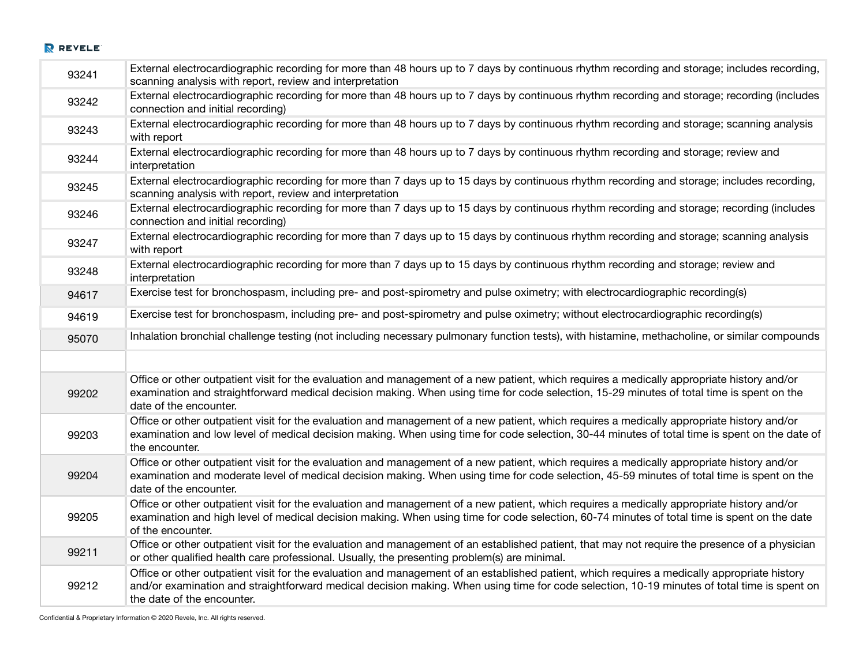| 93241 | External electrocardiographic recording for more than 48 hours up to 7 days by continuous rhythm recording and storage; includes recording,<br>scanning analysis with report, review and interpretation                                                                                                                   |
|-------|---------------------------------------------------------------------------------------------------------------------------------------------------------------------------------------------------------------------------------------------------------------------------------------------------------------------------|
| 93242 | External electrocardiographic recording for more than 48 hours up to 7 days by continuous rhythm recording and storage; recording (includes<br>connection and initial recording)                                                                                                                                          |
| 93243 | External electrocardiographic recording for more than 48 hours up to 7 days by continuous rhythm recording and storage; scanning analysis<br>with report                                                                                                                                                                  |
| 93244 | External electrocardiographic recording for more than 48 hours up to 7 days by continuous rhythm recording and storage; review and<br>interpretation                                                                                                                                                                      |
| 93245 | External electrocardiographic recording for more than 7 days up to 15 days by continuous rhythm recording and storage; includes recording,<br>scanning analysis with report, review and interpretation                                                                                                                    |
| 93246 | External electrocardiographic recording for more than 7 days up to 15 days by continuous rhythm recording and storage; recording (includes<br>connection and initial recording)                                                                                                                                           |
| 93247 | External electrocardiographic recording for more than 7 days up to 15 days by continuous rhythm recording and storage; scanning analysis<br>with report                                                                                                                                                                   |
| 93248 | External electrocardiographic recording for more than 7 days up to 15 days by continuous rhythm recording and storage; review and<br>interpretation                                                                                                                                                                       |
| 94617 | Exercise test for bronchospasm, including pre- and post-spirometry and pulse oximetry; with electrocardiographic recording(s)                                                                                                                                                                                             |
| 94619 | Exercise test for bronchospasm, including pre- and post-spirometry and pulse oximetry; without electrocardiographic recording(s)                                                                                                                                                                                          |
| 95070 | Inhalation bronchial challenge testing (not including necessary pulmonary function tests), with histamine, methacholine, or similar compounds                                                                                                                                                                             |
|       |                                                                                                                                                                                                                                                                                                                           |
| 99202 | Office or other outpatient visit for the evaluation and management of a new patient, which requires a medically appropriate history and/or<br>examination and straightforward medical decision making. When using time for code selection, 15-29 minutes of total time is spent on the<br>date of the encounter.          |
| 99203 | Office or other outpatient visit for the evaluation and management of a new patient, which requires a medically appropriate history and/or<br>examination and low level of medical decision making. When using time for code selection, 30-44 minutes of total time is spent on the date of<br>the encounter.             |
| 99204 | Office or other outpatient visit for the evaluation and management of a new patient, which requires a medically appropriate history and/or<br>examination and moderate level of medical decision making. When using time for code selection, 45-59 minutes of total time is spent on the<br>date of the encounter.        |
| 99205 | Office or other outpatient visit for the evaluation and management of a new patient, which requires a medically appropriate history and/or<br>examination and high level of medical decision making. When using time for code selection, 60-74 minutes of total time is spent on the date<br>of the encounter.            |
| 99211 | Office or other outpatient visit for the evaluation and management of an established patient, that may not require the presence of a physician<br>or other qualified health care professional. Usually, the presenting problem(s) are minimal.                                                                            |
| 99212 | Office or other outpatient visit for the evaluation and management of an established patient, which requires a medically appropriate history<br>and/or examination and straightforward medical decision making. When using time for code selection, 10-19 minutes of total time is spent on<br>the date of the encounter. |

Confidential & Proprietary Information © 2020 Revele, Inc. All rights reserved.